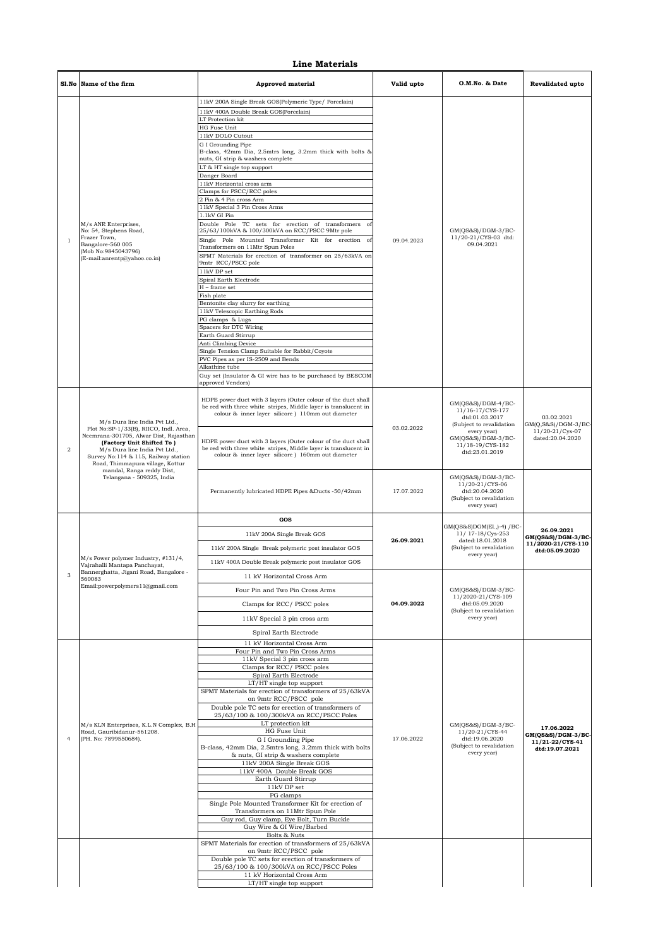## **Line Materials**

|                | Sl.No Name of the firm                                                                                                                                                                                                  | <b>Approved material</b>                                                                                                                                                                                                                                                                                                                                                                                                                                                                                                                                                                                                                                                                                                                                                                                                                                                                                                                                                   | Valid upto | O.M.No. & Date                                                                                                                                                    | <b>Revalidated upto</b>                                                    |
|----------------|-------------------------------------------------------------------------------------------------------------------------------------------------------------------------------------------------------------------------|----------------------------------------------------------------------------------------------------------------------------------------------------------------------------------------------------------------------------------------------------------------------------------------------------------------------------------------------------------------------------------------------------------------------------------------------------------------------------------------------------------------------------------------------------------------------------------------------------------------------------------------------------------------------------------------------------------------------------------------------------------------------------------------------------------------------------------------------------------------------------------------------------------------------------------------------------------------------------|------------|-------------------------------------------------------------------------------------------------------------------------------------------------------------------|----------------------------------------------------------------------------|
| $\mathbf{1}$   | M/s ANR Enterprises,<br>No: 54, Stephens Road,<br>Frazer Town,<br>Bangalore-560 005<br>(Mob No:9845043796)<br>(E-mail:anrentp@yahoo.co.in)                                                                              | 11kV 200A Single Break GOS(Polymeric Type/ Porcelain)<br>11kV 400A Double Break GOS(Porcelain)<br>LT Protection kit<br>HG Fuse Unit<br>11kV DOLO Cutout<br>G I Grounding Pipe<br>B-class, 42mm Dia, 2.5mtrs long, 3.2mm thick with bolts &<br>nuts, GI strip & washers complete<br>LT & HT single top support<br>Danger Board<br>11kV Horizontal cross arm<br>Clamps for PSCC/RCC poles<br>2 Pin & 4 Pin cross Arm<br>11kV Special 3 Pin Cross Arms<br>1.1kV GI Pin<br>Double Pole TC sets for erection of transformers<br>- of<br>25/63/100kVA & 100/300kVA on RCC/PSCC 9Mtr pole<br>Single Pole Mounted Transformer Kit for erection of<br>Transformers on 11Mtr Spun Poles<br>SPMT Materials for erection of transformer on 25/63kVA on<br>9mtr RCC/PSCC pole<br>$11\mathrm{kV}$ DP set<br>Spiral Earth Electrode<br>$H$ – frame set<br>Fish plate<br>Bentonite clay slurry for earthing<br>11kV Telescopic Earthing Rods<br>PG clamps & Lugs<br>Spacers for DTC Wiring | 09.04.2023 | GM(QS&S)/DGM-3/BC-<br>11/20-21/CYS-03 dtd:<br>09.04.2021                                                                                                          |                                                                            |
|                |                                                                                                                                                                                                                         | Earth Guard Stirrup<br>Anti Climbing Device<br>Single Tension Clamp Suitable for Rabbit/Coyote<br>PVC Pipes as per IS-2509 and Bends<br>Alkathine tube<br>Guy set (Insulator & GI wire has to be purchased by BESCOM<br>approved Vendors)                                                                                                                                                                                                                                                                                                                                                                                                                                                                                                                                                                                                                                                                                                                                  |            |                                                                                                                                                                   |                                                                            |
| $\overline{2}$ | M/s Dura line India Pvt Ltd.,<br>Plot No:SP-1/33(B), RIICO, Indl. Area,<br>Neemrana-301705, Alwar Dist, Rajasthan<br>(Factory Unit Shifted To)<br>M/s Dura line India Pvt Ltd.,<br>Survey No:114 & 115, Railway station | HDPE power duct with 3 layers (Outer colour of the duct shall<br>be red with three white stripes, Middle layer is translucent in<br>colour & inner layer silicore ) 110mm out diameter<br>HDPE power duct with 3 layers (Outer colour of the duct shall<br>be red with three white stripes, Middle layer is translucent in<br>colour & inner layer silicore ) 160mm out diameter                                                                                                                                                                                                                                                                                                                                                                                                                                                                                                                                                                                           | 03.02.2022 | $GM(QS&S)/DGM-4/BC-$<br>11/16-17/CYS-177<br>dtd:01.03.2017<br>(Subject to revalidation<br>every year)<br>GM(QS&S)/DGM-3/BC-<br>11/18-19/CYS-182<br>dtd:23.01.2019 | 03.02.2021<br>$GM(Q, S&S)/DGM-3/BC$<br>11/20-21/Cys-07<br>dated:20.04.2020 |
|                | Road, Thimmapura village, Kottur<br>mandal, Ranga reddy Dist,<br>Telangana - 509325, India                                                                                                                              | Permanently lubricated HDPE Pipes &Ducts -50/42mm                                                                                                                                                                                                                                                                                                                                                                                                                                                                                                                                                                                                                                                                                                                                                                                                                                                                                                                          | 17.07.2022 | GM(QS&S)/DGM-3/BC-<br>11/20-21/CYS-06<br>dtd:20.04.2020<br>(Subject to revalidation<br>every year)                                                                |                                                                            |
|                |                                                                                                                                                                                                                         | GOS                                                                                                                                                                                                                                                                                                                                                                                                                                                                                                                                                                                                                                                                                                                                                                                                                                                                                                                                                                        | 26.09.2021 |                                                                                                                                                                   |                                                                            |
|                |                                                                                                                                                                                                                         | 11kV 200A Single Break GOS                                                                                                                                                                                                                                                                                                                                                                                                                                                                                                                                                                                                                                                                                                                                                                                                                                                                                                                                                 |            | GM(QS&S)DGM(E1.,)-4) / BC-<br>11/ 17-18/Cys-253                                                                                                                   | 26.09.2021                                                                 |
|                |                                                                                                                                                                                                                         | 11kV 200A Single Break polymeric post insulator GOS                                                                                                                                                                                                                                                                                                                                                                                                                                                                                                                                                                                                                                                                                                                                                                                                                                                                                                                        |            | dated:18.01.2018<br>(Subject to revalidation                                                                                                                      | GM(QS&S)/DGM-3/BC-<br>11/2020-21/CYS-110                                   |
|                | M/s Power polymer Industry, #131/4,                                                                                                                                                                                     |                                                                                                                                                                                                                                                                                                                                                                                                                                                                                                                                                                                                                                                                                                                                                                                                                                                                                                                                                                            |            | every year)                                                                                                                                                       | dtd:05.09.2020                                                             |
|                | Vajrahalli Mantapa Panchayat,<br>Bannerghatta, Jigani Road, Bangalore -                                                                                                                                                 | 11kV 400A Double Break polymeric post insulator GOS                                                                                                                                                                                                                                                                                                                                                                                                                                                                                                                                                                                                                                                                                                                                                                                                                                                                                                                        |            |                                                                                                                                                                   |                                                                            |
|                | 560083<br>Email: powerpolymers 1 1@gmail.com                                                                                                                                                                            | 11 kV Horizontal Cross Arm                                                                                                                                                                                                                                                                                                                                                                                                                                                                                                                                                                                                                                                                                                                                                                                                                                                                                                                                                 |            | $GM(QS&S)/DGM-3/BC-$<br>11/2020-21/CYS-109                                                                                                                        |                                                                            |
|                |                                                                                                                                                                                                                         | Four Pin and Two Pin Cross Arms                                                                                                                                                                                                                                                                                                                                                                                                                                                                                                                                                                                                                                                                                                                                                                                                                                                                                                                                            |            |                                                                                                                                                                   |                                                                            |
|                |                                                                                                                                                                                                                         | Clamps for RCC/PSCC poles                                                                                                                                                                                                                                                                                                                                                                                                                                                                                                                                                                                                                                                                                                                                                                                                                                                                                                                                                  | 04.09.2022 | dtd:05.09.2020<br>(Subject to revalidation                                                                                                                        |                                                                            |
|                |                                                                                                                                                                                                                         | 11kV Special 3 pin cross arm                                                                                                                                                                                                                                                                                                                                                                                                                                                                                                                                                                                                                                                                                                                                                                                                                                                                                                                                               |            | every year)                                                                                                                                                       |                                                                            |
|                |                                                                                                                                                                                                                         | Spiral Earth Electrode<br>11 kV Horizontal Cross Arm                                                                                                                                                                                                                                                                                                                                                                                                                                                                                                                                                                                                                                                                                                                                                                                                                                                                                                                       |            |                                                                                                                                                                   |                                                                            |
|                |                                                                                                                                                                                                                         | Four Pin and Two Pin Cross Arms                                                                                                                                                                                                                                                                                                                                                                                                                                                                                                                                                                                                                                                                                                                                                                                                                                                                                                                                            |            |                                                                                                                                                                   |                                                                            |
|                |                                                                                                                                                                                                                         | 11kV Special 3 pin cross arm<br>Clamps for RCC/PSCC poles                                                                                                                                                                                                                                                                                                                                                                                                                                                                                                                                                                                                                                                                                                                                                                                                                                                                                                                  |            |                                                                                                                                                                   |                                                                            |
|                |                                                                                                                                                                                                                         | Spiral Earth Electrode                                                                                                                                                                                                                                                                                                                                                                                                                                                                                                                                                                                                                                                                                                                                                                                                                                                                                                                                                     |            |                                                                                                                                                                   |                                                                            |
|                |                                                                                                                                                                                                                         | LT/HT single top support<br>SPMT Materials for erection of transformers of 25/63kVA                                                                                                                                                                                                                                                                                                                                                                                                                                                                                                                                                                                                                                                                                                                                                                                                                                                                                        |            |                                                                                                                                                                   |                                                                            |
|                |                                                                                                                                                                                                                         | on 9mtr RCC/PSCC pole<br>Double pole TC sets for erection of transformers of                                                                                                                                                                                                                                                                                                                                                                                                                                                                                                                                                                                                                                                                                                                                                                                                                                                                                               |            |                                                                                                                                                                   |                                                                            |
|                |                                                                                                                                                                                                                         | 25/63/100 & 100/300kVA on RCC/PSCC Poles<br>LT protection kit                                                                                                                                                                                                                                                                                                                                                                                                                                                                                                                                                                                                                                                                                                                                                                                                                                                                                                              |            |                                                                                                                                                                   |                                                                            |
|                | M/s KLN Enterprises, K.L.N Complex, B.H<br>Road, Gauribidanur-561208.                                                                                                                                                   | HG Fuse Unit                                                                                                                                                                                                                                                                                                                                                                                                                                                                                                                                                                                                                                                                                                                                                                                                                                                                                                                                                               |            | $GM(QS&S)/DGM-3/BC-$<br>11/20-21/CYS-44                                                                                                                           | 17.06.2022<br>GM(QS&S)/DGM-3/BC-                                           |
| $\overline{4}$ | (PH. No: 7899550684).                                                                                                                                                                                                   | G I Grounding Pipe<br>B-class, 42mm Dia, 2.5mtrs long, 3.2mm thick with bolts<br>& nuts, GI strip & washers complete                                                                                                                                                                                                                                                                                                                                                                                                                                                                                                                                                                                                                                                                                                                                                                                                                                                       | 17.06.2022 | dtd:19.06.2020<br>(Subject to revalidation<br>every year)                                                                                                         | 11/21-22/CYS-41<br>dtd:19.07.2021                                          |
|                |                                                                                                                                                                                                                         | 11kV 200A Single Break GOS<br>11kV 400A Double Break GOS                                                                                                                                                                                                                                                                                                                                                                                                                                                                                                                                                                                                                                                                                                                                                                                                                                                                                                                   |            |                                                                                                                                                                   |                                                                            |
|                |                                                                                                                                                                                                                         | Earth Guard Stirrup<br>11kV DP set                                                                                                                                                                                                                                                                                                                                                                                                                                                                                                                                                                                                                                                                                                                                                                                                                                                                                                                                         |            |                                                                                                                                                                   |                                                                            |
|                |                                                                                                                                                                                                                         | PG clamps                                                                                                                                                                                                                                                                                                                                                                                                                                                                                                                                                                                                                                                                                                                                                                                                                                                                                                                                                                  |            |                                                                                                                                                                   |                                                                            |
|                |                                                                                                                                                                                                                         | Single Pole Mounted Transformer Kit for erection of<br>Transformers on 11Mtr Spun Pole                                                                                                                                                                                                                                                                                                                                                                                                                                                                                                                                                                                                                                                                                                                                                                                                                                                                                     |            |                                                                                                                                                                   |                                                                            |
|                |                                                                                                                                                                                                                         | Guy rod, Guy clamp, Eye Bolt, Turn Buckle<br>Guy Wire & GI Wire/Barbed                                                                                                                                                                                                                                                                                                                                                                                                                                                                                                                                                                                                                                                                                                                                                                                                                                                                                                     |            |                                                                                                                                                                   |                                                                            |
|                |                                                                                                                                                                                                                         | Bolts & Nuts                                                                                                                                                                                                                                                                                                                                                                                                                                                                                                                                                                                                                                                                                                                                                                                                                                                                                                                                                               |            |                                                                                                                                                                   |                                                                            |
|                |                                                                                                                                                                                                                         | SPMT Materials for erection of transformers of 25/63kVA<br>on 9mtr RCC/PSCC pole                                                                                                                                                                                                                                                                                                                                                                                                                                                                                                                                                                                                                                                                                                                                                                                                                                                                                           |            |                                                                                                                                                                   |                                                                            |
|                |                                                                                                                                                                                                                         | Double pole TC sets for erection of transformers of<br>25/63/100 & 100/300kVA on RCC/PSCC Poles<br>11 kV Horizontal Cross Arm                                                                                                                                                                                                                                                                                                                                                                                                                                                                                                                                                                                                                                                                                                                                                                                                                                              |            |                                                                                                                                                                   |                                                                            |
|                |                                                                                                                                                                                                                         | LT/HT single top support                                                                                                                                                                                                                                                                                                                                                                                                                                                                                                                                                                                                                                                                                                                                                                                                                                                                                                                                                   |            |                                                                                                                                                                   |                                                                            |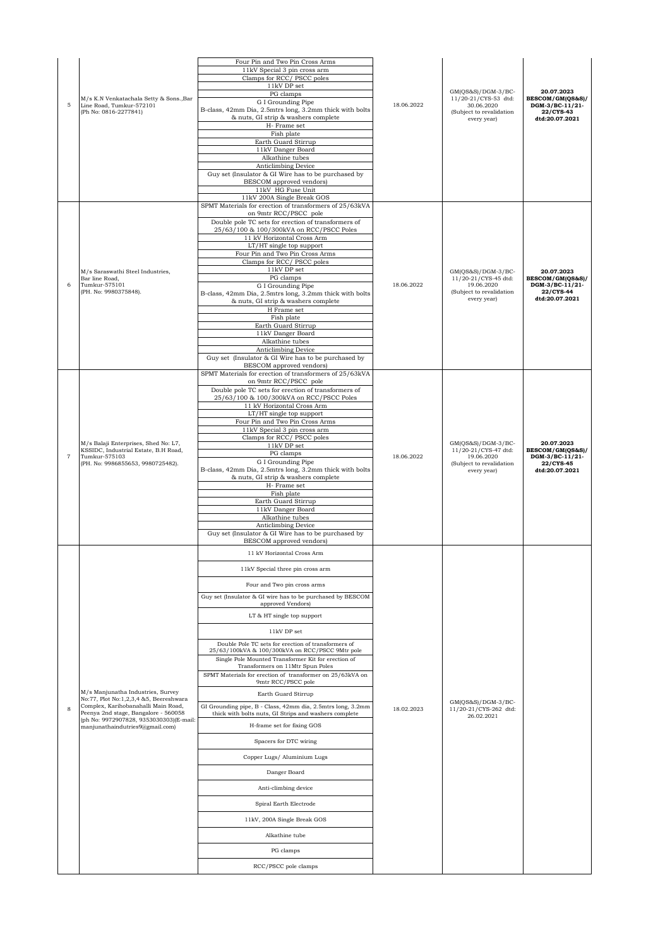| 5              | M/s K.N Venkatachala Setty & Sons., Bar<br>Line Road, Tumkur-572101<br>(Ph No: 0816-2277841)                                                                                                                                             | Four Pin and Two Pin Cross Arms<br>11kV Special 3 pin cross arm<br>Clamps for RCC/PSCC poles<br>11kV DP set<br>PG clamps<br>G I Grounding Pipe<br>B-class, 42mm Dia, 2.5mtrs long, 3.2mm thick with bolts<br>& nuts, GI strip & washers complete<br>H-Frame set<br>Fish plate<br>Earth Guard Stirrup<br>11kV Danger Board<br>Alkathine tubes<br>Anticlimbing Device<br>Guy set (Insulator & GI Wire has to be purchased by<br>BESCOM approved vendors)<br>11kV HG Fuse Unit<br>11kV 200A Single Break GOS                                                                                                                                                                                                                                                                                                                                                                                                           | 18.06.2022 | $GM(QS&S)/DGM-3/BC-$<br>11/20-21/CYS-53 dtd:<br>30.06.2020<br>(Subject to revalidation<br>every year) | 20.07.2023<br>BESCOM/GM(QS&S)/<br>DGM-3/BC-11/21-<br>22/CYS-43<br>dtd:20.07.2021 |
|----------------|------------------------------------------------------------------------------------------------------------------------------------------------------------------------------------------------------------------------------------------|---------------------------------------------------------------------------------------------------------------------------------------------------------------------------------------------------------------------------------------------------------------------------------------------------------------------------------------------------------------------------------------------------------------------------------------------------------------------------------------------------------------------------------------------------------------------------------------------------------------------------------------------------------------------------------------------------------------------------------------------------------------------------------------------------------------------------------------------------------------------------------------------------------------------|------------|-------------------------------------------------------------------------------------------------------|----------------------------------------------------------------------------------|
| 6              | M/s Saraswathi Steel Industries,<br>Bar line Road.<br>Tumkur-575101<br>(PH. No: 9980375848).                                                                                                                                             | SPMT Materials for erection of transformers of 25/63kVA<br>on 9mtr RCC/PSCC pole<br>Double pole TC sets for erection of transformers of<br>25/63/100 & 100/300kVA on RCC/PSCC Poles<br>11 kV Horizontal Cross Arm<br>LT/HT single top support<br>Four Pin and Two Pin Cross Arms<br>Clamps for RCC/PSCC poles<br>11kV DP set<br>PG clamps<br>G I Grounding Pipe<br>B-class, 42mm Dia, 2.5mtrs long, 3.2mm thick with bolts<br>& nuts, GI strip & washers complete<br>H Frame set<br>Fish plate<br>Earth Guard Stirrup<br>11kV Danger Board<br>Alkathine tubes<br>Anticlimbing Device<br>Guy set (Insulator & GI Wire has to be purchased by<br>BESCOM approved vendors)                                                                                                                                                                                                                                             | 18.06.2022 | $GM(QS&S)/DGM-3/BC-$<br>11/20-21/CYS-45 dtd:<br>19.06.2020<br>(Subject to revalidation<br>every year) | 20.07.2023<br>BESCOM/GM(QS&S)/<br>DGM-3/BC-11/21-<br>22/CYS-44<br>dtd:20.07.2021 |
| $\overline{7}$ | M/s Balaji Enterprises, Shed No: L7,<br>KSSIDC, Industrial Estate, B.H Road,<br>Tumkur-575103<br>(PH. No: 9986855653, 9980725482).                                                                                                       | SPMT Materials for erection of transformers of 25/63kVA<br>on 9mtr RCC/PSCC pole<br>Double pole TC sets for erection of transformers of<br>25/63/100 & 100/300kVA on RCC/PSCC Poles<br>11 kV Horizontal Cross Arm<br>LT/HT single top support<br>Four Pin and Two Pin Cross Arms<br>11kV Special 3 pin cross arm<br>Clamps for RCC/PSCC poles<br>11kV DP set<br>PG clamps<br>G I Grounding Pipe<br>B-class, 42mm Dia, 2.5mtrs long, 3.2mm thick with bolts<br>& nuts, GI strip & washers complete<br>H- Frame set<br>Fish plate<br>Earth Guard Stirrup<br>11kV Danger Board<br>Alkathine tubes<br>Anticlimbing Device<br>Guy set (Insulator & GI Wire has to be purchased by<br>BESCOM approved vendors)                                                                                                                                                                                                            | 18.06.2022 | $GM(QS&S)/DGM-3/BC-$<br>11/20-21/CYS-47 dtd:<br>19.06.2020<br>(Subject to revalidation<br>every year) | 20.07.2023<br>BESCOM/GM(QS&S)/<br>DGM-3/BC-11/21-<br>22/CYS-45<br>dtd:20.07.2021 |
| 8              | M/s Manjunatha Industries, Survey<br>No:77, Plot No:1,2,3,4 &5, Beereshwara<br>Complex, Karihobanahalli Main Road,<br>Peenya 2nd stage, Bangalore - 560058<br>(ph No: 9972907828, 9353030303)(E-mail:<br>manjunathaindutries9@gmail.com) | 11 kV Horizontal Cross Arm<br>11kV Special three pin cross arm<br>Four and Two pin cross arms<br>Guy set (Insulator & GI wire has to be purchased by BESCOM<br>approved Vendors)<br>LT & HT single top support<br>11kV DP set<br>Double Pole TC sets for erection of transformers of<br>25/63/100kVA & 100/300kVA on RCC/PSCC 9Mtr pole<br>Single Pole Mounted Transformer Kit for erection of<br>Transformers on 11Mtr Spun Poles<br>SPMT Materials for erection of transformer on 25/63kVA on<br>9mtr RCC/PSCC pole<br>Earth Guard Stirrup<br>GI Grounding pipe, B - Class, 42mm dia, 2.5mtrs long, 3.2mm<br>thick with bolts nuts, GI Strips and washers complete<br>H-frame set for fixing GOS<br>Spacers for DTC wiring<br>Copper Lugs/ Aluminium Lugs<br>Danger Board<br>Anti-climbing device<br>Spiral Earth Electrode<br>11kV, 200A Single Break GOS<br>Alkathine tube<br>PG clamps<br>RCC/PSCC pole clamps | 18.02.2023 | $GM(OS&S)/DGM-3/BC-$<br>11/20-21/CYS-262 dtd:<br>26.02.2021                                           |                                                                                  |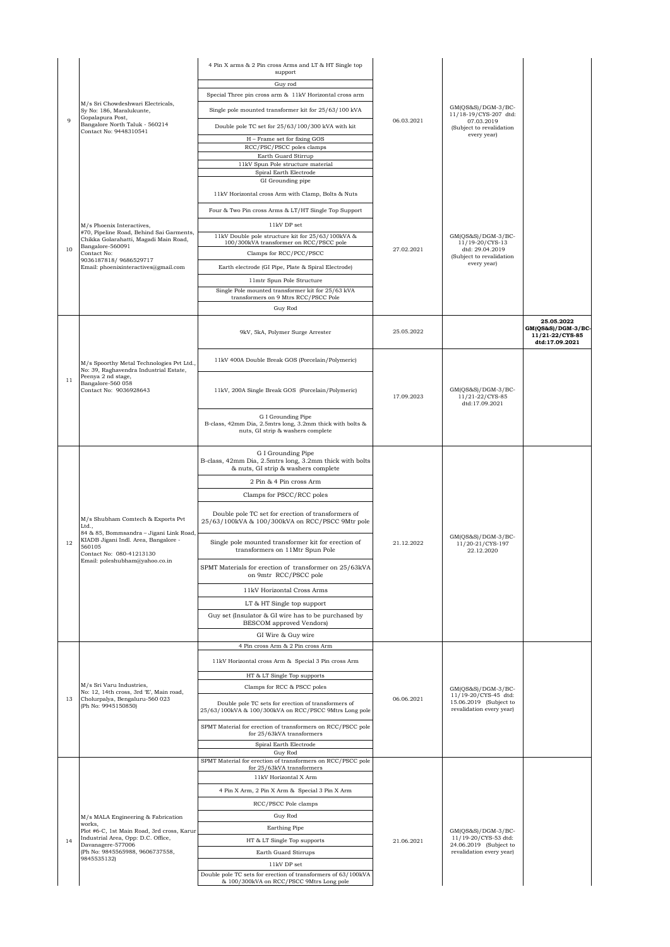| Guy rod<br>Special Three pin cross arm & 11kV Horizontal cross arm<br>M/s Sri Chowdeshwari Electricals,<br>GM(QS&S)/DGM-3/BC-<br>Single pole mounted transformer kit for 25/63/100 kVA<br>Sy No: 186, Maralukunte,<br>11/18-19/CYS-207 dtd:<br>Gopalapura Post,<br>9<br>06.03.2021<br>07.03.2019<br>Bangalore North Taluk - 560214<br>Double pole TC set for 25/63/100/300 kVA with kit<br>(Subject to revalidation<br>Contact No: 9448310541<br>every year)<br>H - Frame set for fixing GOS<br>RCC/PSC/PSCC poles clamps<br>Earth Guard Stirrup<br>11kV Spun Pole structure material<br>Spiral Earth Electrode<br>GI Grounding pipe<br>11kV Horizontal cross Arm with Clamp, Bolts & Nuts<br>Four & Two Pin cross Arms & LT/HT Single Top Support<br>11kV DP set<br>M/s Phoenix Interactives,<br>#70, Pipeline Road, Behind Sai Garments,<br>11kV Double pole structure kit for 25/63/100kVA &<br>GM(QS&S)/DGM-3/BC-<br>Chikka Golarahatti, Magadi Main Road,<br>100/300kVA transformer on RCC/PSCC pole<br>11/19-20/CYS-13<br>Bangalore-560091<br>10<br>27.02.2021<br>dtd: 29.04.2019<br>Clamps for RCC/PCC/PSCC<br>Contact No:<br>(Subject to revalidation<br>9036187818/9686529717<br>every year)<br>Email: phoenixinteractives@gmail.com<br>Earth electrode (GI Pipe, Plate & Spiral Electrode)<br>11mtr Spun Pole Structure<br>Single Pole mounted transformer kit for 25/63 kVA<br>transformers on 9 Mtrs RCC/PSCC Pole<br>Guy Rod<br>25.05.2022<br>GM(QS&S)/DGM-3/BC-<br>25.05.2022<br>9kV, 5kA, Polymer Surge Arrester<br>11/21-22/CYS-85<br>dtd:17.09.2021<br>11kV 400A Double Break GOS (Porcelain/Polymeric)<br>M/s Spoorthy Metal Technologies Pvt Ltd.,<br>No: 39, Raghavendra Industrial Estate,<br>Peenya 2 nd stage,<br>11<br>Bangalore-560 058<br>Contact No: 9036928643<br>11kV, 200A Single Break GOS (Porcelain/Polymeric)<br>$GM(QS&S)/DGM-3/BC-$<br>17.09.2023<br>11/21-22/CYS-85<br>dtd:17.09.2021<br>G I Grounding Pipe<br>B-class, 42mm Dia, 2.5mtrs long, 3.2mm thick with bolts &<br>nuts, GI strip & washers complete<br>G I Grounding Pipe<br>B-class, 42mm Dia, 2.5mtrs long, 3.2mm thick with bolts<br>& nuts, GI strip & washers complete<br>2 Pin & 4 Pin cross Arm<br>Clamps for PSCC/RCC poles<br>Double pole TC set for erection of transformers of<br>M/s Shubham Comtech & Exports Pvt<br>25/63/100kVA & 100/300kVA on RCC/PSCC 9Mtr pole<br>Ltd.,<br>84 & 85, Bommsandra - Jigani Link Road,<br>GM(QS&S)/DGM-3/BC-<br>KIADB Jigani Indl. Area, Bangalore -<br>Single pole mounted transformer kit for erection of<br>12<br>21.12.2022<br>11/20-21/CYS-197<br>560105<br>transformers on 11Mtr Spun Pole<br>22.12.2020<br>Contact No: 080-41213130<br>Email: poleshubham@vahoo.co.in-<br>SPMT Materials for erection of transformer on 25/63kVA<br>on 9mtr RCC/PSCC pole<br>11kV Horizontal Cross Arms<br>LT & HT Single top support<br>Guy set (Insulator & GI wire has to be purchased by<br>BESCOM approved Vendors)<br>GI Wire & Guy wire<br>4 Pin cross Arm & 2 Pin cross Arm<br>11kV Horizontal cross Arm & Special 3 Pin cross Arm<br>HT & LT Single Top supports<br>M/s Sri Varu Industries,<br>Clamps for RCC & PSCC poles<br>GM(QS&S)/DGM-3/BC-<br>No: 12, 14th cross, 3rd 'E', Main road,<br>11/19-20/CYS-45 dtd:<br>06.06.2021<br>13<br>Cholurpalya, Bengaluru-560 023<br>15.06.2019 (Subject to<br>Double pole TC sets for erection of transformers of<br>(Ph No: 9945150850)<br>revalidation every year)<br>25/63/100kVA & 100/300kVA on RCC/PSCC 9Mtrs Long pole<br>SPMT Material for erection of transformers on RCC/PSCC pole<br>for 25/63kVA transformers<br>Spiral Earth Electrode<br>Guy Rod<br>SPMT Material for erection of transformers on RCC/PSCC pole<br>for 25/63kVA transformers<br>11kV Horizontal X Arm<br>4 Pin X Arm, 2 Pin X Arm & Special 3 Pin X Arm<br>RCC/PSCC Pole clamps<br>Guy Rod<br>M/s MALA Engineering & Fabrication<br>works,<br>Earthing Pipe<br>$GM(QS&S)/DGM-3/BC-$<br>Plot #6-C, 1st Main Road, 3rd cross, Karur<br>Industrial Area, Opp: D.C. Office,<br>11/19-20/CYS-53 dtd:<br>HT & LT Single Top supports<br>21.06.2021<br>14<br>Davanagere-577006<br>24.06.2019 (Subject to<br>(Ph No: 9845565988, 9606737558,<br>revalidation every year)<br>Earth Guard Stirrups<br>9845535132)<br>11kV DP set<br>Double pole TC sets for erection of transformers of 63/100kVA<br>& 100/300kVA on RCC/PSCC 9Mtrs Long pole |  |  | 4 Pin X arms & 2 Pin cross Arms and LT & HT Single top<br>support |  |  |  |
|-----------------------------------------------------------------------------------------------------------------------------------------------------------------------------------------------------------------------------------------------------------------------------------------------------------------------------------------------------------------------------------------------------------------------------------------------------------------------------------------------------------------------------------------------------------------------------------------------------------------------------------------------------------------------------------------------------------------------------------------------------------------------------------------------------------------------------------------------------------------------------------------------------------------------------------------------------------------------------------------------------------------------------------------------------------------------------------------------------------------------------------------------------------------------------------------------------------------------------------------------------------------------------------------------------------------------------------------------------------------------------------------------------------------------------------------------------------------------------------------------------------------------------------------------------------------------------------------------------------------------------------------------------------------------------------------------------------------------------------------------------------------------------------------------------------------------------------------------------------------------------------------------------------------------------------------------------------------------------------------------------------------------------------------------------------------------------------------------------------------------------------------------------------------------------------------------------------------------------------------------------------------------------------------------------------------------------------------------------------------------------------------------------------------------------------------------------------------------------------------------------------------------------------------------------------------------------------------------------------------------------------------------------------------------------------------------------------------------------------------------------------------------------------------------------------------------------------------------------------------------------------------------------------------------------------------------------------------------------------------------------------------------------------------------------------------------------------------------------------------------------------------------------------------------------------------------------------------------------------------------------------------------------------------------------------------------------------------------------------------------------------------------------------------------------------------------------------------------------------------------------------------------------------------------------------------------------------------------------------------------------------------------------------------------------------------------------------------------------------------------------------------------------------------------------------------------------------------------------------------------------------------------------------------------------------------------------------------------------------------------------------------------------------------------------------------------------------------------------------------------------------------------------------------------------------------------------------------------------------------------------------------------------------------------------------------------------------------------------------------------------------------------------------|--|--|-------------------------------------------------------------------|--|--|--|
|                                                                                                                                                                                                                                                                                                                                                                                                                                                                                                                                                                                                                                                                                                                                                                                                                                                                                                                                                                                                                                                                                                                                                                                                                                                                                                                                                                                                                                                                                                                                                                                                                                                                                                                                                                                                                                                                                                                                                                                                                                                                                                                                                                                                                                                                                                                                                                                                                                                                                                                                                                                                                                                                                                                                                                                                                                                                                                                                                                                                                                                                                                                                                                                                                                                                                                                                                                                                                                                                                                                                                                                                                                                                                                                                                                                                                                                                                                                                                                                                                                                                                                                                                                                                                                                                                                                                                                                                           |  |  |                                                                   |  |  |  |
|                                                                                                                                                                                                                                                                                                                                                                                                                                                                                                                                                                                                                                                                                                                                                                                                                                                                                                                                                                                                                                                                                                                                                                                                                                                                                                                                                                                                                                                                                                                                                                                                                                                                                                                                                                                                                                                                                                                                                                                                                                                                                                                                                                                                                                                                                                                                                                                                                                                                                                                                                                                                                                                                                                                                                                                                                                                                                                                                                                                                                                                                                                                                                                                                                                                                                                                                                                                                                                                                                                                                                                                                                                                                                                                                                                                                                                                                                                                                                                                                                                                                                                                                                                                                                                                                                                                                                                                                           |  |  |                                                                   |  |  |  |
|                                                                                                                                                                                                                                                                                                                                                                                                                                                                                                                                                                                                                                                                                                                                                                                                                                                                                                                                                                                                                                                                                                                                                                                                                                                                                                                                                                                                                                                                                                                                                                                                                                                                                                                                                                                                                                                                                                                                                                                                                                                                                                                                                                                                                                                                                                                                                                                                                                                                                                                                                                                                                                                                                                                                                                                                                                                                                                                                                                                                                                                                                                                                                                                                                                                                                                                                                                                                                                                                                                                                                                                                                                                                                                                                                                                                                                                                                                                                                                                                                                                                                                                                                                                                                                                                                                                                                                                                           |  |  |                                                                   |  |  |  |
|                                                                                                                                                                                                                                                                                                                                                                                                                                                                                                                                                                                                                                                                                                                                                                                                                                                                                                                                                                                                                                                                                                                                                                                                                                                                                                                                                                                                                                                                                                                                                                                                                                                                                                                                                                                                                                                                                                                                                                                                                                                                                                                                                                                                                                                                                                                                                                                                                                                                                                                                                                                                                                                                                                                                                                                                                                                                                                                                                                                                                                                                                                                                                                                                                                                                                                                                                                                                                                                                                                                                                                                                                                                                                                                                                                                                                                                                                                                                                                                                                                                                                                                                                                                                                                                                                                                                                                                                           |  |  |                                                                   |  |  |  |
|                                                                                                                                                                                                                                                                                                                                                                                                                                                                                                                                                                                                                                                                                                                                                                                                                                                                                                                                                                                                                                                                                                                                                                                                                                                                                                                                                                                                                                                                                                                                                                                                                                                                                                                                                                                                                                                                                                                                                                                                                                                                                                                                                                                                                                                                                                                                                                                                                                                                                                                                                                                                                                                                                                                                                                                                                                                                                                                                                                                                                                                                                                                                                                                                                                                                                                                                                                                                                                                                                                                                                                                                                                                                                                                                                                                                                                                                                                                                                                                                                                                                                                                                                                                                                                                                                                                                                                                                           |  |  |                                                                   |  |  |  |
|                                                                                                                                                                                                                                                                                                                                                                                                                                                                                                                                                                                                                                                                                                                                                                                                                                                                                                                                                                                                                                                                                                                                                                                                                                                                                                                                                                                                                                                                                                                                                                                                                                                                                                                                                                                                                                                                                                                                                                                                                                                                                                                                                                                                                                                                                                                                                                                                                                                                                                                                                                                                                                                                                                                                                                                                                                                                                                                                                                                                                                                                                                                                                                                                                                                                                                                                                                                                                                                                                                                                                                                                                                                                                                                                                                                                                                                                                                                                                                                                                                                                                                                                                                                                                                                                                                                                                                                                           |  |  |                                                                   |  |  |  |
|                                                                                                                                                                                                                                                                                                                                                                                                                                                                                                                                                                                                                                                                                                                                                                                                                                                                                                                                                                                                                                                                                                                                                                                                                                                                                                                                                                                                                                                                                                                                                                                                                                                                                                                                                                                                                                                                                                                                                                                                                                                                                                                                                                                                                                                                                                                                                                                                                                                                                                                                                                                                                                                                                                                                                                                                                                                                                                                                                                                                                                                                                                                                                                                                                                                                                                                                                                                                                                                                                                                                                                                                                                                                                                                                                                                                                                                                                                                                                                                                                                                                                                                                                                                                                                                                                                                                                                                                           |  |  |                                                                   |  |  |  |
|                                                                                                                                                                                                                                                                                                                                                                                                                                                                                                                                                                                                                                                                                                                                                                                                                                                                                                                                                                                                                                                                                                                                                                                                                                                                                                                                                                                                                                                                                                                                                                                                                                                                                                                                                                                                                                                                                                                                                                                                                                                                                                                                                                                                                                                                                                                                                                                                                                                                                                                                                                                                                                                                                                                                                                                                                                                                                                                                                                                                                                                                                                                                                                                                                                                                                                                                                                                                                                                                                                                                                                                                                                                                                                                                                                                                                                                                                                                                                                                                                                                                                                                                                                                                                                                                                                                                                                                                           |  |  |                                                                   |  |  |  |
|                                                                                                                                                                                                                                                                                                                                                                                                                                                                                                                                                                                                                                                                                                                                                                                                                                                                                                                                                                                                                                                                                                                                                                                                                                                                                                                                                                                                                                                                                                                                                                                                                                                                                                                                                                                                                                                                                                                                                                                                                                                                                                                                                                                                                                                                                                                                                                                                                                                                                                                                                                                                                                                                                                                                                                                                                                                                                                                                                                                                                                                                                                                                                                                                                                                                                                                                                                                                                                                                                                                                                                                                                                                                                                                                                                                                                                                                                                                                                                                                                                                                                                                                                                                                                                                                                                                                                                                                           |  |  |                                                                   |  |  |  |
|                                                                                                                                                                                                                                                                                                                                                                                                                                                                                                                                                                                                                                                                                                                                                                                                                                                                                                                                                                                                                                                                                                                                                                                                                                                                                                                                                                                                                                                                                                                                                                                                                                                                                                                                                                                                                                                                                                                                                                                                                                                                                                                                                                                                                                                                                                                                                                                                                                                                                                                                                                                                                                                                                                                                                                                                                                                                                                                                                                                                                                                                                                                                                                                                                                                                                                                                                                                                                                                                                                                                                                                                                                                                                                                                                                                                                                                                                                                                                                                                                                                                                                                                                                                                                                                                                                                                                                                                           |  |  |                                                                   |  |  |  |
|                                                                                                                                                                                                                                                                                                                                                                                                                                                                                                                                                                                                                                                                                                                                                                                                                                                                                                                                                                                                                                                                                                                                                                                                                                                                                                                                                                                                                                                                                                                                                                                                                                                                                                                                                                                                                                                                                                                                                                                                                                                                                                                                                                                                                                                                                                                                                                                                                                                                                                                                                                                                                                                                                                                                                                                                                                                                                                                                                                                                                                                                                                                                                                                                                                                                                                                                                                                                                                                                                                                                                                                                                                                                                                                                                                                                                                                                                                                                                                                                                                                                                                                                                                                                                                                                                                                                                                                                           |  |  |                                                                   |  |  |  |
|                                                                                                                                                                                                                                                                                                                                                                                                                                                                                                                                                                                                                                                                                                                                                                                                                                                                                                                                                                                                                                                                                                                                                                                                                                                                                                                                                                                                                                                                                                                                                                                                                                                                                                                                                                                                                                                                                                                                                                                                                                                                                                                                                                                                                                                                                                                                                                                                                                                                                                                                                                                                                                                                                                                                                                                                                                                                                                                                                                                                                                                                                                                                                                                                                                                                                                                                                                                                                                                                                                                                                                                                                                                                                                                                                                                                                                                                                                                                                                                                                                                                                                                                                                                                                                                                                                                                                                                                           |  |  |                                                                   |  |  |  |
|                                                                                                                                                                                                                                                                                                                                                                                                                                                                                                                                                                                                                                                                                                                                                                                                                                                                                                                                                                                                                                                                                                                                                                                                                                                                                                                                                                                                                                                                                                                                                                                                                                                                                                                                                                                                                                                                                                                                                                                                                                                                                                                                                                                                                                                                                                                                                                                                                                                                                                                                                                                                                                                                                                                                                                                                                                                                                                                                                                                                                                                                                                                                                                                                                                                                                                                                                                                                                                                                                                                                                                                                                                                                                                                                                                                                                                                                                                                                                                                                                                                                                                                                                                                                                                                                                                                                                                                                           |  |  |                                                                   |  |  |  |
|                                                                                                                                                                                                                                                                                                                                                                                                                                                                                                                                                                                                                                                                                                                                                                                                                                                                                                                                                                                                                                                                                                                                                                                                                                                                                                                                                                                                                                                                                                                                                                                                                                                                                                                                                                                                                                                                                                                                                                                                                                                                                                                                                                                                                                                                                                                                                                                                                                                                                                                                                                                                                                                                                                                                                                                                                                                                                                                                                                                                                                                                                                                                                                                                                                                                                                                                                                                                                                                                                                                                                                                                                                                                                                                                                                                                                                                                                                                                                                                                                                                                                                                                                                                                                                                                                                                                                                                                           |  |  |                                                                   |  |  |  |
|                                                                                                                                                                                                                                                                                                                                                                                                                                                                                                                                                                                                                                                                                                                                                                                                                                                                                                                                                                                                                                                                                                                                                                                                                                                                                                                                                                                                                                                                                                                                                                                                                                                                                                                                                                                                                                                                                                                                                                                                                                                                                                                                                                                                                                                                                                                                                                                                                                                                                                                                                                                                                                                                                                                                                                                                                                                                                                                                                                                                                                                                                                                                                                                                                                                                                                                                                                                                                                                                                                                                                                                                                                                                                                                                                                                                                                                                                                                                                                                                                                                                                                                                                                                                                                                                                                                                                                                                           |  |  |                                                                   |  |  |  |
|                                                                                                                                                                                                                                                                                                                                                                                                                                                                                                                                                                                                                                                                                                                                                                                                                                                                                                                                                                                                                                                                                                                                                                                                                                                                                                                                                                                                                                                                                                                                                                                                                                                                                                                                                                                                                                                                                                                                                                                                                                                                                                                                                                                                                                                                                                                                                                                                                                                                                                                                                                                                                                                                                                                                                                                                                                                                                                                                                                                                                                                                                                                                                                                                                                                                                                                                                                                                                                                                                                                                                                                                                                                                                                                                                                                                                                                                                                                                                                                                                                                                                                                                                                                                                                                                                                                                                                                                           |  |  |                                                                   |  |  |  |
|                                                                                                                                                                                                                                                                                                                                                                                                                                                                                                                                                                                                                                                                                                                                                                                                                                                                                                                                                                                                                                                                                                                                                                                                                                                                                                                                                                                                                                                                                                                                                                                                                                                                                                                                                                                                                                                                                                                                                                                                                                                                                                                                                                                                                                                                                                                                                                                                                                                                                                                                                                                                                                                                                                                                                                                                                                                                                                                                                                                                                                                                                                                                                                                                                                                                                                                                                                                                                                                                                                                                                                                                                                                                                                                                                                                                                                                                                                                                                                                                                                                                                                                                                                                                                                                                                                                                                                                                           |  |  |                                                                   |  |  |  |
|                                                                                                                                                                                                                                                                                                                                                                                                                                                                                                                                                                                                                                                                                                                                                                                                                                                                                                                                                                                                                                                                                                                                                                                                                                                                                                                                                                                                                                                                                                                                                                                                                                                                                                                                                                                                                                                                                                                                                                                                                                                                                                                                                                                                                                                                                                                                                                                                                                                                                                                                                                                                                                                                                                                                                                                                                                                                                                                                                                                                                                                                                                                                                                                                                                                                                                                                                                                                                                                                                                                                                                                                                                                                                                                                                                                                                                                                                                                                                                                                                                                                                                                                                                                                                                                                                                                                                                                                           |  |  |                                                                   |  |  |  |
|                                                                                                                                                                                                                                                                                                                                                                                                                                                                                                                                                                                                                                                                                                                                                                                                                                                                                                                                                                                                                                                                                                                                                                                                                                                                                                                                                                                                                                                                                                                                                                                                                                                                                                                                                                                                                                                                                                                                                                                                                                                                                                                                                                                                                                                                                                                                                                                                                                                                                                                                                                                                                                                                                                                                                                                                                                                                                                                                                                                                                                                                                                                                                                                                                                                                                                                                                                                                                                                                                                                                                                                                                                                                                                                                                                                                                                                                                                                                                                                                                                                                                                                                                                                                                                                                                                                                                                                                           |  |  |                                                                   |  |  |  |
|                                                                                                                                                                                                                                                                                                                                                                                                                                                                                                                                                                                                                                                                                                                                                                                                                                                                                                                                                                                                                                                                                                                                                                                                                                                                                                                                                                                                                                                                                                                                                                                                                                                                                                                                                                                                                                                                                                                                                                                                                                                                                                                                                                                                                                                                                                                                                                                                                                                                                                                                                                                                                                                                                                                                                                                                                                                                                                                                                                                                                                                                                                                                                                                                                                                                                                                                                                                                                                                                                                                                                                                                                                                                                                                                                                                                                                                                                                                                                                                                                                                                                                                                                                                                                                                                                                                                                                                                           |  |  |                                                                   |  |  |  |
|                                                                                                                                                                                                                                                                                                                                                                                                                                                                                                                                                                                                                                                                                                                                                                                                                                                                                                                                                                                                                                                                                                                                                                                                                                                                                                                                                                                                                                                                                                                                                                                                                                                                                                                                                                                                                                                                                                                                                                                                                                                                                                                                                                                                                                                                                                                                                                                                                                                                                                                                                                                                                                                                                                                                                                                                                                                                                                                                                                                                                                                                                                                                                                                                                                                                                                                                                                                                                                                                                                                                                                                                                                                                                                                                                                                                                                                                                                                                                                                                                                                                                                                                                                                                                                                                                                                                                                                                           |  |  |                                                                   |  |  |  |
|                                                                                                                                                                                                                                                                                                                                                                                                                                                                                                                                                                                                                                                                                                                                                                                                                                                                                                                                                                                                                                                                                                                                                                                                                                                                                                                                                                                                                                                                                                                                                                                                                                                                                                                                                                                                                                                                                                                                                                                                                                                                                                                                                                                                                                                                                                                                                                                                                                                                                                                                                                                                                                                                                                                                                                                                                                                                                                                                                                                                                                                                                                                                                                                                                                                                                                                                                                                                                                                                                                                                                                                                                                                                                                                                                                                                                                                                                                                                                                                                                                                                                                                                                                                                                                                                                                                                                                                                           |  |  |                                                                   |  |  |  |
|                                                                                                                                                                                                                                                                                                                                                                                                                                                                                                                                                                                                                                                                                                                                                                                                                                                                                                                                                                                                                                                                                                                                                                                                                                                                                                                                                                                                                                                                                                                                                                                                                                                                                                                                                                                                                                                                                                                                                                                                                                                                                                                                                                                                                                                                                                                                                                                                                                                                                                                                                                                                                                                                                                                                                                                                                                                                                                                                                                                                                                                                                                                                                                                                                                                                                                                                                                                                                                                                                                                                                                                                                                                                                                                                                                                                                                                                                                                                                                                                                                                                                                                                                                                                                                                                                                                                                                                                           |  |  |                                                                   |  |  |  |
|                                                                                                                                                                                                                                                                                                                                                                                                                                                                                                                                                                                                                                                                                                                                                                                                                                                                                                                                                                                                                                                                                                                                                                                                                                                                                                                                                                                                                                                                                                                                                                                                                                                                                                                                                                                                                                                                                                                                                                                                                                                                                                                                                                                                                                                                                                                                                                                                                                                                                                                                                                                                                                                                                                                                                                                                                                                                                                                                                                                                                                                                                                                                                                                                                                                                                                                                                                                                                                                                                                                                                                                                                                                                                                                                                                                                                                                                                                                                                                                                                                                                                                                                                                                                                                                                                                                                                                                                           |  |  |                                                                   |  |  |  |
|                                                                                                                                                                                                                                                                                                                                                                                                                                                                                                                                                                                                                                                                                                                                                                                                                                                                                                                                                                                                                                                                                                                                                                                                                                                                                                                                                                                                                                                                                                                                                                                                                                                                                                                                                                                                                                                                                                                                                                                                                                                                                                                                                                                                                                                                                                                                                                                                                                                                                                                                                                                                                                                                                                                                                                                                                                                                                                                                                                                                                                                                                                                                                                                                                                                                                                                                                                                                                                                                                                                                                                                                                                                                                                                                                                                                                                                                                                                                                                                                                                                                                                                                                                                                                                                                                                                                                                                                           |  |  |                                                                   |  |  |  |
|                                                                                                                                                                                                                                                                                                                                                                                                                                                                                                                                                                                                                                                                                                                                                                                                                                                                                                                                                                                                                                                                                                                                                                                                                                                                                                                                                                                                                                                                                                                                                                                                                                                                                                                                                                                                                                                                                                                                                                                                                                                                                                                                                                                                                                                                                                                                                                                                                                                                                                                                                                                                                                                                                                                                                                                                                                                                                                                                                                                                                                                                                                                                                                                                                                                                                                                                                                                                                                                                                                                                                                                                                                                                                                                                                                                                                                                                                                                                                                                                                                                                                                                                                                                                                                                                                                                                                                                                           |  |  |                                                                   |  |  |  |
|                                                                                                                                                                                                                                                                                                                                                                                                                                                                                                                                                                                                                                                                                                                                                                                                                                                                                                                                                                                                                                                                                                                                                                                                                                                                                                                                                                                                                                                                                                                                                                                                                                                                                                                                                                                                                                                                                                                                                                                                                                                                                                                                                                                                                                                                                                                                                                                                                                                                                                                                                                                                                                                                                                                                                                                                                                                                                                                                                                                                                                                                                                                                                                                                                                                                                                                                                                                                                                                                                                                                                                                                                                                                                                                                                                                                                                                                                                                                                                                                                                                                                                                                                                                                                                                                                                                                                                                                           |  |  |                                                                   |  |  |  |
|                                                                                                                                                                                                                                                                                                                                                                                                                                                                                                                                                                                                                                                                                                                                                                                                                                                                                                                                                                                                                                                                                                                                                                                                                                                                                                                                                                                                                                                                                                                                                                                                                                                                                                                                                                                                                                                                                                                                                                                                                                                                                                                                                                                                                                                                                                                                                                                                                                                                                                                                                                                                                                                                                                                                                                                                                                                                                                                                                                                                                                                                                                                                                                                                                                                                                                                                                                                                                                                                                                                                                                                                                                                                                                                                                                                                                                                                                                                                                                                                                                                                                                                                                                                                                                                                                                                                                                                                           |  |  |                                                                   |  |  |  |
|                                                                                                                                                                                                                                                                                                                                                                                                                                                                                                                                                                                                                                                                                                                                                                                                                                                                                                                                                                                                                                                                                                                                                                                                                                                                                                                                                                                                                                                                                                                                                                                                                                                                                                                                                                                                                                                                                                                                                                                                                                                                                                                                                                                                                                                                                                                                                                                                                                                                                                                                                                                                                                                                                                                                                                                                                                                                                                                                                                                                                                                                                                                                                                                                                                                                                                                                                                                                                                                                                                                                                                                                                                                                                                                                                                                                                                                                                                                                                                                                                                                                                                                                                                                                                                                                                                                                                                                                           |  |  |                                                                   |  |  |  |
|                                                                                                                                                                                                                                                                                                                                                                                                                                                                                                                                                                                                                                                                                                                                                                                                                                                                                                                                                                                                                                                                                                                                                                                                                                                                                                                                                                                                                                                                                                                                                                                                                                                                                                                                                                                                                                                                                                                                                                                                                                                                                                                                                                                                                                                                                                                                                                                                                                                                                                                                                                                                                                                                                                                                                                                                                                                                                                                                                                                                                                                                                                                                                                                                                                                                                                                                                                                                                                                                                                                                                                                                                                                                                                                                                                                                                                                                                                                                                                                                                                                                                                                                                                                                                                                                                                                                                                                                           |  |  |                                                                   |  |  |  |
|                                                                                                                                                                                                                                                                                                                                                                                                                                                                                                                                                                                                                                                                                                                                                                                                                                                                                                                                                                                                                                                                                                                                                                                                                                                                                                                                                                                                                                                                                                                                                                                                                                                                                                                                                                                                                                                                                                                                                                                                                                                                                                                                                                                                                                                                                                                                                                                                                                                                                                                                                                                                                                                                                                                                                                                                                                                                                                                                                                                                                                                                                                                                                                                                                                                                                                                                                                                                                                                                                                                                                                                                                                                                                                                                                                                                                                                                                                                                                                                                                                                                                                                                                                                                                                                                                                                                                                                                           |  |  |                                                                   |  |  |  |
|                                                                                                                                                                                                                                                                                                                                                                                                                                                                                                                                                                                                                                                                                                                                                                                                                                                                                                                                                                                                                                                                                                                                                                                                                                                                                                                                                                                                                                                                                                                                                                                                                                                                                                                                                                                                                                                                                                                                                                                                                                                                                                                                                                                                                                                                                                                                                                                                                                                                                                                                                                                                                                                                                                                                                                                                                                                                                                                                                                                                                                                                                                                                                                                                                                                                                                                                                                                                                                                                                                                                                                                                                                                                                                                                                                                                                                                                                                                                                                                                                                                                                                                                                                                                                                                                                                                                                                                                           |  |  |                                                                   |  |  |  |
|                                                                                                                                                                                                                                                                                                                                                                                                                                                                                                                                                                                                                                                                                                                                                                                                                                                                                                                                                                                                                                                                                                                                                                                                                                                                                                                                                                                                                                                                                                                                                                                                                                                                                                                                                                                                                                                                                                                                                                                                                                                                                                                                                                                                                                                                                                                                                                                                                                                                                                                                                                                                                                                                                                                                                                                                                                                                                                                                                                                                                                                                                                                                                                                                                                                                                                                                                                                                                                                                                                                                                                                                                                                                                                                                                                                                                                                                                                                                                                                                                                                                                                                                                                                                                                                                                                                                                                                                           |  |  |                                                                   |  |  |  |
|                                                                                                                                                                                                                                                                                                                                                                                                                                                                                                                                                                                                                                                                                                                                                                                                                                                                                                                                                                                                                                                                                                                                                                                                                                                                                                                                                                                                                                                                                                                                                                                                                                                                                                                                                                                                                                                                                                                                                                                                                                                                                                                                                                                                                                                                                                                                                                                                                                                                                                                                                                                                                                                                                                                                                                                                                                                                                                                                                                                                                                                                                                                                                                                                                                                                                                                                                                                                                                                                                                                                                                                                                                                                                                                                                                                                                                                                                                                                                                                                                                                                                                                                                                                                                                                                                                                                                                                                           |  |  |                                                                   |  |  |  |
|                                                                                                                                                                                                                                                                                                                                                                                                                                                                                                                                                                                                                                                                                                                                                                                                                                                                                                                                                                                                                                                                                                                                                                                                                                                                                                                                                                                                                                                                                                                                                                                                                                                                                                                                                                                                                                                                                                                                                                                                                                                                                                                                                                                                                                                                                                                                                                                                                                                                                                                                                                                                                                                                                                                                                                                                                                                                                                                                                                                                                                                                                                                                                                                                                                                                                                                                                                                                                                                                                                                                                                                                                                                                                                                                                                                                                                                                                                                                                                                                                                                                                                                                                                                                                                                                                                                                                                                                           |  |  |                                                                   |  |  |  |
|                                                                                                                                                                                                                                                                                                                                                                                                                                                                                                                                                                                                                                                                                                                                                                                                                                                                                                                                                                                                                                                                                                                                                                                                                                                                                                                                                                                                                                                                                                                                                                                                                                                                                                                                                                                                                                                                                                                                                                                                                                                                                                                                                                                                                                                                                                                                                                                                                                                                                                                                                                                                                                                                                                                                                                                                                                                                                                                                                                                                                                                                                                                                                                                                                                                                                                                                                                                                                                                                                                                                                                                                                                                                                                                                                                                                                                                                                                                                                                                                                                                                                                                                                                                                                                                                                                                                                                                                           |  |  |                                                                   |  |  |  |
|                                                                                                                                                                                                                                                                                                                                                                                                                                                                                                                                                                                                                                                                                                                                                                                                                                                                                                                                                                                                                                                                                                                                                                                                                                                                                                                                                                                                                                                                                                                                                                                                                                                                                                                                                                                                                                                                                                                                                                                                                                                                                                                                                                                                                                                                                                                                                                                                                                                                                                                                                                                                                                                                                                                                                                                                                                                                                                                                                                                                                                                                                                                                                                                                                                                                                                                                                                                                                                                                                                                                                                                                                                                                                                                                                                                                                                                                                                                                                                                                                                                                                                                                                                                                                                                                                                                                                                                                           |  |  |                                                                   |  |  |  |
|                                                                                                                                                                                                                                                                                                                                                                                                                                                                                                                                                                                                                                                                                                                                                                                                                                                                                                                                                                                                                                                                                                                                                                                                                                                                                                                                                                                                                                                                                                                                                                                                                                                                                                                                                                                                                                                                                                                                                                                                                                                                                                                                                                                                                                                                                                                                                                                                                                                                                                                                                                                                                                                                                                                                                                                                                                                                                                                                                                                                                                                                                                                                                                                                                                                                                                                                                                                                                                                                                                                                                                                                                                                                                                                                                                                                                                                                                                                                                                                                                                                                                                                                                                                                                                                                                                                                                                                                           |  |  |                                                                   |  |  |  |
|                                                                                                                                                                                                                                                                                                                                                                                                                                                                                                                                                                                                                                                                                                                                                                                                                                                                                                                                                                                                                                                                                                                                                                                                                                                                                                                                                                                                                                                                                                                                                                                                                                                                                                                                                                                                                                                                                                                                                                                                                                                                                                                                                                                                                                                                                                                                                                                                                                                                                                                                                                                                                                                                                                                                                                                                                                                                                                                                                                                                                                                                                                                                                                                                                                                                                                                                                                                                                                                                                                                                                                                                                                                                                                                                                                                                                                                                                                                                                                                                                                                                                                                                                                                                                                                                                                                                                                                                           |  |  |                                                                   |  |  |  |
|                                                                                                                                                                                                                                                                                                                                                                                                                                                                                                                                                                                                                                                                                                                                                                                                                                                                                                                                                                                                                                                                                                                                                                                                                                                                                                                                                                                                                                                                                                                                                                                                                                                                                                                                                                                                                                                                                                                                                                                                                                                                                                                                                                                                                                                                                                                                                                                                                                                                                                                                                                                                                                                                                                                                                                                                                                                                                                                                                                                                                                                                                                                                                                                                                                                                                                                                                                                                                                                                                                                                                                                                                                                                                                                                                                                                                                                                                                                                                                                                                                                                                                                                                                                                                                                                                                                                                                                                           |  |  |                                                                   |  |  |  |
|                                                                                                                                                                                                                                                                                                                                                                                                                                                                                                                                                                                                                                                                                                                                                                                                                                                                                                                                                                                                                                                                                                                                                                                                                                                                                                                                                                                                                                                                                                                                                                                                                                                                                                                                                                                                                                                                                                                                                                                                                                                                                                                                                                                                                                                                                                                                                                                                                                                                                                                                                                                                                                                                                                                                                                                                                                                                                                                                                                                                                                                                                                                                                                                                                                                                                                                                                                                                                                                                                                                                                                                                                                                                                                                                                                                                                                                                                                                                                                                                                                                                                                                                                                                                                                                                                                                                                                                                           |  |  |                                                                   |  |  |  |
|                                                                                                                                                                                                                                                                                                                                                                                                                                                                                                                                                                                                                                                                                                                                                                                                                                                                                                                                                                                                                                                                                                                                                                                                                                                                                                                                                                                                                                                                                                                                                                                                                                                                                                                                                                                                                                                                                                                                                                                                                                                                                                                                                                                                                                                                                                                                                                                                                                                                                                                                                                                                                                                                                                                                                                                                                                                                                                                                                                                                                                                                                                                                                                                                                                                                                                                                                                                                                                                                                                                                                                                                                                                                                                                                                                                                                                                                                                                                                                                                                                                                                                                                                                                                                                                                                                                                                                                                           |  |  |                                                                   |  |  |  |
|                                                                                                                                                                                                                                                                                                                                                                                                                                                                                                                                                                                                                                                                                                                                                                                                                                                                                                                                                                                                                                                                                                                                                                                                                                                                                                                                                                                                                                                                                                                                                                                                                                                                                                                                                                                                                                                                                                                                                                                                                                                                                                                                                                                                                                                                                                                                                                                                                                                                                                                                                                                                                                                                                                                                                                                                                                                                                                                                                                                                                                                                                                                                                                                                                                                                                                                                                                                                                                                                                                                                                                                                                                                                                                                                                                                                                                                                                                                                                                                                                                                                                                                                                                                                                                                                                                                                                                                                           |  |  |                                                                   |  |  |  |
|                                                                                                                                                                                                                                                                                                                                                                                                                                                                                                                                                                                                                                                                                                                                                                                                                                                                                                                                                                                                                                                                                                                                                                                                                                                                                                                                                                                                                                                                                                                                                                                                                                                                                                                                                                                                                                                                                                                                                                                                                                                                                                                                                                                                                                                                                                                                                                                                                                                                                                                                                                                                                                                                                                                                                                                                                                                                                                                                                                                                                                                                                                                                                                                                                                                                                                                                                                                                                                                                                                                                                                                                                                                                                                                                                                                                                                                                                                                                                                                                                                                                                                                                                                                                                                                                                                                                                                                                           |  |  |                                                                   |  |  |  |
|                                                                                                                                                                                                                                                                                                                                                                                                                                                                                                                                                                                                                                                                                                                                                                                                                                                                                                                                                                                                                                                                                                                                                                                                                                                                                                                                                                                                                                                                                                                                                                                                                                                                                                                                                                                                                                                                                                                                                                                                                                                                                                                                                                                                                                                                                                                                                                                                                                                                                                                                                                                                                                                                                                                                                                                                                                                                                                                                                                                                                                                                                                                                                                                                                                                                                                                                                                                                                                                                                                                                                                                                                                                                                                                                                                                                                                                                                                                                                                                                                                                                                                                                                                                                                                                                                                                                                                                                           |  |  |                                                                   |  |  |  |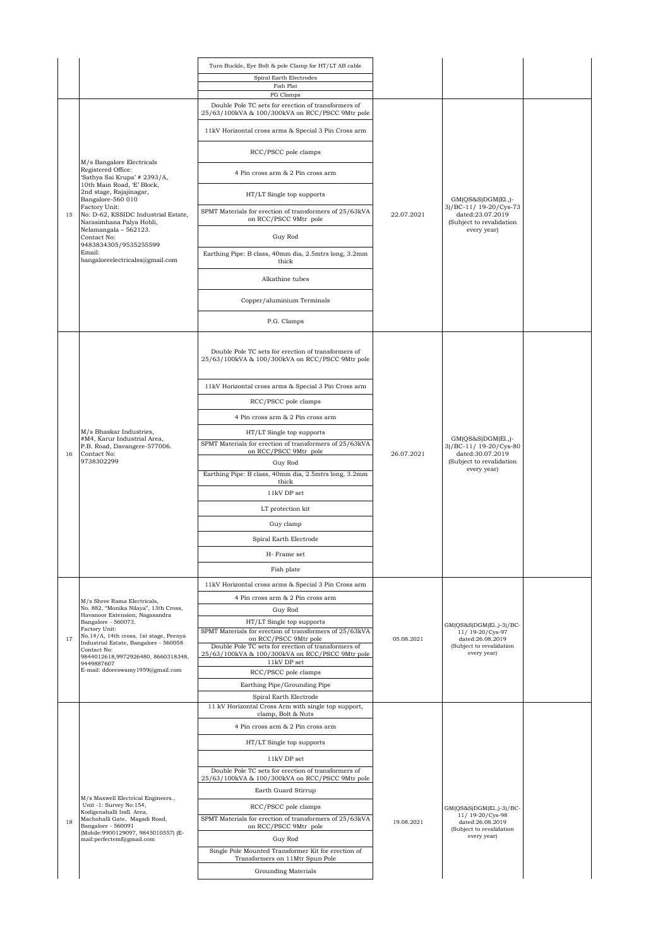|    |                                                                                  | Turn Buckle, Eye Bolt & pole Clamp for HT/LT AB cable                                                  |            |                                                                        |  |
|----|----------------------------------------------------------------------------------|--------------------------------------------------------------------------------------------------------|------------|------------------------------------------------------------------------|--|
|    |                                                                                  | Spiral Earth Electrodes                                                                                |            |                                                                        |  |
|    |                                                                                  | Fish Plat<br>PG Clamps                                                                                 |            |                                                                        |  |
|    |                                                                                  | Double Pole TC sets for erection of transformers of<br>25/63/100kVA & 100/300kVA on RCC/PSCC 9Mtr pole |            |                                                                        |  |
|    | M/s Bangalore Electricals                                                        | 11kV Horizontal cross arms & Special 3 Pin Cross arm                                                   |            |                                                                        |  |
|    |                                                                                  | RCC/PSCC pole clamps                                                                                   |            |                                                                        |  |
|    | Registered Office:<br>'Sathya Sai Krupa' # 2393/A,<br>10th Main Road, 'E' Block, | 4 Pin cross arm & 2 Pin cross arm                                                                      |            |                                                                        |  |
|    | 2nd stage, Rajajinagar,<br>Bangalore-560 010                                     | HT/LT Single top supports                                                                              |            | GM(QS&S)DGM(El.,)-                                                     |  |
| 15 | Factory Unit:<br>No: D-62, KSSIDC Industrial Estate,<br>Narasimhana Palya Hobli, | SPMT Materials for erection of transformers of 25/63kVA<br>on RCC/PSCC 9Mtr pole                       | 22.07.2021 | 3)/BC-11/ 19-20/Cys-73<br>dated:23.07.2019<br>(Subject to revalidation |  |
|    | Nelamangala - 562123.<br>Contact No:<br>9483834305/9535255599                    | Guy Rod                                                                                                |            | every year)                                                            |  |
|    | Email:<br>bangaloreelectricalss@gmail.com                                        | Earthing Pipe: B class, 40mm dia, 2.5mtrs long, 3.2mm<br>thick                                         |            |                                                                        |  |
|    |                                                                                  | Alkathine tubes                                                                                        |            |                                                                        |  |
|    |                                                                                  | Copper/aluminium Terminals                                                                             |            |                                                                        |  |
|    |                                                                                  | P.G. Clamps                                                                                            |            |                                                                        |  |
|    |                                                                                  | Double Pole TC sets for erection of transformers of<br>25/63/100kVA & 100/300kVA on RCC/PSCC 9Mtr pole |            |                                                                        |  |
|    |                                                                                  | 11kV Horizontal cross arms & Special 3 Pin Cross arm                                                   |            |                                                                        |  |
|    |                                                                                  | RCC/PSCC pole clamps                                                                                   |            |                                                                        |  |
|    |                                                                                  | 4 Pin cross arm & 2 Pin cross arm                                                                      |            |                                                                        |  |
|    | M/s Bhaskar Industries,<br>#M4, Karur Industrial Area,                           | HT/LT Single top supports                                                                              |            | $GM(QS&S)DGM(E1.)-$                                                    |  |
| 16 | P.B. Road, Davangere-577006.<br>Contact No:                                      | SPMT Materials for erection of transformers of 25/63kVA<br>on RCC/PSCC 9Mtr pole                       | 26.07.2021 | 3)/BC-11/19-20/Cys-80<br>dated:30.07.2019                              |  |
|    | 9738302299                                                                       | Guy Rod                                                                                                |            | (Subject to revalidation                                               |  |
|    |                                                                                  | Earthing Pipe: B class, 40mm dia, 2.5mtrs long, 3.2mm<br>thick                                         |            | every year)                                                            |  |
|    |                                                                                  | 11kV DP set                                                                                            |            |                                                                        |  |
|    |                                                                                  | LT protection kit                                                                                      |            |                                                                        |  |
|    |                                                                                  | Guy clamp                                                                                              |            |                                                                        |  |
|    |                                                                                  | Spiral Earth Electrode                                                                                 |            |                                                                        |  |
|    |                                                                                  | H-Frame set                                                                                            |            |                                                                        |  |
|    |                                                                                  | Fish plate                                                                                             |            |                                                                        |  |
|    |                                                                                  | 11kV Horizontal cross arms & Special 3 Pin Cross arm                                                   |            |                                                                        |  |
|    | M/s Shree Rama Electricals,                                                      | 4 Pin cross arm & 2 Pin cross arm                                                                      |            |                                                                        |  |
|    | No. 882, "Monika Nilaya", 13th Cross,<br>Havanoor Extension, Nagasandra          | Guy Rod                                                                                                |            |                                                                        |  |
|    | Bangalore - 560073.<br>Factory Unit:                                             | HT/LT Single top supports                                                                              |            | GM(QS&S)DGM(El.,)-3)/BC-                                               |  |
| 17 | No.14/A, 14th cross, 1st stage, Peenya<br>Industrial Estate, Bangalore - 560058  | SPMT Materials for erection of transformers of 25/63kVA<br>on RCC/PSCC 9Mtr pole                       | 05.08.2021 | 11/ 19-20/Cys-97<br>dated:26.08.2019                                   |  |
|    | Contact No:<br>9844012618,9972926480, 8660318348,                                | Double Pole TC sets for erection of transformers of<br>25/63/100kVA & 100/300kVA on RCC/PSCC 9Mtr pole |            | (Subject to revalidation<br>every year)                                |  |
|    | 9449887607<br>E-mail: ddoreswamy1959@gmail.com                                   | 11kV DP set<br>RCC/PSCC pole clamps                                                                    |            |                                                                        |  |
|    |                                                                                  | Earthing Pipe/Grounding Pipe                                                                           |            |                                                                        |  |
|    |                                                                                  | Spiral Earth Electrode                                                                                 |            |                                                                        |  |
|    |                                                                                  | 11 kV Horizontal Cross Arm with single top support,<br>clamp, Bolt & Nuts                              |            |                                                                        |  |
|    |                                                                                  | 4 Pin cross arm & 2 Pin cross arm                                                                      |            |                                                                        |  |
|    |                                                                                  | HT/LT Single top supports                                                                              |            |                                                                        |  |
|    |                                                                                  | 11kV DP set                                                                                            |            |                                                                        |  |
|    |                                                                                  | Double Pole TC sets for erection of transformers of<br>25/63/100kVA & 100/300kVA on RCC/PSCC 9Mtr pole |            |                                                                        |  |
|    | M/s Maxwell Electrical Engineers.,                                               | Earth Guard Stirrup                                                                                    |            |                                                                        |  |
|    | Unit -1: Survey No:154,<br>Kodigenahalli Indl. Area,                             | RCC/PSCC pole clamps                                                                                   |            | GM(QS&S)DGM(El.,)-3)/BC-                                               |  |
| 18 | Machohalli Gate, Magadi Road,<br>Bangalore - 560091                              | SPMT Materials for erection of transformers of 25/63kVA<br>on RCC/PSCC 9Mtr pole                       | 19.08.2021 | 11/ 19-20/Cys-98<br>dated:26.08.2019<br>(Subject to revalidation       |  |
|    | (Mobile: 9900129097, 9845010557) (E-<br>mail:perfectemf@gmail.com                | Guy Rod                                                                                                |            | every year)                                                            |  |
|    |                                                                                  | Single Pole Mounted Transformer Kit for erection of                                                    |            |                                                                        |  |
|    |                                                                                  | Transformers on 11Mtr Spun Pole<br>Grounding Materials                                                 |            |                                                                        |  |
|    |                                                                                  |                                                                                                        |            |                                                                        |  |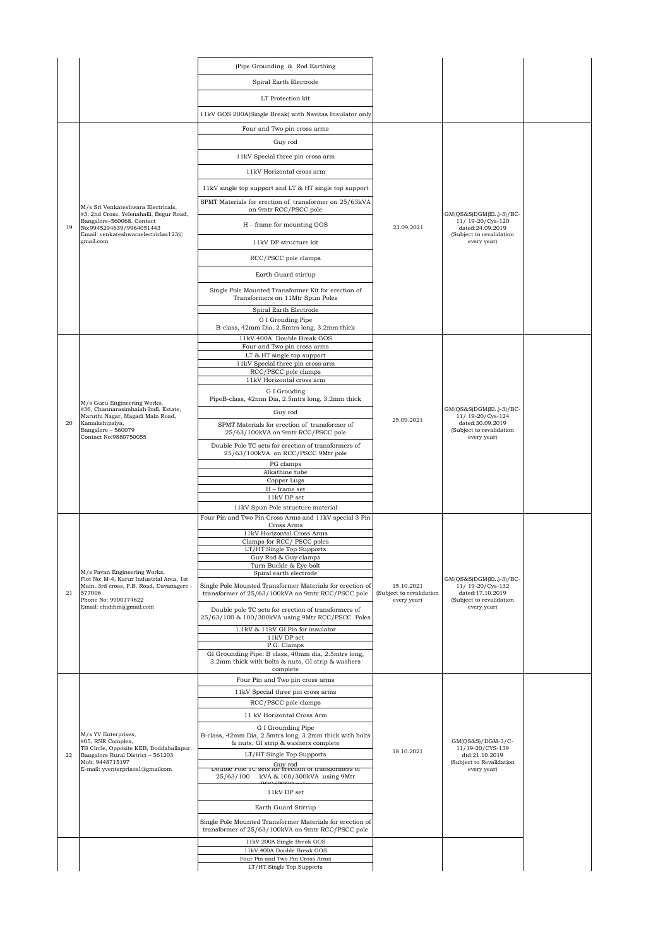|    |                                                                                                  | (Pipe Grounding & Rod Earthing                                                                                       |                                                       |                                                                                                                |  |
|----|--------------------------------------------------------------------------------------------------|----------------------------------------------------------------------------------------------------------------------|-------------------------------------------------------|----------------------------------------------------------------------------------------------------------------|--|
|    |                                                                                                  | Spiral Earth Electrode                                                                                               |                                                       |                                                                                                                |  |
|    |                                                                                                  | LT Protection kit                                                                                                    |                                                       |                                                                                                                |  |
|    |                                                                                                  | 11kV GOS 200A(Single Break) with Navitas Insulator only                                                              |                                                       |                                                                                                                |  |
|    |                                                                                                  | Four and Two pin cross arms                                                                                          |                                                       |                                                                                                                |  |
|    |                                                                                                  |                                                                                                                      |                                                       |                                                                                                                |  |
|    |                                                                                                  | Guy rod                                                                                                              |                                                       |                                                                                                                |  |
|    |                                                                                                  | 11kV Special three pin cross arm                                                                                     |                                                       |                                                                                                                |  |
|    |                                                                                                  | 11kV Horizontal cross arm                                                                                            |                                                       |                                                                                                                |  |
|    |                                                                                                  | 11kV single top support and LT & HT single top support                                                               |                                                       |                                                                                                                |  |
|    | M/s Sri Venkateshwara Electricals,                                                               | SPMT Materials for erection of transformer on 25/63kVA<br>on 9mtr RCC/PSCC pole                                      |                                                       | GM(QS&S)DGM(El.,)-3)/BC-                                                                                       |  |
| 19 | #3, 2nd Cross, Yelenahalli, Begur Road,<br>Bangalore-560068. Contact<br>No:9945294639/9964051443 | H - frame for mounting GOS                                                                                           | 23.09.2021                                            | 11/19-20/Cys-120<br>dated:24.09.2019                                                                           |  |
|    | Email: venkateshwaraelectriclas123@<br>gmail.com                                                 | 11kV DP structure kit                                                                                                |                                                       | (Subject to revalidation<br>every year)                                                                        |  |
|    |                                                                                                  | RCC/PSCC pole clamps                                                                                                 |                                                       |                                                                                                                |  |
|    |                                                                                                  | Earth Guard stirrup                                                                                                  |                                                       |                                                                                                                |  |
|    |                                                                                                  | Single Pole Mounted Transformer Kit for erection of                                                                  |                                                       |                                                                                                                |  |
|    |                                                                                                  | Transformers on 11Mtr Spun Poles                                                                                     |                                                       |                                                                                                                |  |
|    |                                                                                                  | Spiral Earth Electrode<br>G I Grouding Pipe                                                                          |                                                       |                                                                                                                |  |
|    |                                                                                                  | B-class, 42mm Dia, 2.5mtrs long, 3.2mm thick                                                                         |                                                       |                                                                                                                |  |
|    |                                                                                                  | 11kV 400A Double Break GOS<br>Four and Two pin cross arms                                                            |                                                       |                                                                                                                |  |
|    |                                                                                                  | LT & HT single top support                                                                                           |                                                       |                                                                                                                |  |
|    |                                                                                                  | 11kV Special three pin cross arm<br>RCC/PSCC pole clamps                                                             |                                                       |                                                                                                                |  |
|    |                                                                                                  | 11kV Horizontal cross arm                                                                                            |                                                       | $GM(QS&S)DGM(E1, 1-3)/BC-$<br>11/ 19-20/Cys-124<br>dated:30.09.2019<br>(Subject to revalidation<br>every year) |  |
|    |                                                                                                  | G I Grouding                                                                                                         |                                                       |                                                                                                                |  |
|    | M/s Guru Engineering Works,<br>#36, Channarasimhaiah Indl. Estate,                               | PipeB-class, 42mm Dia, 2.5mtrs long, 3.2mm thick                                                                     |                                                       |                                                                                                                |  |
| 20 | Maruthi Nagar, Magadi Main Road,<br>Kamakshipalya,                                               | Guy rod                                                                                                              | 25.09.2021                                            |                                                                                                                |  |
|    | Bangalore - 560079<br>Contact No:9880750055                                                      | SPMT Materials for erection of transformer of<br>25/63/100kVA on 9mtr RCC/PSCC pole                                  |                                                       |                                                                                                                |  |
|    |                                                                                                  | Double Pole TC sets for erection of transformers of<br>25/63/100kVA on RCC/PSCC 9Mtr pole                            |                                                       |                                                                                                                |  |
|    |                                                                                                  | PG clamps                                                                                                            |                                                       |                                                                                                                |  |
|    |                                                                                                  | Alkathine tube                                                                                                       |                                                       |                                                                                                                |  |
|    |                                                                                                  | Copper Lugs<br>$H$ – frame set                                                                                       |                                                       |                                                                                                                |  |
|    |                                                                                                  | 11kV DP set                                                                                                          |                                                       |                                                                                                                |  |
|    |                                                                                                  | 11kV Spun Pole structure material<br>Four Pin and Two Pin Cross Arms and 11kV special 3 Pin                          |                                                       |                                                                                                                |  |
|    |                                                                                                  | Cross Arms                                                                                                           |                                                       | GM(QS&S)DGM(E1.,)-3)/BC-<br>11/ 19-20/Cys-132<br>dated:17.10.2019<br>(Subject to revalidation                  |  |
|    |                                                                                                  | 11kV Horizontal Cross Arms<br>Clamps for RCC/PSCC poles                                                              |                                                       |                                                                                                                |  |
|    |                                                                                                  | LT/HT Single Top Supports                                                                                            |                                                       |                                                                                                                |  |
|    |                                                                                                  | Guy Rod & Guy clamps<br>Turn Buckle & Eye bolt                                                                       |                                                       |                                                                                                                |  |
|    | M/s Pavan Engineering Works,<br>Flot No: M-4, Karur Industrial Area, 1st                         | Spiral earth electrode                                                                                               |                                                       |                                                                                                                |  |
| 21 | Main, 3rd cross, P.B. Road, Davanagere -<br>577006<br>Phone No: 9900174622                       | Single Pole Mounted Transformer Materials for erection of<br>transformer of 25/63/100kVA on 9mtr RCC/PSCC pole       | 15.10.2021<br>(Subject to revalidation<br>every year) |                                                                                                                |  |
|    | Email: chidihm@gmail.com                                                                         | Double pole TC sets for erection of transformers of<br>25/63/100 & 100/300kVA using 9Mtr RCC/PSCC Poles              |                                                       | every year)                                                                                                    |  |
|    |                                                                                                  | 1.1kV & 11kV GI Pin for insulator                                                                                    |                                                       |                                                                                                                |  |
|    |                                                                                                  | $11kV$ DP set<br>P.G. Clamps                                                                                         |                                                       |                                                                                                                |  |
|    |                                                                                                  | GI Grounding Pipe: B class, 40mm dia, 2.5mtrs long,<br>3.2mm thick with bolts & nuts, GI strip & washers<br>complete |                                                       |                                                                                                                |  |
|    |                                                                                                  | Four Pin and Two pin cross arms                                                                                      |                                                       |                                                                                                                |  |
|    |                                                                                                  | 11kV Special three pin cross arms                                                                                    |                                                       |                                                                                                                |  |
|    |                                                                                                  | RCC/PSCC pole clamps                                                                                                 |                                                       |                                                                                                                |  |
|    |                                                                                                  | 11 kV Horizontal Cross Arm                                                                                           |                                                       |                                                                                                                |  |
|    |                                                                                                  | G I Grounding Pipe                                                                                                   |                                                       |                                                                                                                |  |
|    | M/s YV Enterprises,<br>#05, RNR Complex,                                                         | B-class, 42mm Dia, 2.5mtrs long, 3.2mm thick with bolts<br>& nuts, GI strip & washers complete                       |                                                       | $GM(QS&S)/DGM-3/C-$                                                                                            |  |
| 22 | TB Circle, Opposite KEB, Doddaballapur,<br>Bangalore Rural District - 561203                     | LT/HT Single Top Supports                                                                                            | 18.10.2021                                            | 11/19-20/CYS-139<br>dtd:21.10.2019                                                                             |  |
|    | Mob: 9448715197<br>E-mail: yventerprises1@gmailcom                                               | Guy rod<br>Double role TC sets for érection of transformers of                                                       |                                                       | (Subject to Revalidation<br>every year)                                                                        |  |
|    |                                                                                                  | 25/63/100<br>kVA & 100/300kVA using 9Mtr<br>20/200                                                                   |                                                       |                                                                                                                |  |
|    |                                                                                                  | 11kV DP set                                                                                                          |                                                       |                                                                                                                |  |
|    |                                                                                                  | Earth Guard Stirrup                                                                                                  |                                                       |                                                                                                                |  |
|    |                                                                                                  | Single Pole Mounted Transformer Materials for erection of                                                            |                                                       |                                                                                                                |  |
|    |                                                                                                  | transformer of 25/63/100kVA on 9mtr RCC/PSCC pole                                                                    |                                                       |                                                                                                                |  |
|    |                                                                                                  | 11kV 200A Single Break GOS<br>11kV 400A Double Break GOS                                                             |                                                       |                                                                                                                |  |
|    |                                                                                                  | Four Pin and Two Pin Cross Arms                                                                                      |                                                       |                                                                                                                |  |
|    |                                                                                                  | LT/HT Single Top Supports                                                                                            |                                                       |                                                                                                                |  |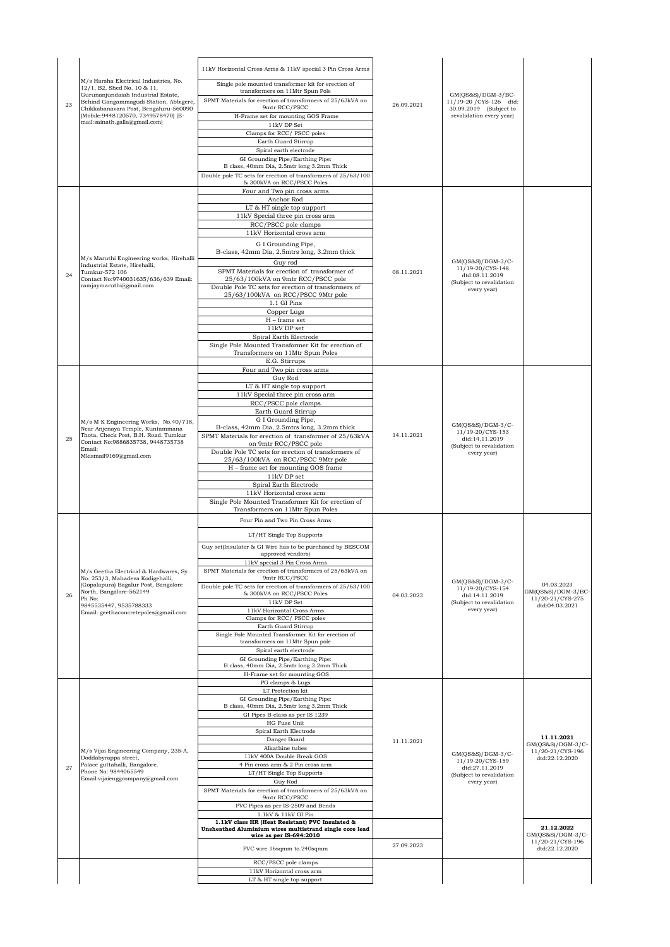| 23 | M/s Harsha Electrical Industries, No.<br>12/1, B2, Shed No. 10 & 11,<br>Gurunanjundaiah Industrial Estate,<br>Behind Gangammagudi Station, Abbigere,<br>Chikkabanavara Post, Bengaluru-560090<br>(Mobile: 9448120570, 7349578470) (E-<br>mail:sainath.galla@gmail.com)<br>M/s Maruthi Engineering works, Hirehalli | 11kV Horizontal Cross Arms & 11kV special 3 Pin Cross Arms<br>Single pole mounted transformer kit for erection of<br>transformers on 11Mtr Spun Pole<br>SPMT Materials for erection of transformers of 25/63kVA on<br>9mtr RCC/PSCC<br>H-Frame set for mounting GOS Frame<br>11kV DP Set<br>Clamps for RCC/ PSCC poles<br>Earth Guard Stirrup<br>Spiral earth electrode<br>GI Grounding Pipe/Earthing Pipe:<br>B class, 40mm Dia, 2.5mtr long 3.2mm Thick<br>Double pole TC sets for erection of transformers of 25/63/100<br>& 300kVA on RCC/PSCC Poles<br>Four and Two pin cross arms<br>Anchor Rod<br>LT & HT single top support<br>11kV Special three pin cross arm<br>RCC/PSCC pole clamps<br>11kV Horizontal cross arm<br>G I Grounding Pipe,<br>B-class, 42mm Dia, 2.5mtrs long, 3.2mm thick | 26.09.2021 | GM(QS&S)/DGM-3/BC-<br>11/19-20 / CYS-126 dtd:<br>30.09.2019 (Subject to<br>revalidation every year)  |                                                                         |
|----|--------------------------------------------------------------------------------------------------------------------------------------------------------------------------------------------------------------------------------------------------------------------------------------------------------------------|-----------------------------------------------------------------------------------------------------------------------------------------------------------------------------------------------------------------------------------------------------------------------------------------------------------------------------------------------------------------------------------------------------------------------------------------------------------------------------------------------------------------------------------------------------------------------------------------------------------------------------------------------------------------------------------------------------------------------------------------------------------------------------------------------------|------------|------------------------------------------------------------------------------------------------------|-------------------------------------------------------------------------|
| 24 | Industrial Estate, Hirehalli,<br>Tumkur-572 106<br>Contact No:9740031635/636/639 Email:<br>ramjaymaruthi@gmail.com                                                                                                                                                                                                 | Guy rod<br>SPMT Materials for erection of transformer of<br>25/63/100kVA on 9mtr RCC/PSCC pole<br>Double Pole TC sets for erection of transformers of<br>25/63/100kVA on RCC/PSCC 9Mtr pole<br>1.1 GI Pins<br>Copper Lugs<br>$H$ – frame set<br>11kV DP set<br>Spiral Earth Electrode<br>Single Pole Mounted Transformer Kit for erection of<br>Transformers on 11Mtr Spun Poles<br>E.G. Stirrups                                                                                                                                                                                                                                                                                                                                                                                                   | 08.11.2021 | $GM(QS&S)/DGM-3/C-$<br>11/19-20/CYS-148<br>dtd:08.11.2019<br>(Subject to revalidation<br>every year) |                                                                         |
| 25 | M/s M K Engineering Works, No.40/718,<br>Near Anjenaya Temple, Kuntammana<br>Thota, Check Post, B.H. Road. Tumkur<br>Contact No:9886835738, 9448735738<br>Email:<br>Mkismail9169@gmail.com                                                                                                                         | Four and Two pin cross arms<br>Guy Rod<br>LT & HT single top support<br>11kV Special three pin cross arm<br>RCC/PSCC pole clamps<br>Earth Guard Stirrup<br>G I Grounding Pipe,<br>B-class, 42mm Dia, 2.5mtrs long, 3.2mm thick<br>SPMT Materials for erection of transformer of 25/63kVA<br>on 9mtr RCC/PSCC pole<br>Double Pole TC sets for erection of transformers of<br>25/63/100kVA on RCC/PSCC 9Mtr pole<br>H - frame set for mounting GOS frame<br>11kV DP set<br>Spiral Earth Electrode<br>11kV Horizontal cross arm<br>Single Pole Mounted Transformer Kit for erection of<br>Transformers on 11Mtr Spun Poles                                                                                                                                                                             | 14.11.2021 | $GM(QS&S)/DGM-3/C-$<br>11/19-20/CYS-153<br>dtd:14.11.2019<br>(Subject to revalidation<br>every year) |                                                                         |
| 26 | M/s Geetha Electrical & Hardwares, Sy<br>No. 253/3, Mahadeva Kodigehalli,<br>(Gopalapura) Bagalur Post, Bangalore<br>North, Bangalore-562149<br>Ph No:<br>9845535447, 9535788333<br>Email: geethaconcretepoles@gmail.com                                                                                           | Four Pin and Two Pin Cross Arms<br>LT/HT Single Top Supports<br>Guy set(Insulator & GI Wire has to be purchased by BESCOM<br>approved vendors)<br>11kV special 3 Pin Cross Arms<br>SPMT Materials for erection of transformers of 25/63kVA on<br>9mtr RCC/PSCC<br>Double pole TC sets for erection of transformers of 25/63/100<br>& 300kVA on RCC/PSCC Poles<br>11kV DP Set<br>11kV Horizontal Cross Arms<br>Clamps for RCC/PSCC poles<br>Earth Guard Stirrup<br>Single Pole Mounted Transformer Kit for erection of<br>transformers on 11Mtr Spun pole<br>Spiral earth electrode<br>GI Grounding Pipe/Earthing Pipe:<br>B class, 40mm Dia, 2.5mtr long 3.2mm Thick<br>H-Frame set for mounting GOS                                                                                                | 04.03.2023 | GM(QS&S)/DGM-3/C-<br>11/19-20/CYS-154<br>dtd:14.11.2019<br>(Subject to revalidation<br>every year)   | 04.03.2023<br>GM(QS&S)/DGM-3/BC-<br>11/20-21/CYS-275<br>dtd:04.03.2021  |
| 27 | M/s Vijai Engineering Company, 235-A,<br>Doddabyrappa street,<br>Palace guttahalli, Bangalore.<br>Phone No: 9844065549<br>Email:vijaienggcompany@gmail.com                                                                                                                                                         | PG clamps & Lugs<br>LT Protection kit<br>GI Grounding Pipe/Earthing Pipe:<br>B class, 40mm Dia, 2.5mtr long 3.2mm Thick<br>GI Pipes B-class as per IS 1239<br>HG Fuse Unit<br>Spiral Earth Electrode<br>Danger Board<br>Alkathine tubes<br>11kV 400A Double Break GOS<br>4 Pin cross arm & 2 Pin cross arm<br>LT/HT Single Top Supports<br>Guy Rod<br>SPMT Materials for erection of transformers of 25/63kVA on<br>9mtr RCC/PSCC<br>PVC Pipes as per IS-2509 and Bends<br>1.1kV & 11kV GI Pin                                                                                                                                                                                                                                                                                                      | 11.11.2021 | $GM(QS&S)/DGM-3/C-$<br>11/19-20/CYS-159<br>dtd:27.11.2019<br>(Subject to revalidation<br>every year) | 11.11.2021<br>$GM(QS&S)/DGM-3/C-$<br>11/20-21/CYS-196<br>dtd:22.12.2020 |
|    |                                                                                                                                                                                                                                                                                                                    | 1.1kV class HR (Heat Resistant) PVC Insulated &<br>Unsheathed Aluminium wires multistrand single core lead<br>wire as per IS-694:2010<br>PVC wire 16sqmm to 240sqmm                                                                                                                                                                                                                                                                                                                                                                                                                                                                                                                                                                                                                                 | 27.09.2023 |                                                                                                      | 21.12.2022<br>$GM(QS&S)/DGM-3/C-$<br>11/20-21/CYS-196<br>dtd:22.12.2020 |
|    |                                                                                                                                                                                                                                                                                                                    | RCC/PSCC pole clamps<br>11kV Horizontal cross arm<br>LT & HT single top support                                                                                                                                                                                                                                                                                                                                                                                                                                                                                                                                                                                                                                                                                                                     |            |                                                                                                      |                                                                         |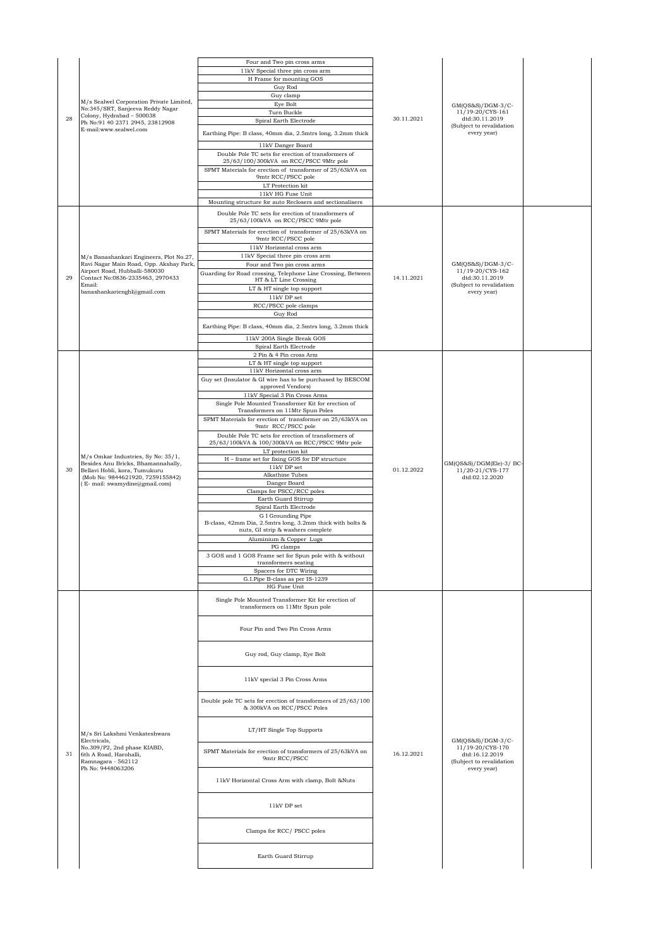| 28 | M/s Sealwel Corporation Private Limited,<br>No:345/SRT, Sanjeeva Reddy Nagar<br>Colony, Hydrabad - 500038<br>Ph No:91 40 2371 2945, 23812908<br>E-mail:www.sealwel.com                           | Four and Two pin cross arms<br>11kV Special three pin cross arm<br>H Frame for mounting GOS<br>Guy Rod<br>Guy clamp<br>Eye Bolt<br>Turn Buckle<br>Spiral Earth Electrode<br>Earthing Pipe: B class, 40mm dia, 2.5mtrs long, 3.2mm thick<br>11kV Danger Board<br>Double Pole TC sets for erection of transformers of<br>25/63/100/300kVA on RCC/PSCC 9Mtr pole<br>SPMT Materials for erection of transformer of 25/63kVA on<br>9mtr RCC/PSCC pole                                           | 30.11.2021 | $GM(QS&S)/DGM-3/C-$<br>11/19-20/CYS-161<br>dtd:30.11.2019<br>(Subject to revalidation<br>every year) |  |
|----|--------------------------------------------------------------------------------------------------------------------------------------------------------------------------------------------------|--------------------------------------------------------------------------------------------------------------------------------------------------------------------------------------------------------------------------------------------------------------------------------------------------------------------------------------------------------------------------------------------------------------------------------------------------------------------------------------------|------------|------------------------------------------------------------------------------------------------------|--|
|    |                                                                                                                                                                                                  | LT Protection kit<br>11kV HG Fuse Unit<br>Mounting structure for auto Reclosers and sectionalisers                                                                                                                                                                                                                                                                                                                                                                                         |            |                                                                                                      |  |
|    |                                                                                                                                                                                                  | Double Pole TC sets for erection of transformers of<br>25/63/100kVA on RCC/PSCC 9Mtr pole                                                                                                                                                                                                                                                                                                                                                                                                  |            |                                                                                                      |  |
| 29 | M/s Banashankari Engineers, Plot No.27,<br>Ravi Nagar Main Road, Opp. Akshay Park,<br>Airport Road, Hubballi-580030<br>Contact No:0836-2335463, 2970433<br>Email:<br>banashankarienghl@gmail.com | SPMT Materials for erection of transformer of 25/63kVA on<br>9mtr RCC/PSCC pole<br>11kV Horizontal cross arm<br>11kV Special three pin cross arm<br>Four and Two pin cross arms<br>Guarding for Road crossing, Telephone Line Crossing, Between<br>HT & LT Line Crossing<br>LT & HT single top support<br>$11\mathrm{kV}$ DP set<br>RCC/PSCC pole clamps<br>Guy Rod<br>Earthing Pipe: B class, 40mm dia, 2.5mtrs long, 3.2mm thick<br>11kV 200A Single Break GOS<br>Spiral Earth Electrode | 14.11.2021 | $GM(QS&S)/DGM-3/C-$<br>11/19-20/CYS-162<br>dtd:30.11.2019<br>(Subject to revalidation<br>every year) |  |
|    |                                                                                                                                                                                                  | 2 Pin & 4 Pin cross Arm<br>LT & HT single top support                                                                                                                                                                                                                                                                                                                                                                                                                                      |            |                                                                                                      |  |
|    |                                                                                                                                                                                                  | 11kV Horizontal cross arm<br>Guy set (Insulator & GI wire has to be purchased by BESCOM<br>approved Vendors)<br>11kV Special 3 Pin Cross Arms<br>Single Pole Mounted Transformer Kit for erection of<br>Transformers on 11Mtr Spun Poles<br>SPMT Materials for erection of transformer on 25/63kVA on                                                                                                                                                                                      |            |                                                                                                      |  |
| 30 | M/s Omkar Industries, Sy No: 35/1,<br>Besides Anu Bricks, Bhamannahally,<br>Bellavi Hobli, kora, Tumukuru<br>(Mob No: 9844621920, 7259155842)                                                    | 9mtr RCC/PSCC pole<br>Double Pole TC sets for erection of transformers of<br>25/63/100kVA & 100/300kVA on RCC/PSCC 9Mtr pole<br>LT protection kit<br>H - frame set for fixing GOS for DP structure<br>11kV DP set<br>Alkathine Tubes                                                                                                                                                                                                                                                       | 01.12.2022 | GM(QS&S)/DGM(Ele)-3/ BC-<br>11/20-21/CYS-177<br>dtd:02.12.2020                                       |  |
|    | (E- mail: swamydine@gmail.com)                                                                                                                                                                   | Danger Board<br>Clamps for PSCC/RCC poles<br>Earth Guard Stirrup<br>Spiral Earth Electrode<br>G I Grounding Pipe<br>B-class, 42mm Dia, 2.5mtrs long, 3.2mm thick with bolts &<br>nuts, GI strip & washers complete<br>Aluminium & Copper Lugs                                                                                                                                                                                                                                              |            |                                                                                                      |  |
|    |                                                                                                                                                                                                  | PG clamps<br>3 GOS and 1 GOS Frame set for Spun pole with & without<br>transformers seating<br>Spacers for DTC Wiring<br>G.I.Pipe B-class as per IS-1239<br>HG Fuse Unit                                                                                                                                                                                                                                                                                                                   |            |                                                                                                      |  |
|    |                                                                                                                                                                                                  | Single Pole Mounted Transformer Kit for erection of<br>transformers on 11Mtr Spun pole                                                                                                                                                                                                                                                                                                                                                                                                     |            |                                                                                                      |  |
|    |                                                                                                                                                                                                  | Four Pin and Two Pin Cross Arms                                                                                                                                                                                                                                                                                                                                                                                                                                                            |            |                                                                                                      |  |
|    |                                                                                                                                                                                                  | Guy rod, Guy clamp, Eye Bolt                                                                                                                                                                                                                                                                                                                                                                                                                                                               |            |                                                                                                      |  |
|    |                                                                                                                                                                                                  | 11kV special 3 Pin Cross Arms                                                                                                                                                                                                                                                                                                                                                                                                                                                              |            |                                                                                                      |  |
|    |                                                                                                                                                                                                  | Double pole TC sets for erection of transformers of 25/63/100<br>& 300kVA on RCC/PSCC Poles                                                                                                                                                                                                                                                                                                                                                                                                |            |                                                                                                      |  |
|    | M/s Sri Lakshmi Venkateshwara<br>Electricals,                                                                                                                                                    | LT/HT Single Top Supports                                                                                                                                                                                                                                                                                                                                                                                                                                                                  |            | $GM(QS&S)/DGM-3/C-$                                                                                  |  |
| 31 | No.309/P2, 2nd phase KIABD,<br>6th A Road, Harohalli,<br>Ramnagara - 562112<br>Ph No: 9448063206                                                                                                 | SPMT Materials for erection of transformers of 25/63kVA on<br>9mtr RCC/PSCC                                                                                                                                                                                                                                                                                                                                                                                                                | 16.12.2021 | 11/19-20/CYS-170<br>dtd:16.12.2019<br>(Subject to revalidation<br>every year)                        |  |
|    |                                                                                                                                                                                                  | 11kV Horizontal Cross Arm with clamp, Bolt &Nuts                                                                                                                                                                                                                                                                                                                                                                                                                                           |            |                                                                                                      |  |
|    |                                                                                                                                                                                                  | 11kV DP set                                                                                                                                                                                                                                                                                                                                                                                                                                                                                |            |                                                                                                      |  |
|    |                                                                                                                                                                                                  | Clamps for RCC/ PSCC poles                                                                                                                                                                                                                                                                                                                                                                                                                                                                 |            |                                                                                                      |  |
|    |                                                                                                                                                                                                  | Earth Guard Stirrup                                                                                                                                                                                                                                                                                                                                                                                                                                                                        |            |                                                                                                      |  |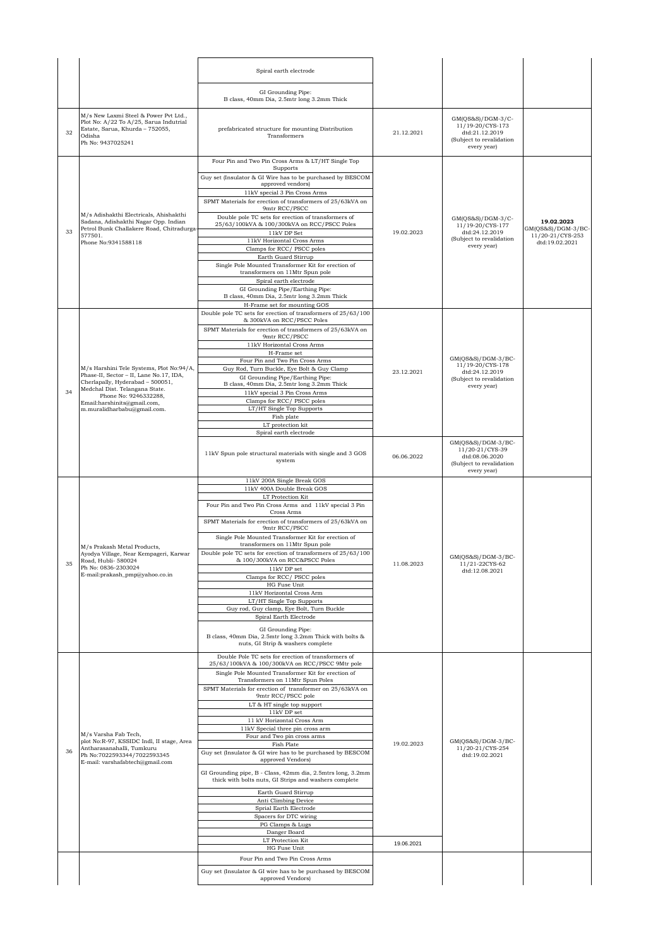|    |                                                                                                                                                   | Spiral earth electrode                                                                                               |            |                                                                                                      |                                        |
|----|---------------------------------------------------------------------------------------------------------------------------------------------------|----------------------------------------------------------------------------------------------------------------------|------------|------------------------------------------------------------------------------------------------------|----------------------------------------|
|    |                                                                                                                                                   | GI Grounding Pipe:<br>B class, 40mm Dia, 2.5mtr long 3.2mm Thick                                                     |            |                                                                                                      |                                        |
| 32 | M/s New Laxmi Steel & Power Pvt Ltd.,<br>Plot No: A/22 To A/25, Sarua Indutrial<br>Estate, Sarua, Khurda - 752055,<br>Odisha<br>Ph No: 9437025241 | prefabricated structure for mounting Distribution<br>Transformers                                                    | 21.12.2021 | $GM(QS&S)/DGM-3/C-$<br>11/19-20/CYS-173<br>dtd:21.12.2019<br>(Subject to revalidation<br>every year) |                                        |
|    |                                                                                                                                                   | Four Pin and Two Pin Cross Arms & LT/HT Single Top<br>Supports                                                       |            |                                                                                                      |                                        |
|    |                                                                                                                                                   | Guy set (Insulator & GI Wire has to be purchased by BESCOM<br>approved vendors)                                      |            |                                                                                                      |                                        |
|    |                                                                                                                                                   | 11kV special 3 Pin Cross Arms<br>SPMT Materials for erection of transformers of 25/63kVA on<br>9mtr RCC/PSCC         |            |                                                                                                      |                                        |
|    | M/s Adishakthi Electricals, Ahishakthi<br>Sadana, Adishakthi Nagar Opp. Indian                                                                    | Double pole TC sets for erection of transformers of<br>25/63/100kVA & 100/300kVA on RCC/PSCC Poles                   |            | GM(OS&S)/DGM-3/C-<br>11/19-20/CYS-177                                                                | 19.02.2023                             |
| 33 | Petrol Bunk Challakere Road, Chitradurga<br>577501.                                                                                               | 11kV DP Set<br>11kV Horizontal Cross Arms                                                                            | 19.02.2023 | dtd:24.12.2019<br>(Subject to revalidation                                                           | GM(QS&S)/DGM-3/BC-<br>11/20-21/CYS-253 |
|    | Phone No:9341588118                                                                                                                               | Clamps for RCC/ PSCC poles                                                                                           |            | every year)                                                                                          | dtd:19.02.2021                         |
|    |                                                                                                                                                   | Earth Guard Stirrup<br>Single Pole Mounted Transformer Kit for erection of                                           |            |                                                                                                      |                                        |
|    |                                                                                                                                                   | transformers on 11Mtr Spun pole<br>Spiral earth electrode                                                            |            |                                                                                                      |                                        |
|    |                                                                                                                                                   | GI Grounding Pipe/Earthing Pipe:<br>B class, 40mm Dia, 2.5mtr long 3.2mm Thick                                       |            |                                                                                                      |                                        |
|    |                                                                                                                                                   | H-Frame set for mounting GOS                                                                                         |            |                                                                                                      |                                        |
|    |                                                                                                                                                   | Double pole TC sets for erection of transformers of 25/63/100<br>& 300kVA on RCC/PSCC Poles                          |            |                                                                                                      |                                        |
|    |                                                                                                                                                   | SPMT Materials for erection of transformers of 25/63kVA on<br>9mtr RCC/PSCC                                          |            |                                                                                                      |                                        |
|    |                                                                                                                                                   | 11kV Horizontal Cross Arms                                                                                           |            |                                                                                                      |                                        |
|    |                                                                                                                                                   | H-Frame set<br>Four Pin and Two Pin Cross Arms                                                                       |            | GM(QS&S)/DGM-3/BC-                                                                                   |                                        |
|    | M/s Harshini Tele Systems, Plot No:94/A,<br>Phase-II, Sector - II, Lane No.17, IDA,                                                               | Guy Rod, Turn Buckle, Eye Bolt & Guy Clamp                                                                           | 23.12.2021 | 11/19-20/CYS-178<br>dtd:24.12.2019                                                                   |                                        |
|    | Cherlapally, Hyderabad - 500051,<br>Medchal Dist. Telangana State.                                                                                | GI Grounding Pipe/Earthing Pipe:<br>B class, 40mm Dia, 2.5mtr long 3.2mm Thick                                       |            | (Subject to revalidation<br>every year)                                                              |                                        |
| 34 | Phone No: 9246332288,                                                                                                                             | 11kV special 3 Pin Cross Arms<br>Clamps for RCC/ PSCC poles                                                          |            |                                                                                                      |                                        |
|    | Email:harshinits@gmail.com,<br>m.muralidharbabu@gmail.com.                                                                                        | LT/HT Single Top Supports                                                                                            |            |                                                                                                      |                                        |
|    |                                                                                                                                                   | Fish plate<br>LT protection kit                                                                                      |            |                                                                                                      |                                        |
|    |                                                                                                                                                   | Spiral earth electrode                                                                                               |            |                                                                                                      |                                        |
|    |                                                                                                                                                   | 11kV Spun pole structural materials with single and 3 GOS<br>system                                                  | 06.06.2022 | GM(QS&S)/DGM-3/BC-<br>11/20-21/CYS-39<br>dtd:08.06.2020<br>(Subject to revalidation<br>every year)   |                                        |
|    |                                                                                                                                                   | 11kV 200A Single Break GOS<br>11kV 400A Double Break GOS                                                             |            |                                                                                                      |                                        |
|    |                                                                                                                                                   |                                                                                                                      |            |                                                                                                      |                                        |
|    |                                                                                                                                                   | LT Protection Kit                                                                                                    |            |                                                                                                      |                                        |
|    |                                                                                                                                                   | Four Pin and Two Pin Cross Arms and 11kV special 3 Pin<br>Cross Arms                                                 |            |                                                                                                      |                                        |
|    |                                                                                                                                                   | SPMT Materials for erection of transformers of 25/63kVA on<br>9mtr RCC/PSCC                                          |            |                                                                                                      |                                        |
|    |                                                                                                                                                   | Single Pole Mounted Transformer Kit for erection of<br>transformers on 11Mtr Spun pole                               |            |                                                                                                      |                                        |
|    | M/s Prakash Metal Products,<br>Ayodya Village, Near Kempageri, Karwar                                                                             | Double pole TC sets for erection of transformers of 25/63/100                                                        |            |                                                                                                      |                                        |
| 35 | Road, Hubli- 580024<br>Ph No: 0836-2303024                                                                                                        | & 100/300kVA on RCC&PSCC Poles<br>11kV DP set                                                                        | 11.08.2023 | GM(QS&S)/DGM-3/BC-<br>11/21-22CYS-62                                                                 |                                        |
|    | E-mail:prakash_pmp@yahoo.co.in                                                                                                                    | Clamps for RCC/ PSCC poles                                                                                           |            | dtd:12.08.2021                                                                                       |                                        |
|    |                                                                                                                                                   | HG Fuse Unit<br>11kV Horizontal Cross Arm                                                                            |            |                                                                                                      |                                        |
|    |                                                                                                                                                   | LT/HT Single Top Supports<br>Guy rod, Guy clamp, Eye Bolt, Turn Buckle                                               |            |                                                                                                      |                                        |
|    |                                                                                                                                                   | Spiral Earth Electrode                                                                                               |            |                                                                                                      |                                        |
|    |                                                                                                                                                   | GI Grounding Pipe:<br>B class, 40mm Dia, 2.5mtr long 3.2mm Thick with bolts &<br>nuts, GI Strip & washers complete   |            |                                                                                                      |                                        |
|    |                                                                                                                                                   | Double Pole TC sets for erection of transformers of<br>25/63/100kVA & 100/300kVA on RCC/PSCC 9Mtr pole               |            |                                                                                                      |                                        |
|    |                                                                                                                                                   | Single Pole Mounted Transformer Kit for erection of<br>Transformers on 11Mtr Spun Poles                              |            |                                                                                                      |                                        |
|    |                                                                                                                                                   | SPMT Materials for erection of transformer on 25/63kVA on                                                            |            |                                                                                                      |                                        |
|    |                                                                                                                                                   | 9mtr RCC/PSCC pole<br>LT & HT single top support                                                                     |            |                                                                                                      |                                        |
|    |                                                                                                                                                   | 11kV DP set<br>11 kV Horizontal Cross Arm                                                                            |            |                                                                                                      |                                        |
|    | M/s Varsha Fab Tech,                                                                                                                              | 11kV Special three pin cross arm                                                                                     |            |                                                                                                      |                                        |
|    | plot No:R-97, KSSIDC Indl, II stage, Area<br>Antharasanahalli, Tumkuru                                                                            | Four and Two pin cross arms<br>Fish Plate                                                                            | 19.02.2023 | GM(QS&S)/DGM-3/BC-<br>11/20-21/CYS-254                                                               |                                        |
| 36 | Ph No:7022593344/7022593345<br>E-mail: varshafabtech@gmail.com                                                                                    | Guy set (Insulator & GI wire has to be purchased by BESCOM<br>approved Vendors)                                      |            | dtd:19.02.2021                                                                                       |                                        |
|    |                                                                                                                                                   | GI Grounding pipe, B - Class, 42mm dia, 2.5mtrs long, 3.2mm<br>thick with bolts nuts, GI Strips and washers complete |            |                                                                                                      |                                        |
|    |                                                                                                                                                   | Earth Guard Stirrup                                                                                                  |            |                                                                                                      |                                        |
|    |                                                                                                                                                   | Anti Climbing Device                                                                                                 |            |                                                                                                      |                                        |
|    |                                                                                                                                                   | Sprial Earth Electrode<br>Spacers for DTC wiring                                                                     |            |                                                                                                      |                                        |
|    |                                                                                                                                                   | PG Clamps & Lugs<br>Danger Board                                                                                     |            |                                                                                                      |                                        |
|    |                                                                                                                                                   | LT Protection Kit                                                                                                    | 19.06.2021 |                                                                                                      |                                        |
|    |                                                                                                                                                   | HG Fuse Unit<br>Four Pin and Two Pin Cross Arms                                                                      |            |                                                                                                      |                                        |
|    |                                                                                                                                                   | Guy set (Insulator & GI wire has to be purchased by BESCOM<br>approved Vendors)                                      |            |                                                                                                      |                                        |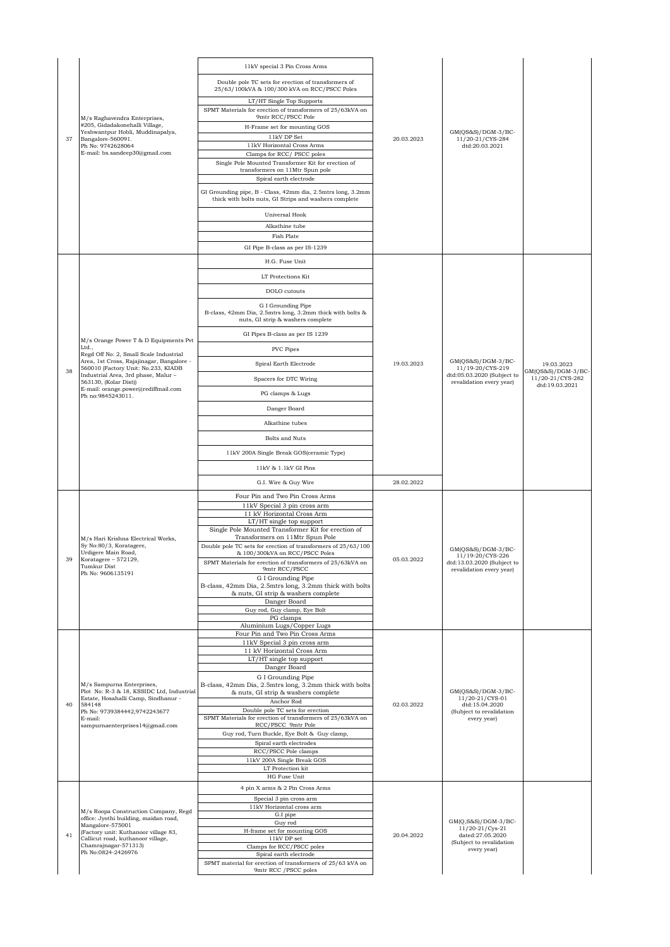|    |                                                                                     | 11kV special 3 Pin Cross Arms                                                                                        |            |                                                           |                                    |
|----|-------------------------------------------------------------------------------------|----------------------------------------------------------------------------------------------------------------------|------------|-----------------------------------------------------------|------------------------------------|
|    |                                                                                     | Double pole TC sets for erection of transformers of<br>25/63/100kVA & 100/300 kVA on RCC/PSCC Poles                  |            |                                                           |                                    |
|    |                                                                                     | LT/HT Single Top Supports<br>SPMT Materials for erection of transformers of 25/63kVA on<br>9mtr RCC/PSCC Pole        |            |                                                           |                                    |
|    | M/s Raghavendra Enterprises,<br>#205, Gidadakonehalli Village,                      | H-Frame set for mounting GOS                                                                                         |            |                                                           |                                    |
| 37 | Yeshwantpur Hobli, Muddinapalya,<br>Bangalore-560091.                               | 11kV DP Set                                                                                                          | 20.03.2023 | $GM(QS&S)/DGM-3/BC-$<br>11/20-21/CYS-284                  |                                    |
|    | Ph No: 9742628064<br>E-mail: bs.sandeep30@gmail.com                                 | 11kV Horizontal Cross Arms<br>Clamps for RCC/ PSCC poles                                                             |            | dtd:20.03.2021                                            |                                    |
|    |                                                                                     | Single Pole Mounted Transformer Kit for erection of<br>transformers on 11Mtr Spun pole<br>Spiral earth electrode     |            |                                                           |                                    |
|    |                                                                                     | GI Grounding pipe, B - Class, 42mm dia, 2.5mtrs long, 3.2mm<br>thick with bolts nuts, GI Strips and washers complete |            |                                                           |                                    |
|    |                                                                                     | Universal Hook                                                                                                       |            |                                                           |                                    |
|    |                                                                                     | Alkathine tube                                                                                                       |            |                                                           |                                    |
|    |                                                                                     | Fish Plate                                                                                                           |            |                                                           |                                    |
|    |                                                                                     | GI Pipe B-class as per IS-1239                                                                                       |            |                                                           |                                    |
|    |                                                                                     | H.G. Fuse Unit                                                                                                       |            |                                                           |                                    |
|    |                                                                                     | LT Protections Kit                                                                                                   |            |                                                           |                                    |
|    |                                                                                     | DOLO cutouts                                                                                                         |            |                                                           |                                    |
|    |                                                                                     | G I Grounding Pipe<br>B-class, 42mm Dia, 2.5mtrs long, 3.2mm thick with bolts &<br>nuts, GI strip & washers complete |            |                                                           |                                    |
|    |                                                                                     | GI Pipes B-class as per IS 1239                                                                                      |            |                                                           |                                    |
|    | M/s Orange Power T & D Equipments Pvt<br>Ltd.,                                      | PVC Pipes                                                                                                            |            |                                                           |                                    |
|    | Regd Off No: 2, Small Scale Industrial<br>Area, 1st Cross, Rajajinagar, Bangalore - |                                                                                                                      |            | $GM(QS&S)/DGM-3/BC-$                                      |                                    |
| 38 | 560010 (Factory Unit: No.233, KIADB<br>Industrial Area, 3rd phase, Malur -          | Spiral Earth Electrode                                                                                               | 19.03.2023 | 11/19-20/CYS-219<br>dtd:05.03.2020 (Subject to            | 19.03.2023<br>$GM(QS&S)/DGM-3/BC-$ |
|    | 563130, (Kolar Dist))<br>E-mail: orange.power@rediffmail.com                        | Spacers for DTC Wiring                                                                                               |            | revalidation every year)                                  | 11/20-21/CYS-282<br>dtd:19.03.2021 |
|    | Ph no:9845243011.                                                                   | PG clamps & Lugs                                                                                                     |            |                                                           |                                    |
|    |                                                                                     | Danger Board                                                                                                         |            |                                                           |                                    |
|    |                                                                                     | Alkathine tubes                                                                                                      |            |                                                           |                                    |
|    |                                                                                     | Bolts and Nuts                                                                                                       |            |                                                           |                                    |
|    |                                                                                     | 11kV 200A Single Break GOS(ceramic Type)                                                                             |            |                                                           |                                    |
|    |                                                                                     | 11kV & 1.1kV GI Pins                                                                                                 |            |                                                           |                                    |
|    |                                                                                     | G.I. Wire & Guy Wire                                                                                                 | 28.02.2022 |                                                           |                                    |
|    |                                                                                     | Four Pin and Two Pin Cross Arms                                                                                      |            |                                                           |                                    |
|    |                                                                                     |                                                                                                                      |            |                                                           |                                    |
|    |                                                                                     | 11kV Special 3 pin cross arm<br>11 kV Horizontal Cross Arm                                                           |            |                                                           |                                    |
|    |                                                                                     | LT/HT single top support                                                                                             |            |                                                           |                                    |
|    | M/s Hari Krishna Electrical Works,                                                  | Single Pole Mounted Transformer Kit for erection of<br>Transformers on 11Mtr Spun Pole                               |            |                                                           |                                    |
|    | Sy No:80/3, Koratagere,                                                             | Double pole TC sets for erection of transformers of 25/63/100                                                        |            | GM(QS&S)/DGM-3/BC-                                        |                                    |
|    | Urdigere Main Road,<br>Koratagere - 572129,                                         | & 100/300kVA on RCC/PSCC Poles<br>SPMT Materials for erection of transformers of 25/63kVA on                         | 05.03.2022 | 11/19-20/CYS-226<br>dtd:13.03.2020 (Subject to            |                                    |
|    | Tumkur Dist<br>Ph No: 9606135191                                                    | 9mtr RCC/PSCC<br>G I Grounding Pipe<br>B-class, 42mm Dia, 2.5mtrs long, 3.2mm thick with bolts                       |            | revalidation every year)                                  |                                    |
|    |                                                                                     | & nuts, GI strip & washers complete<br>Danger Board                                                                  |            |                                                           |                                    |
|    |                                                                                     | Guy rod, Guy clamp, Eye Bolt                                                                                         |            |                                                           |                                    |
|    |                                                                                     | PG clamps<br>Aluminium Lugs/Copper Lugs                                                                              |            |                                                           |                                    |
|    |                                                                                     | Four Pin and Two Pin Cross Arms                                                                                      |            |                                                           |                                    |
|    |                                                                                     | 11kV Special 3 pin cross arm<br>11 kV Horizontal Cross Arm                                                           |            |                                                           |                                    |
|    |                                                                                     | LT/HT single top support                                                                                             |            |                                                           |                                    |
|    |                                                                                     | Danger Board<br>G I Grounding Pipe                                                                                   |            |                                                           |                                    |
|    | M/s Sampurna Enterprises,<br>Plot No: R-3 & 18, KSSIDC Ltd, Industrial              | B-class, 42mm Dia, 2.5mtrs long, 3.2mm thick with bolts                                                              |            |                                                           |                                    |
| 40 | Estate, Hosahalli Camp, Sindhanur -                                                 | & nuts, GI strip & washers complete<br>Anchor Rod                                                                    |            | $GM(QS&S)/DGM-3/BC-$<br>11/20-21/CYS-01                   |                                    |
|    | 584148<br>Ph No: 9739384442,9742243677<br>E-mail:                                   | Double pole TC sets for erection<br>SPMT Materials for erection of transformers of 25/63kVA on                       | 02.03.2022 | dtd:15.04.2020<br>(Subject to revalidation<br>every year) |                                    |
|    | sampurnaenterprises 14@gmail.com                                                    | RCC/PSCC 9mtr Pole                                                                                                   |            |                                                           |                                    |
|    |                                                                                     | Guy rod, Turn Buckle, Eye Bolt & Guy clamp,<br>Spiral earth electrodes                                               |            |                                                           |                                    |
|    |                                                                                     | RCC/PSCC Pole clamps                                                                                                 |            |                                                           |                                    |
|    |                                                                                     | 11kV 200A Single Break GOS<br>LT Protection kit                                                                      |            |                                                           |                                    |
|    |                                                                                     | HG Fuse Unit                                                                                                         |            |                                                           |                                    |
|    |                                                                                     | 4 pin X arms & 2 Pin Cross Arms                                                                                      |            |                                                           |                                    |
|    |                                                                                     | Special 3 pin cross arm<br>11kV Horizontal cross arm                                                                 |            |                                                           |                                    |
|    | M/s Roopa Construction Company, Regd<br>office: Jyothi building, maidan road,       | G.I pipe                                                                                                             |            |                                                           |                                    |
|    | Mangalore-575001<br>(Factory unit: Kuthanoor village 83,                            | Guy rod<br>H-frame set for mounting GOS                                                                              |            | $GM(Q,S&S)/DGM-3/BC-$<br>11/20-21/Cys-21                  |                                    |
| 41 | Callicut road, kuthanoor village,<br>Chamrajnagar-571313)                           | $11\mathrm{kV}$ DP set                                                                                               | 20.04.2022 | dated:27.05.2020<br>(Subject to revalidation              |                                    |
|    | Ph No:0824-2426976                                                                  | Clamps for RCC/PSCC poles<br>Spiral earth electrode<br>SPMT material for erection of transformers of 25/63 kVA on    |            | every year)                                               |                                    |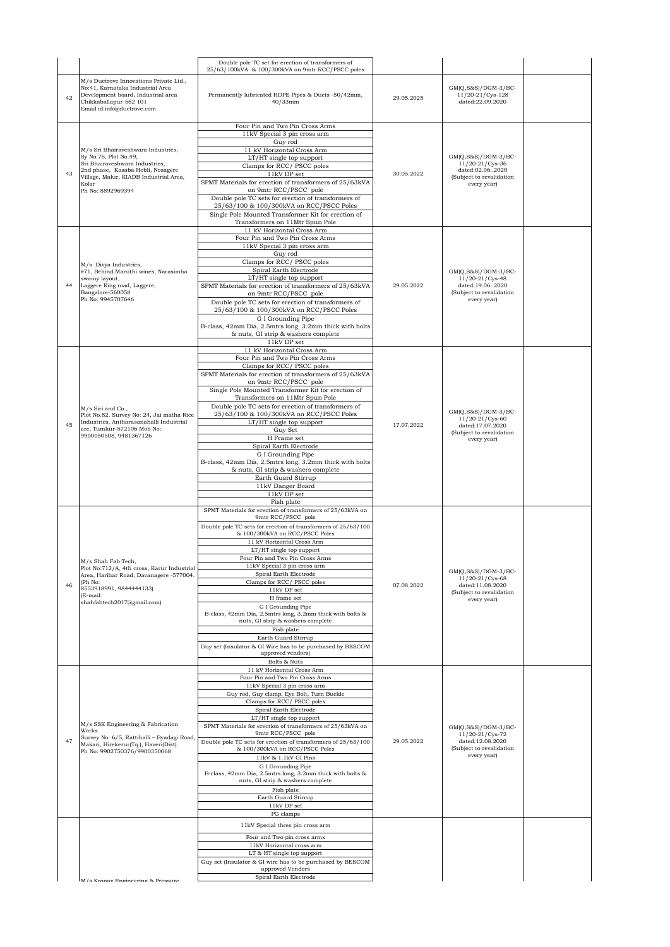|    |                                                                                                                                                                                                            | Double pole TC set for erection of transformers of<br>25/63/100kVA & 100/300kVA on 9mtr RCC/PSCC poles                                                                                                                                                                                                                                                                                                                                                                                                                                                                                                                                                                                  |            |                                                                                                                 |  |
|----|------------------------------------------------------------------------------------------------------------------------------------------------------------------------------------------------------------|-----------------------------------------------------------------------------------------------------------------------------------------------------------------------------------------------------------------------------------------------------------------------------------------------------------------------------------------------------------------------------------------------------------------------------------------------------------------------------------------------------------------------------------------------------------------------------------------------------------------------------------------------------------------------------------------|------------|-----------------------------------------------------------------------------------------------------------------|--|
| 42 | M/s Ductrove Innovations Private Ltd.,<br>No:41, Karnataka Industrial Area<br>Development board, Industrial area<br>Chikkaballapur-562 101<br>Email id:info@ductrove.com                                   | Permanently lubricated HDPE Pipes & Ducts -50/42mm,<br>$40/33$ mm                                                                                                                                                                                                                                                                                                                                                                                                                                                                                                                                                                                                                       | 29.05.2025 | $GM(Q, S\&S)/DGM-3/BC-$<br>11/20-21/Cys-128<br>dated:22.09.2020                                                 |  |
| 43 | M/s Sri Bhairaveshwara Industries,<br>Sy No.76, Plot No.49,<br>Sri Bhairaveshwara Industries,<br>2nd phase, Kasaba Hobli, Nosagere<br>Village, Malur, KIADB Industrial Area,<br>Kolar<br>Ph No: 8892969394 | Four Pin and Two Pin Cross Arms<br>11kV Special 3 pin cross arm<br>Guy rod<br>11 kV Horizontal Cross Arm<br>LT/HT single top support<br>Clamps for RCC/PSCC poles<br>11kV DP set<br>SPMT Materials for erection of transformers of 25/63kVA<br>on 9mtr RCC/PSCC pole<br>Double pole TC sets for erection of transformers of<br>25/63/100 & 100/300kVA on RCC/PSCC Poles<br>Single Pole Mounted Transformer Kit for erection of<br>Transformers on 11Mtr Spun Pole                                                                                                                                                                                                                       | 30.05.2022 | $GM(Q, S\&S)/DGM-3/BC-$<br>$11/20 - 21/Cys - 36$<br>dated:02.062020<br>(Subject to revalidation<br>every year)  |  |
|    | M/s Divya Industries,<br>#71, Behind Maruthi wines, Narasimha<br>swamy layout,<br>Laggere Ring road, Laggere,<br>Bangalore-560058<br>Ph No: 9945707646                                                     | 11 kV Horizontal Cross Arm<br>Four Pin and Two Pin Cross Arms<br>11kV Special 3 pin cross arm<br>Guy rod<br>Clamps for RCC/PSCC poles<br>Spiral Earth Electrode<br>LT/HT single top support<br>SPMT Materials for erection of transformers of 25/63kVA<br>on 9mtr RCC/PSCC pole<br>Double pole TC sets for erection of transformers of<br>25/63/100 & 100/300kVA on RCC/PSCC Poles<br>G I Grounding Pipe<br>B-class, 42mm Dia, 2.5mtrs long, 3.2mm thick with bolts<br>& nuts, GI strip & washers complete<br>11kV DP set                                                                                                                                                               | 29.05.2022 | $GM(Q, S\&S)/DGM-3/BC-$<br>11/20-21/Cys-48<br>dated:19.062020<br>(Subject to revalidation<br>every year)        |  |
| 45 | M/s Siri and Co.,<br>Plot No.82, Survey No: 24, Jai matha Rice<br>Industries, Antharasanahalli Industrial<br>are, Tumkur-572106 Mob No:<br>9900050508, 9481367126                                          | 11 kV Horizontal Cross Arm<br>Four Pin and Two Pin Cross Arms<br>Clamps for RCC/PSCC poles<br>SPMT Materials for erection of transformers of 25/63kVA<br>on 9mtr RCC/PSCC pole<br>Single Pole Mounted Transformer Kit for erection of<br>Transformers on 11Mtr Spun Pole<br>Double pole TC sets for erection of transformers of<br>25/63/100 & 100/300kVA on RCC/PSCC Poles<br>LT/HT single top support<br>Guy Set<br>H Frame set<br>Spiral Earth Electrode<br>G I Grounding Pipe<br>B-class, 42mm Dia, 2.5mtrs long, 3.2mm thick with bolts<br>& nuts, GI strip & washers complete<br>Earth Guard Stirrup<br>11kV Danger Board<br>11kV DP set<br>Fish plate                            | 17.07.2022 | $GM(Q, S\&S)/DGM-3/BC-$<br>$11/20 - 21/Cys - 60$<br>dated:17.07.2020<br>(Subject to revalidation<br>every year) |  |
| 46 | M/s Shah Fab Tech,<br>Plot No:712/A, 4th cross, Karur Industrial<br>Area, Harihar Road, Davanagere -577004.<br>(Ph No:<br>8553918991, 9844444133)<br>(E-mail:<br>shahfabtech2017@gmail.com)                | SPMT Materials for erection of transformers of 25/63kVA on<br>9mtr RCC/PSCC pole<br>Double pole TC sets for erection of transformers of 25/63/100<br>& 100/300kVA on RCC/PSCC Poles<br>11 kV Horizontal Cross Arm<br>LT/HT single top support<br>Four Pin and Two Pin Cross Arms<br>11kV Special 3 pin cross arm<br>Spiral Earth Electrode<br>Clamps for RCC/ PSCC poles<br>$11\mathrm{kV}$ DP set<br>$\rm H$ frame set<br>G I Grounding Pipe<br>B-class, 42mm Dia, 2.5mtrs long, 3.2mm thick with bolts &<br>nuts, GI strip & washers complete<br>Fish plate<br>Earth Guard Stirrup<br>Guy set (Insulator & GI Wire has to be purchased by BESCOM<br>approved vendors)<br>Bolts & Nuts | 07.08.2022 | $GM(Q, S\&S)/DGM-3/BC-$<br>$11/20 - 21/Cys - 68$<br>dated:11.08.2020<br>(Subject to revalidation<br>every year) |  |
| 47 | M/s SSK Engineering & Fabrication<br>Works.<br>Survey No: 6/5, Rattihalli - Byadagi Road,<br>Makari, Hirekerur(Tq.), Haveri(Dist).<br>Ph No: 9902750376/9900350068                                         | 11 kV Horizontal Cross Arm<br>Four Pin and Two Pin Cross Arms<br>11kV Special 3 pin cross arm<br>Guy rod, Guy clamp, Eye Bolt, Turn Buckle<br>Clamps for RCC/PSCC poles<br>Spiral Earth Electrode<br>LT/HT single top support<br>SPMT Materials for erection of transformers of 25/63kVA on<br>9mtr RCC/PSCC pole<br>Double pole TC sets for erection of transformers of 25/63/100<br>& 100/300kVA on RCC/PSCC Poles<br>11kV & 1.1kV GI Pins<br>G I Grounding Pipe<br>B-class, 42mm Dia, 2.5mtrs long, 3.2mm thick with bolts &<br>nuts, GI strip & washers complete<br>Fish plate<br>Earth Guard Stirrup<br>$11\mathrm{kV}$ DP set<br>PG clamps                                        | 29.05.2022 | GM(O,S&S)/DGM-3/BC-<br>11/20-21/Cys-72<br>dated:12.08.2020<br>(Subject to revalidation<br>every year)           |  |
|    | M/s Kronav Engineering & Pressure                                                                                                                                                                          | 11kV Special three pin cross arm<br>Four and Two pin cross arms<br>11kV Horizontal cross arm<br>LT & HT single top support<br>Guy set (Insulator & GI wire has to be purchased by BESCOM<br>approved Vendors<br>Spiral Earth Electrode                                                                                                                                                                                                                                                                                                                                                                                                                                                  |            |                                                                                                                 |  |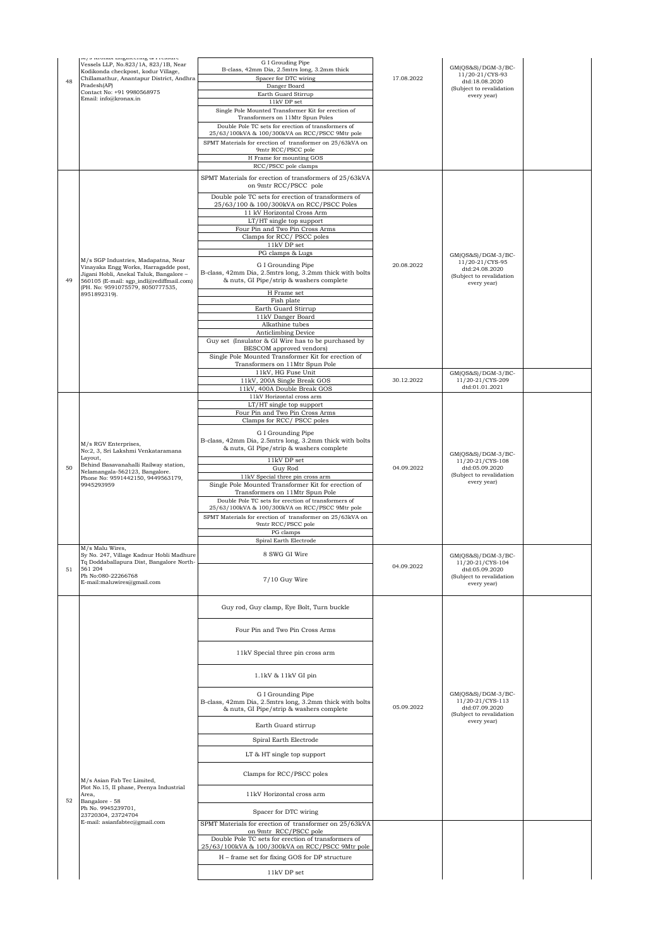| 48 | mpo nionak imgineering est reoome<br>Vessels LLP, No.823/1A, 823/1B, Near<br>Kodikonda checkpost, kodur Village,<br>Chillamathur, Anantapur District, Andhra<br>Pradesh(AP)<br>Contact No: +91 9980568975<br>Email: info@kronax.in | G I Grouding Pipe<br>B-class, 42mm Dia, 2.5mtrs long, 3.2mm thick<br>Spacer for DTC wiring<br>Danger Board<br>Earth Guard Stirrup<br>11kV DP set<br>Single Pole Mounted Transformer Kit for erection of<br>Transformers on 11Mtr Spun Poles | 17.08.2022 | $GM(QS&S)/DGM-3/BC-$<br>11/20-21/CYS-93<br>dtd:18.08.2020<br>(Subject to revalidation<br>every year) |  |
|----|------------------------------------------------------------------------------------------------------------------------------------------------------------------------------------------------------------------------------------|---------------------------------------------------------------------------------------------------------------------------------------------------------------------------------------------------------------------------------------------|------------|------------------------------------------------------------------------------------------------------|--|
|    |                                                                                                                                                                                                                                    | Double Pole TC sets for erection of transformers of<br>25/63/100kVA & 100/300kVA on RCC/PSCC 9Mtr pole<br>SPMT Materials for erection of transformer on 25/63kVA on<br>9mtr RCC/PSCC pole<br>H Frame for mounting GOS                       |            |                                                                                                      |  |
|    |                                                                                                                                                                                                                                    | RCC/PSCC pole clamps                                                                                                                                                                                                                        |            |                                                                                                      |  |
|    |                                                                                                                                                                                                                                    | SPMT Materials for erection of transformers of 25/63kVA<br>on 9mtr RCC/PSCC pole                                                                                                                                                            |            |                                                                                                      |  |
|    |                                                                                                                                                                                                                                    | Double pole TC sets for erection of transformers of<br>25/63/100 & 100/300kVA on RCC/PSCC Poles                                                                                                                                             |            |                                                                                                      |  |
|    |                                                                                                                                                                                                                                    | 11 kV Horizontal Cross Arm<br>LT/HT single top support                                                                                                                                                                                      |            |                                                                                                      |  |
|    |                                                                                                                                                                                                                                    | Four Pin and Two Pin Cross Arms<br>Clamps for RCC/PSCC poles                                                                                                                                                                                |            |                                                                                                      |  |
|    |                                                                                                                                                                                                                                    | $11kV$ DP set<br>PG clamps & Lugs                                                                                                                                                                                                           |            | GM(QS&S)/DGM-3/BC-                                                                                   |  |
| 49 | M/s SGP Industries, Madapatna, Near<br>Vinayaka Engg Works, Harragadde post,<br>Jigani Hobli, Anekal Taluk, Bangalore -<br>560105 (E-mail: sgp_indl@rediffmail.com)<br>(PH. No: 9591075579, 8050777535,                            | G I Grounding Pipe<br>B-class, 42mm Dia, 2.5mtrs long, 3.2mm thick with bolts<br>& nuts, GI Pipe/strip & washers complete                                                                                                                   | 20.08.2022 | 11/20-21/CYS-95<br>dtd:24.08.2020<br>(Subject to revalidation<br>every year)                         |  |
|    | 8951892319).                                                                                                                                                                                                                       | H Frame set<br>Fish plate                                                                                                                                                                                                                   |            |                                                                                                      |  |
|    |                                                                                                                                                                                                                                    | Earth Guard Stirrup<br>11kV Danger Board                                                                                                                                                                                                    |            |                                                                                                      |  |
|    |                                                                                                                                                                                                                                    | Alkathine tubes<br>Anticlimbing Device                                                                                                                                                                                                      |            |                                                                                                      |  |
|    |                                                                                                                                                                                                                                    | Guy set (Insulator & GI Wire has to be purchased by<br>BESCOM approved vendors)                                                                                                                                                             |            |                                                                                                      |  |
|    |                                                                                                                                                                                                                                    | Single Pole Mounted Transformer Kit for erection of<br>Transformers on 11Mtr Spun Pole                                                                                                                                                      |            |                                                                                                      |  |
|    |                                                                                                                                                                                                                                    | 11kV, HG Fuse Unit<br>11kV, 200A Single Break GOS                                                                                                                                                                                           | 30.12.2022 | $GM(QS&S)/DGM-3/BC-$<br>11/20-21/CYS-209                                                             |  |
|    |                                                                                                                                                                                                                                    | 11kV, 400A Double Break GOS                                                                                                                                                                                                                 |            | dtd:01.01.2021                                                                                       |  |
|    |                                                                                                                                                                                                                                    | 11kV Horizontal cross arm<br>LT/HT single top support                                                                                                                                                                                       |            |                                                                                                      |  |
|    |                                                                                                                                                                                                                                    | Four Pin and Two Pin Cross Arms<br>Clamps for RCC/PSCC poles                                                                                                                                                                                |            |                                                                                                      |  |
|    | M/s RGV Enterprises,<br>No:2, 3, Sri Lakshmi Venkataramana                                                                                                                                                                         | G I Grounding Pipe<br>B-class, 42mm Dia, 2.5mtrs long, 3.2mm thick with bolts<br>& nuts, GI Pipe/strip & washers complete                                                                                                                   |            | $GM(QS&S)/DGM-3/BC-$                                                                                 |  |
| 50 | Layout,<br>Behind Basavanahalli Railway station,<br>Nelamangala-562123, Bangalore.                                                                                                                                                 | 11kV DP set<br>Guy Rod                                                                                                                                                                                                                      | 04.09.2022 | 11/20-21/CYS-108<br>dtd:05.09.2020                                                                   |  |
|    | Phone No: 9591442150, 9449563179,<br>9945293959                                                                                                                                                                                    | 11kV Special three pin cross arm<br>Single Pole Mounted Transformer Kit for erection of                                                                                                                                                     |            | (Subject to revalidation<br>every year)                                                              |  |
|    |                                                                                                                                                                                                                                    | Transformers on 11Mtr Spun Pole<br>Double Pole TC sets for erection of transformers of                                                                                                                                                      |            |                                                                                                      |  |
|    |                                                                                                                                                                                                                                    | 25/63/100kVA & 100/300kVA on RCC/PSCC 9Mtr pole<br>SPMT Materials for erection of transformer on 25/63kVA on                                                                                                                                |            |                                                                                                      |  |
|    |                                                                                                                                                                                                                                    | 9mtr RCC/PSCC pole                                                                                                                                                                                                                          |            |                                                                                                      |  |
|    |                                                                                                                                                                                                                                    | PG clamps<br>Spiral Earth Electrode                                                                                                                                                                                                         |            |                                                                                                      |  |
|    | M/s Malu Wires,<br>Sy No. 247, Village Kadnur Hobli Madhure                                                                                                                                                                        | 8 SWG GI Wire                                                                                                                                                                                                                               |            | GM(QS&S)/DGM-3/BC-                                                                                   |  |
| 51 | Tq Doddaballapura Dist, Bangalore North<br>561 204<br>Ph No:080-22266768<br>E-mail:maluwires@gmail.com                                                                                                                             | 7/10 Guy Wire                                                                                                                                                                                                                               | 04.09.2022 | 11/20-21/CYS-104<br>dtd:05.09.2020<br>(Subject to revalidation<br>every year)                        |  |
|    |                                                                                                                                                                                                                                    | Guy rod, Guy clamp, Eye Bolt, Turn buckle                                                                                                                                                                                                   |            |                                                                                                      |  |
|    |                                                                                                                                                                                                                                    | Four Pin and Two Pin Cross Arms                                                                                                                                                                                                             |            |                                                                                                      |  |
|    |                                                                                                                                                                                                                                    | 11kV Special three pin cross arm                                                                                                                                                                                                            |            |                                                                                                      |  |
|    |                                                                                                                                                                                                                                    | 1.1kV & 11kV GI pin                                                                                                                                                                                                                         |            |                                                                                                      |  |
|    |                                                                                                                                                                                                                                    | G I Grounding Pipe<br>B-class, 42mm Dia, 2.5mtrs long, 3.2mm thick with bolts<br>& nuts, GI Pipe/strip & washers complete                                                                                                                   | 05.09.2022 | $GM(QS&S)/DGM-3/BC-$<br>11/20-21/CYS-113<br>dtd:07.09.2020<br>(Subject to revalidation               |  |
|    |                                                                                                                                                                                                                                    | Earth Guard stirrup                                                                                                                                                                                                                         |            | every year)                                                                                          |  |
|    |                                                                                                                                                                                                                                    | Spiral Earth Electrode                                                                                                                                                                                                                      |            |                                                                                                      |  |
|    |                                                                                                                                                                                                                                    | LT & HT single top support                                                                                                                                                                                                                  |            |                                                                                                      |  |
|    | M/s Asian Fab Tec Limited,<br>Plot No.15, II phase, Peenya Industrial                                                                                                                                                              | Clamps for RCC/PSCC poles                                                                                                                                                                                                                   |            |                                                                                                      |  |
| 52 | Area,<br>Bangalore - 58                                                                                                                                                                                                            | 11kV Horizontal cross arm                                                                                                                                                                                                                   |            |                                                                                                      |  |
|    | Ph No. 9945239701,<br>23720304, 23724704                                                                                                                                                                                           | Spacer for DTC wiring                                                                                                                                                                                                                       |            |                                                                                                      |  |
|    | E-mail: asianfabtec@gmail.com                                                                                                                                                                                                      | SPMT Materials for erection of transformer on 25/63kVA<br>on 9mtr_RCC/PSCC pole                                                                                                                                                             |            |                                                                                                      |  |
|    |                                                                                                                                                                                                                                    | Double Pole TC sets for erection of transformers of<br>25/63/100kVA & 100/300kVA on RCC/PSCC 9Mtr pole                                                                                                                                      |            |                                                                                                      |  |
|    |                                                                                                                                                                                                                                    | H - frame set for fixing GOS for DP structure                                                                                                                                                                                               |            |                                                                                                      |  |
|    |                                                                                                                                                                                                                                    | 11kV DP set                                                                                                                                                                                                                                 |            |                                                                                                      |  |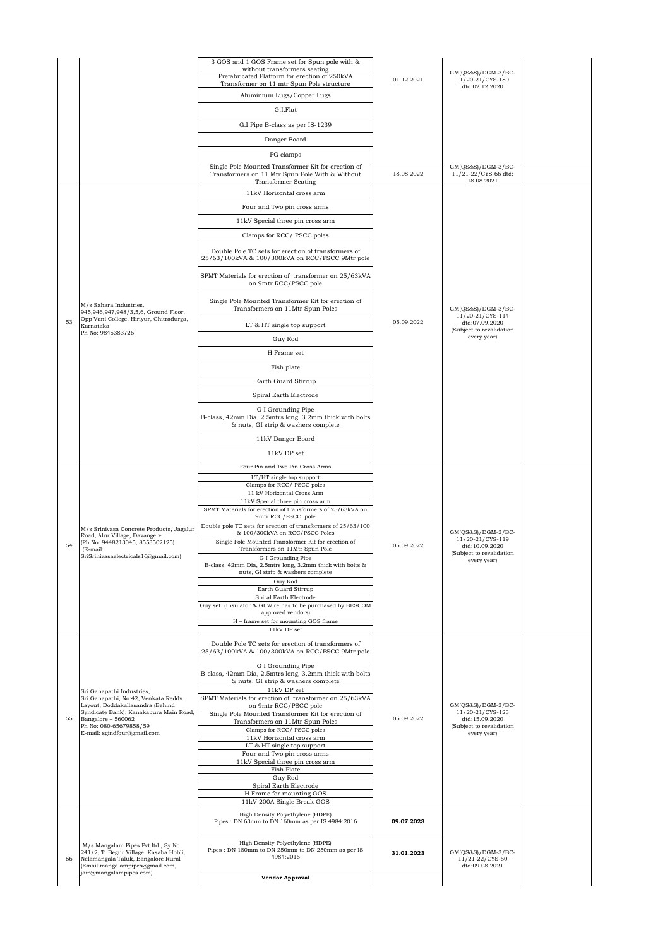|    |                                                                                                                     | 3 GOS and 1 GOS Frame set for Spun pole with &                                                                       |            |                                            |  |
|----|---------------------------------------------------------------------------------------------------------------------|----------------------------------------------------------------------------------------------------------------------|------------|--------------------------------------------|--|
|    |                                                                                                                     | without transformers seating<br>Prefabricated Platform for erection of 250kVA                                        | 01.12.2021 | GM(QS&S)/DGM-3/BC-                         |  |
|    |                                                                                                                     | Transformer on 11 mtr Spun Pole structure                                                                            |            | 11/20-21/CYS-180<br>dtd:02.12.2020         |  |
|    |                                                                                                                     | Aluminium Lugs/Copper Lugs                                                                                           |            |                                            |  |
|    |                                                                                                                     | G.I.Flat                                                                                                             |            |                                            |  |
|    |                                                                                                                     | G.I.Pipe B-class as per IS-1239                                                                                      |            |                                            |  |
|    |                                                                                                                     | Danger Board                                                                                                         |            |                                            |  |
|    |                                                                                                                     | PG clamps                                                                                                            |            |                                            |  |
|    |                                                                                                                     | Single Pole Mounted Transformer Kit for erection of                                                                  |            | $GM(QS&S)/DGM-3/BC-$                       |  |
|    |                                                                                                                     | Transformers on 11 Mtr Spun Pole With & Without                                                                      | 18.08.2022 | 11/21-22/CYS-66 dtd:<br>18.08.2021         |  |
|    |                                                                                                                     | <b>Transformer Seating</b><br>11kV Horizontal cross arm                                                              |            |                                            |  |
|    |                                                                                                                     |                                                                                                                      |            |                                            |  |
|    |                                                                                                                     | Four and Two pin cross arms                                                                                          |            |                                            |  |
|    |                                                                                                                     | 11kV Special three pin cross arm                                                                                     |            |                                            |  |
|    |                                                                                                                     | Clamps for RCC/PSCC poles                                                                                            |            |                                            |  |
|    |                                                                                                                     | Double Pole TC sets for erection of transformers of<br>25/63/100kVA & 100/300kVA on RCC/PSCC 9Mtr pole               |            |                                            |  |
|    |                                                                                                                     | SPMT Materials for erection of transformer on 25/63kVA<br>on 9mtr RCC/PSCC pole                                      |            |                                            |  |
|    | M/s Sahara Industries,<br>945,946,947,948/3,5,6, Ground Floor,                                                      | Single Pole Mounted Transformer Kit for erection of<br>Transformers on 11Mtr Spun Poles                              |            | GM(QS&S)/DGM-3/BC-<br>11/20-21/CYS-114     |  |
| 53 | Opp Vani College, Hiriyur, Chitradurga,<br>Karnataka                                                                | LT & HT single top support                                                                                           | 05.09.2022 | dtd:07.09.2020                             |  |
|    | Ph No: 9845383726                                                                                                   | Guy Rod                                                                                                              |            | (Subject to revalidation<br>every year)    |  |
|    |                                                                                                                     | H Frame set                                                                                                          |            |                                            |  |
|    |                                                                                                                     |                                                                                                                      |            |                                            |  |
|    |                                                                                                                     | Fish plate                                                                                                           |            |                                            |  |
|    |                                                                                                                     | Earth Guard Stirrup                                                                                                  |            |                                            |  |
|    |                                                                                                                     | Spiral Earth Electrode                                                                                               |            |                                            |  |
|    |                                                                                                                     | G I Grounding Pipe<br>B-class, 42mm Dia, 2.5mtrs long, 3.2mm thick with bolts<br>& nuts, GI strip & washers complete |            |                                            |  |
|    |                                                                                                                     | 11kV Danger Board                                                                                                    |            |                                            |  |
|    |                                                                                                                     | 11kV DP set                                                                                                          |            |                                            |  |
|    |                                                                                                                     | Four Pin and Two Pin Cross Arms                                                                                      |            |                                            |  |
|    |                                                                                                                     | LT/HT single top support                                                                                             |            |                                            |  |
|    |                                                                                                                     | Clamps for RCC/ PSCC poles<br>11 kV Horizontal Cross Arm                                                             |            |                                            |  |
|    |                                                                                                                     | 11kV Special three pin cross arm<br>SPMT Materials for erection of transformers of 25/63kVA on                       |            |                                            |  |
|    |                                                                                                                     | 9mtr RCC/PSCC pole                                                                                                   |            |                                            |  |
|    | M/s Srinivasa Concrete Products, Jagalur<br>Road, Alur Village, Davangere.                                          | Double pole TC sets for erection of transformers of 25/63/100<br>& 100/300kVA on RCC/PSCC Poles                      |            | GM(QS&S)/DGM-3/BC-                         |  |
| 54 | (Ph No: 9448213045, 8553502125)                                                                                     | Single Pole Mounted Transformer Kit for erection of                                                                  | 05.09.2022 | 11/20-21/CYS-119<br>dtd:10.09.2020         |  |
|    | (E-mail:<br>SriSrinivasaelectricals16@gmail.com)                                                                    | Transformers on 11Mtr Spun Pole<br>G I Grounding Pipe                                                                |            | (Subject to revalidation<br>every year)    |  |
|    |                                                                                                                     | B-class, 42mm Dia, 2.5mtrs long, 3.2mm thick with bolts &<br>nuts, GI strip & washers complete                       |            |                                            |  |
|    |                                                                                                                     | Guy Rod                                                                                                              |            |                                            |  |
|    |                                                                                                                     | Earth Guard Stirrup<br>Spiral Earth Electrode                                                                        |            |                                            |  |
|    |                                                                                                                     | Guy set (Insulator & GI Wire has to be purchased by BESCOM<br>approved vendors)                                      |            |                                            |  |
|    |                                                                                                                     | H - frame set for mounting GOS frame                                                                                 |            |                                            |  |
|    |                                                                                                                     | 11kV DP set                                                                                                          |            |                                            |  |
|    |                                                                                                                     | Double Pole TC sets for erection of transformers of<br>25/63/100kVA & 100/300kVA on RCC/PSCC 9Mtr pole               |            |                                            |  |
|    |                                                                                                                     | G I Grounding Pipe<br>B-class, 42mm Dia, 2.5mtrs long, 3.2mm thick with bolts                                        |            |                                            |  |
|    |                                                                                                                     | & nuts, GI strip & washers complete<br>11kV DP set                                                                   |            |                                            |  |
|    | Sri Ganapathi Industries,<br>Sri Ganapathi, No:42, Venkata Reddy                                                    | SPMT Materials for erection of transformer on 25/63kVA                                                               |            |                                            |  |
|    | Layout, Doddakallasandra (Behind<br>Syndicate Bank), Kanakapura Main Road,                                          | on 9mtr RCC/PSCC pole<br>Single Pole Mounted Transformer Kit for erection of                                         |            | $GM(QS&S)/DGM-3/BC-$<br>11/20-21/CYS-123   |  |
| 55 | Bangalore - 560062<br>Ph No: 080-65679858/59                                                                        | Transformers on 11Mtr Spun Poles                                                                                     | 05.09.2022 | dtd:15.09.2020<br>(Subject to revalidation |  |
|    | E-mail: sgindfour@gmail.com                                                                                         | Clamps for RCC/ PSCC poles<br>11kV Horizontal cross arm                                                              |            | every year)                                |  |
|    |                                                                                                                     | LT & HT single top support<br>Four and Two pin cross arms                                                            |            |                                            |  |
|    |                                                                                                                     | 11kV Special three pin cross arm                                                                                     |            |                                            |  |
|    |                                                                                                                     | Fish Plate<br>Guy Rod                                                                                                |            |                                            |  |
|    |                                                                                                                     | Spiral Earth Electrode                                                                                               |            |                                            |  |
|    |                                                                                                                     | H Frame for mounting GOS<br>11kV 200A Single Break GOS                                                               |            |                                            |  |
|    |                                                                                                                     | High Density Polyethylene (HDPE)<br>Pipes: DN 63mm to DN 160mm as per IS 4984:2016                                   | 09.07.2023 |                                            |  |
| 56 | M/s Mangalam Pipes Pvt ltd., Sy No.<br>241/2, T. Begur Village, Kasaba Hobli,<br>Nelamangala Taluk, Bangalore Rural | High Density Polyethylene (HDPE)<br>Pipes : DN 180mm to DN 250mm to DN 250mm as per IS<br>4984:2016                  | 31.01.2023 | $GM(QS&S)/DGM-3/BC-$<br>11/21-22/CYS-60    |  |
|    | (Email:mangalampipes@gmail.com,                                                                                     |                                                                                                                      |            | dtd:09.08.2021                             |  |
|    | jain@mangalampipes.com)                                                                                             | <b>Vendor Approval</b>                                                                                               |            |                                            |  |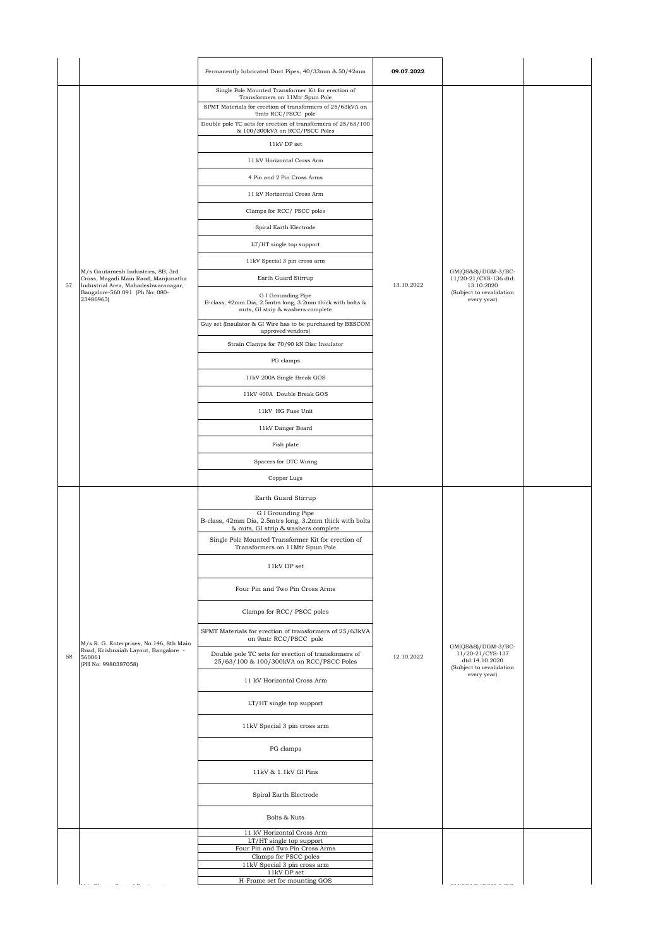|    |                                                                                    | Permanently lubricated Duct Pipes, 40/33mm & 50/42mm                                                                          | 09.07.2022 |                                                                                        |  |
|----|------------------------------------------------------------------------------------|-------------------------------------------------------------------------------------------------------------------------------|------------|----------------------------------------------------------------------------------------|--|
|    |                                                                                    | Single Pole Mounted Transformer Kit for erection of<br>Transformers on 11Mtr Spun Pole                                        |            |                                                                                        |  |
|    |                                                                                    | SPMT Materials for erection of transformers of 25/63kVA on<br>9mtr RCC/PSCC pole                                              |            |                                                                                        |  |
|    |                                                                                    | Double pole TC sets for erection of transformers of 25/63/100<br>& 100/300kVA on RCC/PSCC Poles                               |            |                                                                                        |  |
|    |                                                                                    | 11kV DP set                                                                                                                   |            |                                                                                        |  |
|    |                                                                                    | 11 kV Horizontal Cross Arm                                                                                                    |            |                                                                                        |  |
|    |                                                                                    | 4 Pin and 2 Pin Cross Arms                                                                                                    |            |                                                                                        |  |
|    |                                                                                    | 11 kV Horizontal Cross Arm                                                                                                    |            |                                                                                        |  |
|    |                                                                                    | Clamps for RCC/ PSCC poles                                                                                                    |            |                                                                                        |  |
|    |                                                                                    | Spiral Earth Electrode                                                                                                        |            |                                                                                        |  |
|    |                                                                                    | LT/HT single top support                                                                                                      |            |                                                                                        |  |
|    |                                                                                    | 11kV Special 3 pin cross arm                                                                                                  |            |                                                                                        |  |
|    | M/s Gautamesh Industries, 8B, 3rd<br>Cross, Magadi Main Raod, Manjunatha           | Earth Guard Stirrup                                                                                                           |            | $GM(QS&S)/DGM-3/BC-$<br>11/20-21/CYS-136 dtd:                                          |  |
| 57 | Industrial Area, Mahadeshwaranagar,<br>Bangalore-560 091 (Ph No: 080-<br>23486963) | G I Grounding Pipe<br>B-class, 42mm Dia, 2.5mtrs long, 3.2mm thick with bolts &<br>nuts, GI strip & washers complete          | 13.10.2022 | 13.10.2020<br>(Subject to revalidation<br>every year)                                  |  |
|    |                                                                                    | Guy set (Insulator & GI Wire has to be purchased by BESCOM<br>approved vendors)                                               |            |                                                                                        |  |
|    |                                                                                    | Strain Clamps for 70/90 kN Disc Insulator                                                                                     |            |                                                                                        |  |
|    |                                                                                    | PG clamps                                                                                                                     |            |                                                                                        |  |
|    |                                                                                    | 11kV 200A Single Break GOS                                                                                                    |            |                                                                                        |  |
|    |                                                                                    | 11kV 400A Double Break GOS                                                                                                    |            |                                                                                        |  |
|    |                                                                                    | 11kV HG Fuse Unit                                                                                                             |            |                                                                                        |  |
|    |                                                                                    | 11kV Danger Board                                                                                                             |            |                                                                                        |  |
|    |                                                                                    | Fish plate                                                                                                                    |            |                                                                                        |  |
|    |                                                                                    | Spacers for DTC Wiring                                                                                                        |            |                                                                                        |  |
|    |                                                                                    | Copper Lugs                                                                                                                   |            |                                                                                        |  |
|    |                                                                                    |                                                                                                                               |            |                                                                                        |  |
|    |                                                                                    | Earth Guard Stirrup                                                                                                           |            |                                                                                        |  |
|    |                                                                                    | G I Grounding Pipe<br>B-class, 42mm Dia, 2.5mtrs long, 3.2mm thick with bolts                                                 |            |                                                                                        |  |
|    |                                                                                    | & nuts, GI strip & washers complete<br>Single Pole Mounted Transformer Kit for erection of<br>Transformers on 11Mtr Spun Pole |            |                                                                                        |  |
|    |                                                                                    | 11kV DP set                                                                                                                   |            |                                                                                        |  |
|    |                                                                                    | Four Pin and Two Pin Cross Arms                                                                                               |            |                                                                                        |  |
|    |                                                                                    | Clamps for RCC/PSCC poles                                                                                                     |            |                                                                                        |  |
|    | M/s R. G. Enterprises, No:146, 8th Main                                            | SPMT Materials for erection of transformers of 25/63kVA<br>on 9mtr RCC/PSCC pole                                              |            |                                                                                        |  |
| 58 | Road, Krishnaiah Layout, Bangalore -<br>560061<br>(PH No: 9980387058)              | Double pole TC sets for erection of transformers of<br>25/63/100 & 100/300kVA on RCC/PSCC Poles                               | 12.10.2022 | $GM(QS&S)/DGM-3/BC-$<br>11/20-21/CYS-137<br>dtd:14.10.2020<br>(Subject to revalidation |  |
|    |                                                                                    | 11 kV Horizontal Cross Arm                                                                                                    |            | every year)                                                                            |  |
|    |                                                                                    | LT/HT single top support                                                                                                      |            |                                                                                        |  |
|    |                                                                                    | 11kV Special 3 pin cross arm                                                                                                  |            |                                                                                        |  |
|    |                                                                                    | PG clamps                                                                                                                     |            |                                                                                        |  |
|    |                                                                                    | 11kV & 1.1kV GI Pins                                                                                                          |            |                                                                                        |  |
|    |                                                                                    | Spiral Earth Electrode                                                                                                        |            |                                                                                        |  |
|    |                                                                                    | Bolts & Nuts                                                                                                                  |            |                                                                                        |  |
|    |                                                                                    | 11 kV Horizontal Cross Arm<br>LT/HT single top support                                                                        |            |                                                                                        |  |
|    |                                                                                    | Four Pin and Two Pin Cross Arms<br>Clamps for PSCC poles                                                                      |            |                                                                                        |  |
|    |                                                                                    | 11kV Special 3 pin cross arm<br>$11\mathrm{kV}$ DP set<br>H-Frame set for mounting GOS                                        |            |                                                                                        |  |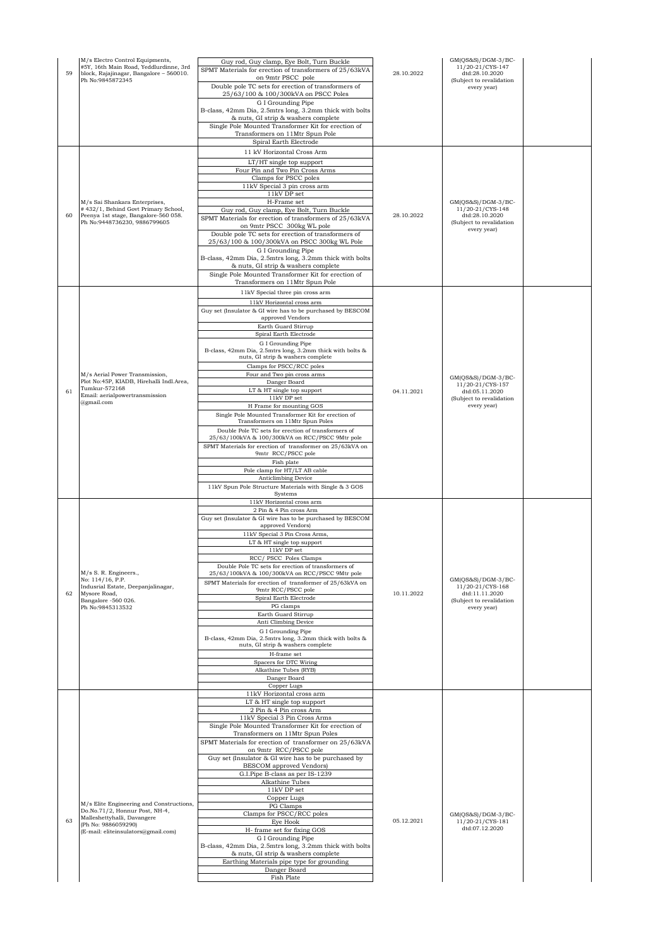| 59 | M/s Electro Control Equipments,<br>#5Y, 16th Main Road, Yeddlurdinne, 3rd<br>block, Rajajinagar, Bangalore - 560010.<br>Ph No: 9845872345                               | Guy rod, Guy clamp, Eye Bolt, Turn Buckle<br>SPMT Materials for erection of transformers of 25/63kVA<br>on 9mtr PSCC pole<br>Double pole TC sets for erection of transformers of<br>25/63/100 & 100/300kVA on PSCC Poles<br>G I Grounding Pipe<br>B-class, 42mm Dia, 2.5mtrs long, 3.2mm thick with bolts<br>& nuts, GI strip & washers complete<br>Single Pole Mounted Transformer Kit for erection of<br>Transformers on 11Mtr Spun Pole<br>Spiral Earth Electrode<br>11 kV Horizontal Cross Arm<br>LT/HT single top support<br>Four Pin and Two Pin Cross Arms<br>Clamps for PSCC poles                                                                                                                                                                                                                                                                                                                       | 28.10.2022 | GM(QS&S)/DGM-3/BC-<br>11/20-21/CYS-147<br>dtd:28.10.2020<br>(Subject to revalidation<br>every year)   |  |
|----|-------------------------------------------------------------------------------------------------------------------------------------------------------------------------|------------------------------------------------------------------------------------------------------------------------------------------------------------------------------------------------------------------------------------------------------------------------------------------------------------------------------------------------------------------------------------------------------------------------------------------------------------------------------------------------------------------------------------------------------------------------------------------------------------------------------------------------------------------------------------------------------------------------------------------------------------------------------------------------------------------------------------------------------------------------------------------------------------------|------------|-------------------------------------------------------------------------------------------------------|--|
| 60 | M/s Sai Shankara Enterprises,<br>#432/1, Behind Govt Primary School,<br>Peenya 1st stage, Bangalore-560 058.<br>Ph No:9448736230, 9886799605                            | 11kV Special 3 pin cross arm<br>11kV DP set<br>H-Frame set<br>Guy rod, Guy clamp, Eye Bolt, Turn Buckle<br>SPMT Materials for erection of transformers of 25/63kVA<br>on 9mtr PSCC 300kg WL pole<br>Double pole TC sets for erection of transformers of<br>25/63/100 & 100/300kVA on PSCC 300kg WL Pole<br>G I Grounding Pipe<br>B-class, 42mm Dia, 2.5mtrs long, 3.2mm thick with bolts<br>& nuts, GI strip & washers complete<br>Single Pole Mounted Transformer Kit for erection of<br>Transformers on 11Mtr Spun Pole                                                                                                                                                                                                                                                                                                                                                                                        | 28.10.2022 | $GM(QS&S)/DGM-3/BC-$<br>11/20-21/CYS-148<br>dtd:28.10.2020<br>(Subject to revalidation<br>every year) |  |
| 61 | M/s Aerial Power Transmission,<br>Plot No:45P, KIADB, Hirehalli Indl.Area,<br>Tumkur-572168<br>Email: aerialpowertransmission<br>@gmail.com                             | 11kV Special three pin cross arm<br>11kV Horizontal cross arm<br>Guy set (Insulator & GI wire has to be purchased by BESCOM<br>approved Vendors<br>Earth Guard Stirrup<br>Spiral Earth Electrode<br>G I Grounding Pipe<br>B-class, 42mm Dia, 2.5mtrs long, 3.2mm thick with bolts &<br>nuts, GI strip & washers complete<br>Clamps for PSCC/RCC poles<br>Four and Two pin cross arms<br>Danger Board<br>LT & HT single top support<br>11kV DP set<br>H Frame for mounting GOS<br>Single Pole Mounted Transformer Kit for erection of<br>Transformers on 11Mtr Spun Poles<br>Double Pole TC sets for erection of transformers of<br>25/63/100kVA & 100/300kVA on RCC/PSCC 9Mtr pole<br>SPMT Materials for erection of transformer on 25/63kVA on<br>9mtr RCC/PSCC pole<br>Fish plate<br>Pole clamp for HT/LT AB cable<br>Anticlimbing Device<br>11kV Spun Pole Structure Materials with Single & 3 GOS<br>Systems | 04.11.2021 | $GM(QS&S)/DGM-3/BC-$<br>11/20-21/CYS-157<br>dtd:05.11.2020<br>(Subject to revalidation<br>every year) |  |
| 62 | M/s S. R. Engineers.,<br>No: 114/16, P.P.<br>Indusrial Estate, Deepanjalinagar,<br>Mysore Road,<br>Bangalore -560 026.<br>Ph No:9845313532                              | 11kV Horizontal cross arm<br>2 Pin & 4 Pin cross Arm<br>Guy set (Insulator & GI wire has to be purchased by BESCOM<br>approved Vendors)<br>11kV Special 3 Pin Cross Arms,<br>LT & HT single top support<br>$11\mathrm{kV}$ DP set<br>RCC/ PSCC Poles Clamps<br>Double Pole TC sets for erection of transformers of<br>25/63/100kVA & 100/300kVA on RCC/PSCC 9Mtr pole<br>SPMT Materials for erection of transformer of 25/63kVA on<br>9mtr RCC/PSCC pole<br>Spiral Earth Electrode<br>PG clamps<br>Earth Guard Stirrup<br>Anti Climbing Device<br>G I Grounding Pipe<br>B-class, 42mm Dia, 2.5mtrs long, 3.2mm thick with bolts &<br>nuts, GI strip & washers complete<br>H-frame set<br>Spacers for DTC Wiring<br>Alkathine Tubes (RYB)<br>Danger Board<br>Copper Lugs                                                                                                                                          | 10.11.2022 | $GM(QS&S)/DGM-3/BC-$<br>11/20-21/CYS-168<br>dtd:11.11.2020<br>(Subject to revalidation<br>every year) |  |
| 63 | M/s Elite Engineering and Constructions,<br>Do.No.71/2, Honnur Post, NH-4,<br>Malleshettyhalli, Davangere<br>(Ph No: 9886059290)<br>(E-mail: eliteinsulators@gmail.com) | 11kV Horizontal cross arm<br>LT & HT single top support<br>2 Pin & 4 Pin cross Arm<br>11kV Special 3 Pin Cross Arms<br>Single Pole Mounted Transformer Kit for erection of<br>Transformers on 11Mtr Spun Poles<br>SPMT Materials for erection of transformer on 25/63kVA<br>on 9mtr RCC/PSCC pole<br>Guy set (Insulator & GI wire has to be purchased by<br>BESCOM approved Vendors)<br>G.I.Pipe B-class as per IS-1239<br>Alkathine Tubes<br>$11\mathrm{kV}$ DP set<br>Copper Lugs<br>PG Clamps<br>Clamps for PSCC/RCC poles<br>Eye Hook<br>H- frame set for fixing GOS<br>G I Grounding Pipe<br>B-class, 42mm Dia, 2.5mtrs long, 3.2mm thick with bolts<br>& nuts, GI strip & washers complete<br>Earthing Materials pipe type for grounding<br>Danger Board<br>Fish Plate                                                                                                                                     | 05.12.2021 | $GM(QS&S)/DGM-3/BC-$<br>11/20-21/CYS-181<br>dtd:07.12.2020                                            |  |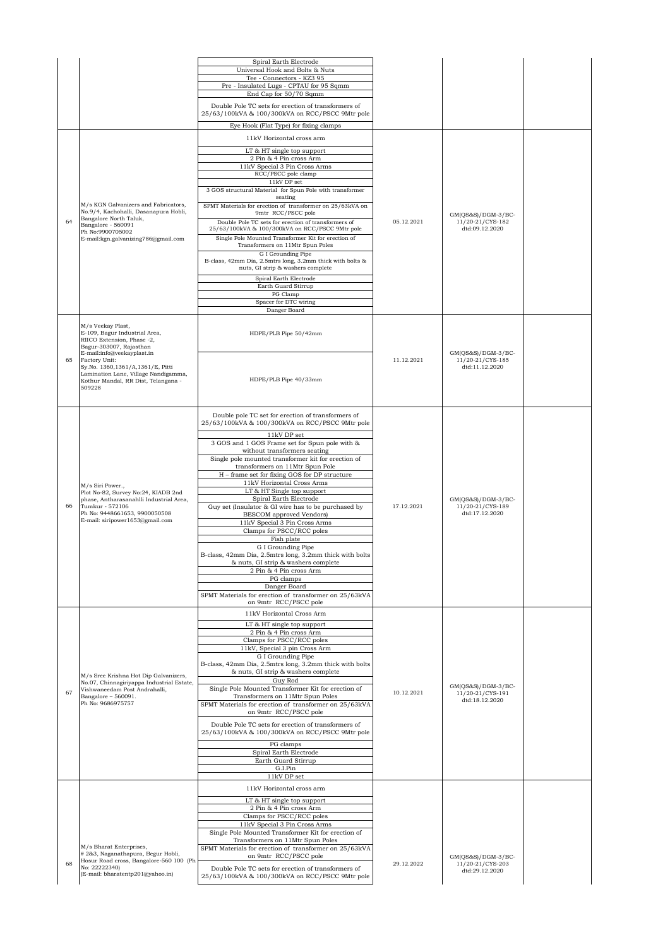|    |                                                                                | Spiral Earth Electrode                                                                                 |            |                                          |  |
|----|--------------------------------------------------------------------------------|--------------------------------------------------------------------------------------------------------|------------|------------------------------------------|--|
|    |                                                                                | Universal Hook and Bolts & Nuts<br>Tee - Connectors - KZ3 95                                           |            |                                          |  |
|    |                                                                                | Pre - Insulated Lugs - CPTAU for 95 Sqmm                                                               |            |                                          |  |
|    |                                                                                | End Cap for 50/70 Sqmm                                                                                 |            |                                          |  |
|    |                                                                                | Double Pole TC sets for erection of transformers of<br>25/63/100kVA & 100/300kVA on RCC/PSCC 9Mtr pole |            |                                          |  |
|    |                                                                                | Eye Hook (Flat Type) for fixing clamps                                                                 |            |                                          |  |
|    |                                                                                | 11kV Horizontal cross arm                                                                              |            |                                          |  |
|    |                                                                                | LT & HT single top support                                                                             |            |                                          |  |
|    |                                                                                | 2 Pin & 4 Pin cross Arm<br>11kV Special 3 Pin Cross Arms                                               |            |                                          |  |
|    |                                                                                | RCC/PSCC pole clamp                                                                                    |            |                                          |  |
|    |                                                                                | 11kV DP set<br>3 GOS structural Material for Spun Pole with transformer                                |            |                                          |  |
|    | M/s KGN Galvanizers and Fabricators.                                           | seating                                                                                                |            |                                          |  |
|    | No.9/4, Kachohalli, Dasanapura Hobli,                                          | SPMT Materials for erection of transformer on 25/63kVA on<br>9mtr RCC/PSCC pole                        |            | GM(QS&S)/DGM-3/BC-                       |  |
| 64 | Bangalore North Taluk,<br>Bangalore - 560091                                   | Double Pole TC sets for erection of transformers of<br>25/63/100kVA & 100/300kVA on RCC/PSCC 9Mtr pole | 05.12.2021 | 11/20-21/CYS-182<br>dtd:09.12.2020       |  |
|    | Ph No:9900705002<br>E-mail:kgn.galvanizing786@gmail.com                        | Single Pole Mounted Transformer Kit for erection of                                                    |            |                                          |  |
|    |                                                                                | Transformers on 11Mtr Spun Poles<br>G I Grounding Pipe                                                 |            |                                          |  |
|    |                                                                                | B-class, 42mm Dia, 2.5mtrs long, 3.2mm thick with bolts &<br>nuts, GI strip & washers complete         |            |                                          |  |
|    |                                                                                | Spiral Earth Electrode                                                                                 |            |                                          |  |
|    |                                                                                | Earth Guard Stirrup                                                                                    |            |                                          |  |
|    |                                                                                | PG Clamp<br>Spacer for DTC wiring                                                                      |            |                                          |  |
|    |                                                                                | Danger Board                                                                                           |            |                                          |  |
|    | M/s Veekay Plast,                                                              |                                                                                                        |            |                                          |  |
|    | E-109, Bagur Industrial Area,<br>RIICO Extension, Phase -2.                    | HDPE/PLB Pipe 50/42mm                                                                                  |            |                                          |  |
|    | Bagur-303007, Rajasthan<br>E-mail:info@veekayplast.in                          |                                                                                                        |            | GM(QS&S)/DGM-3/BC-                       |  |
| 65 | Factory Unit:                                                                  |                                                                                                        | 11.12.2021 | 11/20-21/CYS-185                         |  |
|    | Sy.No. 1360,1361/A,1361/E, Pitti<br>Lamination Lane, Village Nandigamma,       |                                                                                                        |            | dtd:11.12.2020                           |  |
|    | Kothur Mandal, RR Dist, Telangana -<br>509228                                  | HDPE/PLB Pipe 40/33mm                                                                                  |            |                                          |  |
|    |                                                                                |                                                                                                        |            |                                          |  |
|    |                                                                                | Double pole TC set for erection of transformers of                                                     |            |                                          |  |
|    |                                                                                | 25/63/100kVA & 100/300kVA on RCC/PSCC 9Mtr pole                                                        |            |                                          |  |
|    |                                                                                | 11kV DP set                                                                                            |            |                                          |  |
|    |                                                                                | 3 GOS and 1 GOS Frame set for Spun pole with &<br>without transformers seating                         |            |                                          |  |
|    |                                                                                | Single pole mounted transformer kit for erection of                                                    |            |                                          |  |
|    |                                                                                | transformers on 11Mtr Spun Pole<br>H - frame set for fixing GOS for DP structure                       |            |                                          |  |
|    | M/s Siri Power.,                                                               | 11kV Horizontal Cross Arms                                                                             |            |                                          |  |
|    | Plot No-82, Survey No:24, KIADB 2nd<br>phase. Antharasanahlli Industrial Area. | LT & HT Single top support<br>Spiral Earth Electrode                                                   |            | GM(OS&S)/DGM-3/BC-                       |  |
| 66 | Tumkur - 572106<br>Ph No: 9448661653, 9900050508                               | Guy set (Insulator & GI wire has to be purchased by                                                    | 17.12.2021 | 11/20-21/CYS-189<br>dtd:17.12.2020       |  |
|    | E-mail: siripower1653@gmail.com                                                | BESCOM approved Vendors)<br>11kV Special 3 Pin Cross Arms                                              |            |                                          |  |
|    |                                                                                | Clamps for PSCC/RCC poles<br>Fish plate                                                                |            |                                          |  |
|    |                                                                                | G I Grounding Pipe                                                                                     |            |                                          |  |
|    |                                                                                | B-class, 42mm Dia, 2.5mtrs long, 3.2mm thick with bolts<br>& nuts, GI strip & washers complete         |            |                                          |  |
|    |                                                                                | 2 Pin & 4 Pin cross Arm                                                                                |            |                                          |  |
|    |                                                                                | PG clamps<br>Danger Board                                                                              |            |                                          |  |
|    |                                                                                | SPMT Materials for erection of transformer on 25/63kVA                                                 |            |                                          |  |
|    |                                                                                | on 9mtr RCC/PSCC pole<br>11kV Horizontal Cross Arm                                                     |            |                                          |  |
|    |                                                                                | LT & HT single top support                                                                             |            |                                          |  |
|    |                                                                                | 2 Pin & 4 Pin cross Arm                                                                                |            |                                          |  |
|    |                                                                                | Clamps for PSCC/RCC poles<br>11kV, Special 3 pin Cross Arm                                             |            |                                          |  |
|    |                                                                                | G I Grounding Pipe<br>B-class, 42mm Dia, 2.5mtrs long, 3.2mm thick with bolts                          |            |                                          |  |
|    | M/s Sree Krishna Hot Dip Galvanizers,                                          | & nuts, GI strip & washers complete                                                                    |            |                                          |  |
|    | No.07, Chinnagiriyappa Industrial Estate,<br>Vishwaneedam Post Andrahalli,     | Guy Rod<br>Single Pole Mounted Transformer Kit for erection of                                         |            | $GM(QS&S)/DGM-3/BC-$                     |  |
| 67 | Bangalore - 560091.                                                            | Transformers on 11Mtr Spun Poles                                                                       | 10.12.2021 | 11/20-21/CYS-191<br>dtd:18.12.2020       |  |
|    | Ph No: 9686975757                                                              | SPMT Materials for erection of transformer on 25/63kVA<br>on 9mtr RCC/PSCC pole                        |            |                                          |  |
|    |                                                                                | Double Pole TC sets for erection of transformers of                                                    |            |                                          |  |
|    |                                                                                | 25/63/100kVA & 100/300kVA on RCC/PSCC 9Mtr pole                                                        |            |                                          |  |
|    |                                                                                | PG clamps                                                                                              |            |                                          |  |
|    |                                                                                | Spiral Earth Electrode<br>Earth Guard Stirrup                                                          |            |                                          |  |
|    |                                                                                | G.I.Pin<br>11kV DP set                                                                                 |            |                                          |  |
|    |                                                                                | 11kV Horizontal cross arm                                                                              |            |                                          |  |
|    |                                                                                | LT & HT single top support                                                                             |            |                                          |  |
|    |                                                                                | 2 Pin & 4 Pin cross Arm                                                                                |            |                                          |  |
|    |                                                                                | Clamps for PSCC/RCC poles<br>11kV Special 3 Pin Cross Arms                                             |            |                                          |  |
|    |                                                                                | Single Pole Mounted Transformer Kit for erection of                                                    |            |                                          |  |
|    | M/s Bharat Enterprises,                                                        | Transformers on 11Mtr Spun Poles<br>SPMT Materials for erection of transformer on 25/63kVA             |            |                                          |  |
| 68 | # 2&3, Naganathapura, Begur Hobli,<br>Hosur Road cross, Bangalore-560 100 (Ph  | on 9mtr RCC/PSCC pole                                                                                  | 29.12.2022 | $GM(QS&S)/DGM-3/BC-$<br>11/20-21/CYS-203 |  |
|    | No: 22222340)<br>(E-mail: bharatentp201@yahoo.in)                              | Double Pole TC sets for erection of transformers of<br>25/63/100kVA & 100/300kVA on RCC/PSCC 9Mtr pole |            | dtd:29.12.2020                           |  |
|    |                                                                                |                                                                                                        |            |                                          |  |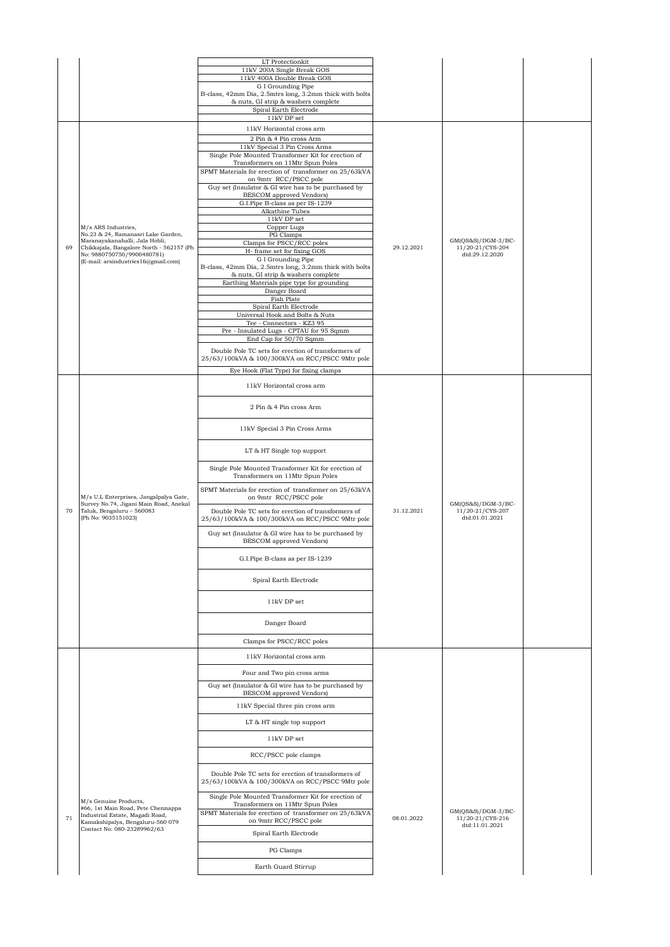|    |                                                                            | LT Protectionkit                                                                                       |            |                                          |  |
|----|----------------------------------------------------------------------------|--------------------------------------------------------------------------------------------------------|------------|------------------------------------------|--|
|    |                                                                            | 11kV 200A Single Break GOS                                                                             |            |                                          |  |
|    |                                                                            | 11kV 400A Double Break GOS<br>G I Grounding Pipe                                                       |            |                                          |  |
|    |                                                                            | B-class, 42mm Dia, 2.5mtrs long, 3.2mm thick with bolts                                                |            |                                          |  |
|    |                                                                            | & nuts, GI strip & washers complete<br>Spiral Earth Electrode                                          |            |                                          |  |
|    |                                                                            | $11\mathrm{kV}$ DP set                                                                                 |            |                                          |  |
|    |                                                                            | 11kV Horizontal cross arm                                                                              |            |                                          |  |
|    |                                                                            | 2 Pin & 4 Pin cross Arm                                                                                |            |                                          |  |
|    |                                                                            | 11kV Special 3 Pin Cross Arms                                                                          |            |                                          |  |
|    |                                                                            | Single Pole Mounted Transformer Kit for erection of<br>Transformers on 11Mtr Spun Poles                |            |                                          |  |
|    |                                                                            | SPMT Materials for erection of transformer on 25/63kVA                                                 |            |                                          |  |
|    |                                                                            | on 9mtr RCC/PSCC pole                                                                                  |            |                                          |  |
|    |                                                                            | Guy set (Insulator & GI wire has to be purchased by<br>BESCOM approved Vendors)                        |            |                                          |  |
|    |                                                                            | G.I.Pipe B-class as per IS-1239                                                                        |            |                                          |  |
|    |                                                                            | Alkathine Tubes                                                                                        |            |                                          |  |
|    | M/s ARS Industries,                                                        | 11kV DP set<br>Copper Lugs                                                                             |            |                                          |  |
|    | No.23 & 24, Ramanasri Lake Garden,                                         | PG Clamps                                                                                              |            |                                          |  |
| 69 | Maranayakanahalli, Jala Hobli,<br>Chikkajala, Bangalore North - 562157 (Ph | Clamps for PSCC/RCC poles<br>H- frame set for fixing GOS                                               | 29.12.2021 | $GM(QS&S)/DGM-3/BC-$<br>11/20-21/CYS-204 |  |
|    | No: 9880750750/9900480781)<br>(E-mail: arsindustries16@gmail.com)          | G I Grounding Pipe                                                                                     |            | dtd:29.12.2020                           |  |
|    |                                                                            | B-class, 42mm Dia, 2.5mtrs long, 3.2mm thick with bolts                                                |            |                                          |  |
|    |                                                                            | & nuts, GI strip & washers complete<br>Earthing Materials pipe type for grounding                      |            |                                          |  |
|    |                                                                            | Danger Board                                                                                           |            |                                          |  |
|    |                                                                            | Fish Plate                                                                                             |            |                                          |  |
|    |                                                                            | Spiral Earth Electrode<br>Universal Hook and Bolts & Nuts                                              |            |                                          |  |
|    |                                                                            | Tee - Connectors - KZ3 95                                                                              |            |                                          |  |
|    |                                                                            | Pre - Insulated Lugs - CPTAU for 95 Sqmm<br>End Cap for 50/70 Sqmm                                     |            |                                          |  |
|    |                                                                            |                                                                                                        |            |                                          |  |
|    |                                                                            | Double Pole TC sets for erection of transformers of<br>25/63/100kVA & 100/300kVA on RCC/PSCC 9Mtr pole |            |                                          |  |
|    |                                                                            | Eye Hook (Flat Type) for fixing clamps                                                                 |            |                                          |  |
|    |                                                                            |                                                                                                        |            |                                          |  |
|    |                                                                            | 11kV Horizontal cross arm                                                                              |            |                                          |  |
|    |                                                                            | 2 Pin & 4 Pin cross Arm                                                                                |            |                                          |  |
|    |                                                                            |                                                                                                        |            |                                          |  |
|    |                                                                            | 11kV Special 3 Pin Cross Arms                                                                          |            |                                          |  |
|    |                                                                            |                                                                                                        |            |                                          |  |
|    |                                                                            | LT & HT Single top support                                                                             |            |                                          |  |
|    |                                                                            |                                                                                                        |            |                                          |  |
|    |                                                                            | Single Pole Mounted Transformer Kit for erection of                                                    |            |                                          |  |
|    |                                                                            | Transformers on 11Mtr Spun Poles                                                                       |            |                                          |  |
|    | M/s U.L Enterprises, Jangalpalya Gate,                                     | SPMT Materials for erection of transformer on 25/63kVA<br>on 9mtr RCC/PSCC pole                        |            |                                          |  |
|    | Survey No.74, Jigani Main Road, Anekal                                     |                                                                                                        |            | $GM(QS&S)/DGM-3/BC-$                     |  |
| 70 | Taluk, Bengaluru - 560083<br>(Ph No: 9035151023)                           | Double Pole TC sets for erection of transformers of<br>25/63/100kVA & 100/300kVA on RCC/PSCC 9Mtr pole | 31.12.2021 | 11/20-21/CYS-207<br>dtd:01.01.2021       |  |
|    |                                                                            |                                                                                                        |            |                                          |  |
|    |                                                                            | Guy set (Insulator & GI wire has to be purchased by<br><b>BESCOM</b> approved Vendors)                 |            |                                          |  |
|    |                                                                            |                                                                                                        |            |                                          |  |
|    |                                                                            | G.I.Pipe B-class as per IS-1239                                                                        |            |                                          |  |
|    |                                                                            |                                                                                                        |            |                                          |  |
|    |                                                                            | Spiral Earth Electrode                                                                                 |            |                                          |  |
|    |                                                                            |                                                                                                        |            |                                          |  |
|    |                                                                            | 11kV DP set                                                                                            |            |                                          |  |
|    |                                                                            |                                                                                                        |            |                                          |  |
|    |                                                                            | Danger Board                                                                                           |            |                                          |  |
|    |                                                                            | Clamps for PSCC/RCC poles                                                                              |            |                                          |  |
|    |                                                                            | 11kV Horizontal cross arm                                                                              |            |                                          |  |
|    |                                                                            |                                                                                                        |            |                                          |  |
|    |                                                                            | Four and Two pin cross arms                                                                            |            |                                          |  |
|    |                                                                            | Guy set (Insulator & GI wire has to be purchased by                                                    |            |                                          |  |
|    |                                                                            | BESCOM approved Vendors)                                                                               |            |                                          |  |
|    |                                                                            | 11kV Special three pin cross arm                                                                       |            |                                          |  |
|    |                                                                            | LT & HT single top support                                                                             |            |                                          |  |
|    |                                                                            |                                                                                                        |            |                                          |  |
|    |                                                                            | 11kV DP set                                                                                            |            |                                          |  |
|    |                                                                            | RCC/PSCC pole clamps                                                                                   |            |                                          |  |
|    |                                                                            | Double Pole TC sets for erection of transformers of<br>25/63/100kVA & 100/300kVA on RCC/PSCC 9Mtr pole |            |                                          |  |
|    | M/s Genuine Products,                                                      | Single Pole Mounted Transformer Kit for erection of<br>Transformers on 11Mtr Spun Poles                |            |                                          |  |
|    | #66, 1st Main Road, Pete Chennappa<br>Industrial Estate, Magadi Road,      | SPMT Materials for erection of transformer on 25/63kVA                                                 |            | $GM(QS&S)/DGM-3/BC-$                     |  |
| 71 | Kamakshipalya, Bengaluru-560 079<br>Contact No: 080-23289962/63            | on 9mtr RCC/PSCC pole                                                                                  | 08.01.2022 | 11/20-21/CYS-216<br>dtd:11.01.2021       |  |
|    |                                                                            | Spiral Earth Electrode                                                                                 |            |                                          |  |
|    |                                                                            | PG Clamps                                                                                              |            |                                          |  |
|    |                                                                            |                                                                                                        |            |                                          |  |
|    |                                                                            | Earth Guard Stirrup                                                                                    |            |                                          |  |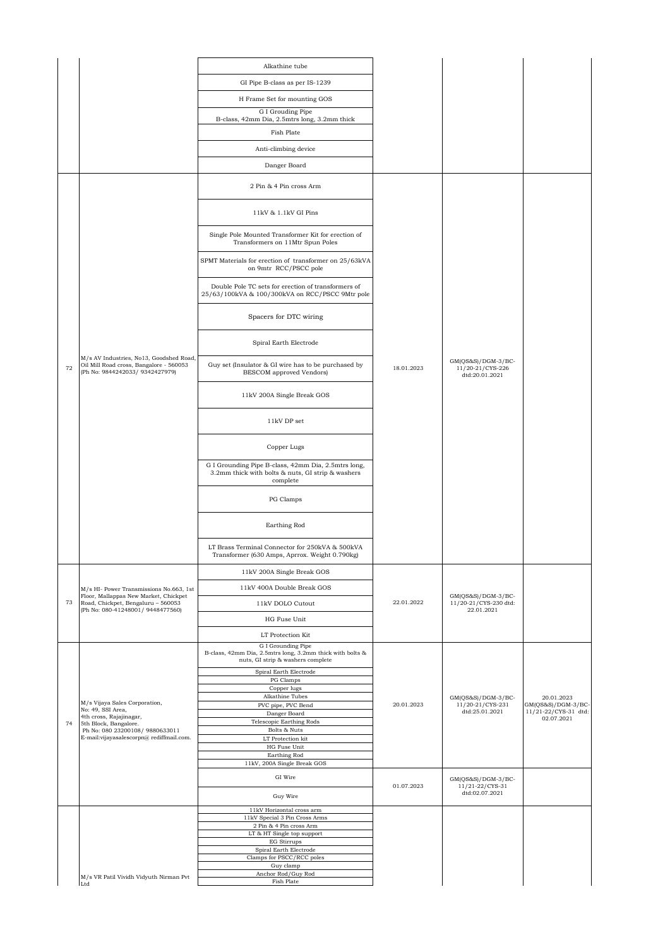|    |                                                                                                                       | Alkathine tube                                                                                                       |            |                                                             |                                    |
|----|-----------------------------------------------------------------------------------------------------------------------|----------------------------------------------------------------------------------------------------------------------|------------|-------------------------------------------------------------|------------------------------------|
|    |                                                                                                                       | GI Pipe B-class as per IS-1239                                                                                       |            |                                                             |                                    |
|    |                                                                                                                       | H Frame Set for mounting GOS                                                                                         |            |                                                             |                                    |
|    |                                                                                                                       | G I Grouding Pipe                                                                                                    |            |                                                             |                                    |
|    |                                                                                                                       | B-class, 42mm Dia, 2.5mtrs long, 3.2mm thick                                                                         |            |                                                             |                                    |
|    |                                                                                                                       | Fish Plate                                                                                                           |            |                                                             |                                    |
|    |                                                                                                                       | Anti-climbing device                                                                                                 |            |                                                             |                                    |
|    |                                                                                                                       | Danger Board                                                                                                         |            |                                                             |                                    |
|    |                                                                                                                       | 2 Pin & 4 Pin cross Arm                                                                                              |            |                                                             |                                    |
|    |                                                                                                                       | 11kV & 1.1kV GI Pins                                                                                                 |            |                                                             |                                    |
|    |                                                                                                                       | Single Pole Mounted Transformer Kit for erection of<br>Transformers on 11Mtr Spun Poles                              |            |                                                             |                                    |
|    |                                                                                                                       | SPMT Materials for erection of transformer on 25/63kVA<br>on 9mtr RCC/PSCC pole                                      |            |                                                             |                                    |
|    |                                                                                                                       | Double Pole TC sets for erection of transformers of<br>25/63/100kVA & 100/300kVA on RCC/PSCC 9Mtr pole               |            |                                                             |                                    |
|    |                                                                                                                       | Spacers for DTC wiring                                                                                               |            |                                                             |                                    |
|    |                                                                                                                       | Spiral Earth Electrode                                                                                               |            |                                                             |                                    |
| 72 | M/s AV Industries, No13, Goodshed Road,<br>Oil Mill Road cross, Bangalore - 560053<br>(Ph No: 9844242033/ 9342427979) | Guy set (Insulator & GI wire has to be purchased by<br>BESCOM approved Vendors)                                      | 18.01.2023 | GM(QS&S)/DGM-3/BC-<br>11/20-21/CYS-226<br>dtd:20.01.2021    |                                    |
|    |                                                                                                                       | 11kV 200A Single Break GOS                                                                                           |            |                                                             |                                    |
|    |                                                                                                                       | 11kV DP set                                                                                                          |            |                                                             |                                    |
|    |                                                                                                                       | Copper Lugs                                                                                                          |            |                                                             |                                    |
|    |                                                                                                                       | G I Grounding Pipe B-class, 42mm Dia, 2.5mtrs long,<br>3.2mm thick with bolts & nuts, GI strip & washers<br>complete |            |                                                             |                                    |
|    |                                                                                                                       | PG Clamps                                                                                                            |            |                                                             |                                    |
|    |                                                                                                                       | Earthing Rod                                                                                                         |            |                                                             |                                    |
|    |                                                                                                                       | LT Brass Terminal Connector for 250kVA & 500kVA<br>Transformer (630 Amps, Aprrox. Weight 0.790kg)                    |            |                                                             |                                    |
|    |                                                                                                                       | 11kV 200A Single Break GOS                                                                                           |            |                                                             |                                    |
|    | M/s HI- Power Transmissions No.663, 1st                                                                               | 11kV 400A Double Break GOS                                                                                           |            |                                                             |                                    |
| 73 | Floor, Mallappas New Market, Chickpet<br>Road, Chickpet, Bengaluru - 560053<br>(Ph No: 080-41248001/ 9448477560)      | 11kV DOLO Cutout                                                                                                     | 22.01.2022 | $GM(QS&S)/DGM-3/BC-$<br>11/20-21/CYS-230 dtd:<br>22.01.2021 |                                    |
|    |                                                                                                                       | HG Fuse Unit                                                                                                         |            |                                                             |                                    |
|    |                                                                                                                       | LT Protection Kit                                                                                                    |            |                                                             |                                    |
|    |                                                                                                                       | G I Grounding Pipe<br>B-class, 42mm Dia, 2.5mtrs long, 3.2mm thick with bolts &<br>nuts, GI strip & washers complete |            |                                                             |                                    |
|    |                                                                                                                       | Spiral Earth Electrode<br>PG Clamps                                                                                  |            |                                                             |                                    |
|    |                                                                                                                       | Copper lugs                                                                                                          |            |                                                             |                                    |
|    | M/s Vijaya Sales Corporation,                                                                                         | Alkathine Tubes<br>PVC pipe, PVC Bend                                                                                | 20.01.2023 | GM(QS&S)/DGM-3/BC-<br>11/20-21/CYS-231                      | 20.01.2023<br>GM(QS&S)/DGM-3/BC-   |
|    | No: 49, SSI Area,<br>4th cross, Rajajinagar,                                                                          | Danger Board                                                                                                         |            | dtd:25.01.2021                                              | 11/21-22/CYS-31 dtd:<br>02.07.2021 |
| 74 | 5th Block, Bangalore.<br>Ph No: 080 23200108/ 9880633011                                                              | Telescopic Earthing Rods<br>Bolts & Nuts                                                                             |            |                                                             |                                    |
|    | E-mail:vijayasalescorpn@ rediffmail.com.                                                                              | LT Protection kit                                                                                                    |            |                                                             |                                    |
|    |                                                                                                                       | HG Fuse Unit<br>Earthing Rod                                                                                         |            |                                                             |                                    |
|    |                                                                                                                       | 11kV, 200A Single Break GOS                                                                                          |            |                                                             |                                    |
|    |                                                                                                                       | GI Wire                                                                                                              | 01.07.2023 | $GM(QS&S)/DGM-3/BC-$<br>11/21-22/CYS-31<br>dtd:02.07.2021   |                                    |
|    |                                                                                                                       | Guy Wire                                                                                                             |            |                                                             |                                    |
|    |                                                                                                                       | 11kV Horizontal cross arm<br>11kV Special 3 Pin Cross Arms                                                           |            |                                                             |                                    |
|    |                                                                                                                       | 2 Pin & 4 Pin cross Arm<br>LT & HT Single top support                                                                |            |                                                             |                                    |
|    |                                                                                                                       | EG Stirrups                                                                                                          |            |                                                             |                                    |
|    |                                                                                                                       | Spiral Earth Electrode<br>Clamps for PSCC/RCC poles                                                                  |            |                                                             |                                    |
|    |                                                                                                                       | Guy clamp                                                                                                            |            |                                                             |                                    |
|    | M/s VR Patil Vividh Vidyuth Nirman Pvt<br>Ltd                                                                         | Anchor Rod/Guy Rod<br>Fish Plate                                                                                     |            |                                                             |                                    |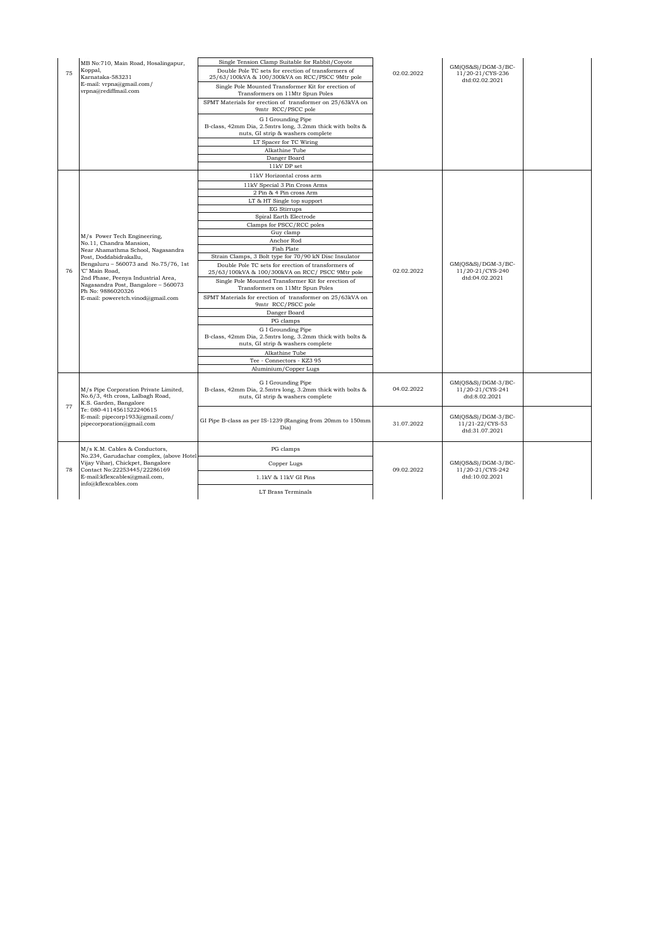| Single Tension Clamp Suitable for Rabbit/Coyote<br>MB No:710, Main Road, Hosalingapur,<br>$GM(QS&S)/DGM-3/BC-$<br>Koppal,<br>Double Pole TC sets for erection of transformers of<br>75<br>02.02.2022<br>11/20-21/CYS-236<br>Karnataka-583231<br>25/63/100kVA & 100/300kVA on RCC/PSCC 9Mtr pole<br>dtd:02.02.2021<br>E-mail: vrpna@gmail.com/<br>Single Pole Mounted Transformer Kit for erection of<br>vrpna@rediffmail.com<br>Transformers on 11Mtr Spun Poles<br>SPMT Materials for erection of transformer on 25/63kVA on<br>9mtr RCC/PSCC pole<br>G I Grounding Pipe<br>B-class, 42mm Dia, 2.5mtrs long, 3.2mm thick with bolts &<br>nuts, GI strip & washers complete<br>LT Spacer for TC Wiring<br>Alkathine Tube<br>Danger Board<br>11kV DP set<br>11kV Horizontal cross arm<br>11kV Special 3 Pin Cross Arms<br>2 Pin & 4 Pin cross Arm<br>LT & HT Single top support<br><b>EG Stirrups</b><br>Spiral Earth Electrode<br>Clamps for PSCC/RCC poles<br>Guy clamp<br>M/s Power Tech Engineering,<br>Anchor Rod<br>No.11, Chandra Mansion,<br>Fish Plate<br>Near Ahamathma School, Nagasandra<br>Strain Clamps, 3 Bolt type for 70/90 kN Disc Insulator<br>Post, Doddabidrakallu,<br>Bengaluru - 560073 and No.75/76, 1st<br>$GM(QS&S)/DGM-3/BC-$<br>Double Pole TC sets for erection of transformers of<br>'C' Main Road,<br>02.02.2022<br>11/20-21/CYS-240<br>76<br>25/63/100kVA & 100/300kVA on RCC/ PSCC 9Mtr pole<br>2nd Phase, Peenya Industrial Area,<br>dtd:04.02.2021<br>Single Pole Mounted Transformer Kit for erection of<br>Nagasandra Post, Bangalore - 560073<br>Transformers on 11Mtr Spun Poles<br>Ph No: 9886020326<br>SPMT Materials for erection of transformer on 25/63kVA on<br>E-mail: poweretch.vinod@gmail.com<br>9mtr RCC/PSCC pole<br>Danger Board<br>PG clamps<br>G I Grounding Pipe<br>B-class, 42mm Dia, 2.5mtrs long, 3.2mm thick with bolts &<br>nuts, GI strip & washers complete<br>Alkathine Tube<br>Tee - Connectors - KZ3 95<br>Aluminium/Copper Lugs<br>G I Grounding Pipe<br>$GM(QS&S)/DGM-3/BC-$<br>B-class, 42mm Dia, 2.5mtrs long, 3.2mm thick with bolts &<br>M/s Pipe Corporation Private Limited,<br>04.02.2022<br>11/20-21/CYS-241<br>No.6/3, 4th cross, Lalbagh Road,<br>nuts, GI strip & washers complete<br>dtd:8.02.2021<br>K.S. Garden, Bangalore<br>77<br>Te: 080-4114561522240615<br>E-mail: pipecorp1933@gmail.com/<br>$GM(QS&S)/DGM-3/BC-$<br>GI Pipe B-class as per IS-1239 (Ranging from 20mm to 150mm<br>pipecorporation@gmail.com<br>31.07.2022<br>11/21-22/CYS-53<br>Dia)<br>dtd:31.07.2021<br>M/s K.M. Cables & Conductors,<br>PG clamps<br>No.234, Garudachar complex, (above Hotel<br>Vijay Vihar), Chickpet, Bangalore<br>$GM(OS&S)/DGM-3/BC-$<br>Copper Lugs<br>78<br>Contact No:22253445/22286169<br>09.02.2022<br>11/20-21/CYS-242<br>E-mail:kflexcables@gmail.com,<br>dtd:10.02.2021<br>1.1kV & 11kV GI Pins<br>info@kflexcables.com |  |  |  |  |  |
|----------------------------------------------------------------------------------------------------------------------------------------------------------------------------------------------------------------------------------------------------------------------------------------------------------------------------------------------------------------------------------------------------------------------------------------------------------------------------------------------------------------------------------------------------------------------------------------------------------------------------------------------------------------------------------------------------------------------------------------------------------------------------------------------------------------------------------------------------------------------------------------------------------------------------------------------------------------------------------------------------------------------------------------------------------------------------------------------------------------------------------------------------------------------------------------------------------------------------------------------------------------------------------------------------------------------------------------------------------------------------------------------------------------------------------------------------------------------------------------------------------------------------------------------------------------------------------------------------------------------------------------------------------------------------------------------------------------------------------------------------------------------------------------------------------------------------------------------------------------------------------------------------------------------------------------------------------------------------------------------------------------------------------------------------------------------------------------------------------------------------------------------------------------------------------------------------------------------------------------------------------------------------------------------------------------------------------------------------------------------------------------------------------------------------------------------------------------------------------------------------------------------------------------------------------------------------------------------------------------------------------------------------------------------------------------------------------------------------------------------------------------------------------------------------------------------------------------------------------------------------------------------------------------|--|--|--|--|--|
|                                                                                                                                                                                                                                                                                                                                                                                                                                                                                                                                                                                                                                                                                                                                                                                                                                                                                                                                                                                                                                                                                                                                                                                                                                                                                                                                                                                                                                                                                                                                                                                                                                                                                                                                                                                                                                                                                                                                                                                                                                                                                                                                                                                                                                                                                                                                                                                                                                                                                                                                                                                                                                                                                                                                                                                                                                                                                                                |  |  |  |  |  |
|                                                                                                                                                                                                                                                                                                                                                                                                                                                                                                                                                                                                                                                                                                                                                                                                                                                                                                                                                                                                                                                                                                                                                                                                                                                                                                                                                                                                                                                                                                                                                                                                                                                                                                                                                                                                                                                                                                                                                                                                                                                                                                                                                                                                                                                                                                                                                                                                                                                                                                                                                                                                                                                                                                                                                                                                                                                                                                                |  |  |  |  |  |
|                                                                                                                                                                                                                                                                                                                                                                                                                                                                                                                                                                                                                                                                                                                                                                                                                                                                                                                                                                                                                                                                                                                                                                                                                                                                                                                                                                                                                                                                                                                                                                                                                                                                                                                                                                                                                                                                                                                                                                                                                                                                                                                                                                                                                                                                                                                                                                                                                                                                                                                                                                                                                                                                                                                                                                                                                                                                                                                |  |  |  |  |  |
|                                                                                                                                                                                                                                                                                                                                                                                                                                                                                                                                                                                                                                                                                                                                                                                                                                                                                                                                                                                                                                                                                                                                                                                                                                                                                                                                                                                                                                                                                                                                                                                                                                                                                                                                                                                                                                                                                                                                                                                                                                                                                                                                                                                                                                                                                                                                                                                                                                                                                                                                                                                                                                                                                                                                                                                                                                                                                                                |  |  |  |  |  |
|                                                                                                                                                                                                                                                                                                                                                                                                                                                                                                                                                                                                                                                                                                                                                                                                                                                                                                                                                                                                                                                                                                                                                                                                                                                                                                                                                                                                                                                                                                                                                                                                                                                                                                                                                                                                                                                                                                                                                                                                                                                                                                                                                                                                                                                                                                                                                                                                                                                                                                                                                                                                                                                                                                                                                                                                                                                                                                                |  |  |  |  |  |
|                                                                                                                                                                                                                                                                                                                                                                                                                                                                                                                                                                                                                                                                                                                                                                                                                                                                                                                                                                                                                                                                                                                                                                                                                                                                                                                                                                                                                                                                                                                                                                                                                                                                                                                                                                                                                                                                                                                                                                                                                                                                                                                                                                                                                                                                                                                                                                                                                                                                                                                                                                                                                                                                                                                                                                                                                                                                                                                |  |  |  |  |  |
|                                                                                                                                                                                                                                                                                                                                                                                                                                                                                                                                                                                                                                                                                                                                                                                                                                                                                                                                                                                                                                                                                                                                                                                                                                                                                                                                                                                                                                                                                                                                                                                                                                                                                                                                                                                                                                                                                                                                                                                                                                                                                                                                                                                                                                                                                                                                                                                                                                                                                                                                                                                                                                                                                                                                                                                                                                                                                                                |  |  |  |  |  |
|                                                                                                                                                                                                                                                                                                                                                                                                                                                                                                                                                                                                                                                                                                                                                                                                                                                                                                                                                                                                                                                                                                                                                                                                                                                                                                                                                                                                                                                                                                                                                                                                                                                                                                                                                                                                                                                                                                                                                                                                                                                                                                                                                                                                                                                                                                                                                                                                                                                                                                                                                                                                                                                                                                                                                                                                                                                                                                                |  |  |  |  |  |
|                                                                                                                                                                                                                                                                                                                                                                                                                                                                                                                                                                                                                                                                                                                                                                                                                                                                                                                                                                                                                                                                                                                                                                                                                                                                                                                                                                                                                                                                                                                                                                                                                                                                                                                                                                                                                                                                                                                                                                                                                                                                                                                                                                                                                                                                                                                                                                                                                                                                                                                                                                                                                                                                                                                                                                                                                                                                                                                |  |  |  |  |  |
|                                                                                                                                                                                                                                                                                                                                                                                                                                                                                                                                                                                                                                                                                                                                                                                                                                                                                                                                                                                                                                                                                                                                                                                                                                                                                                                                                                                                                                                                                                                                                                                                                                                                                                                                                                                                                                                                                                                                                                                                                                                                                                                                                                                                                                                                                                                                                                                                                                                                                                                                                                                                                                                                                                                                                                                                                                                                                                                |  |  |  |  |  |
|                                                                                                                                                                                                                                                                                                                                                                                                                                                                                                                                                                                                                                                                                                                                                                                                                                                                                                                                                                                                                                                                                                                                                                                                                                                                                                                                                                                                                                                                                                                                                                                                                                                                                                                                                                                                                                                                                                                                                                                                                                                                                                                                                                                                                                                                                                                                                                                                                                                                                                                                                                                                                                                                                                                                                                                                                                                                                                                |  |  |  |  |  |
|                                                                                                                                                                                                                                                                                                                                                                                                                                                                                                                                                                                                                                                                                                                                                                                                                                                                                                                                                                                                                                                                                                                                                                                                                                                                                                                                                                                                                                                                                                                                                                                                                                                                                                                                                                                                                                                                                                                                                                                                                                                                                                                                                                                                                                                                                                                                                                                                                                                                                                                                                                                                                                                                                                                                                                                                                                                                                                                |  |  |  |  |  |
|                                                                                                                                                                                                                                                                                                                                                                                                                                                                                                                                                                                                                                                                                                                                                                                                                                                                                                                                                                                                                                                                                                                                                                                                                                                                                                                                                                                                                                                                                                                                                                                                                                                                                                                                                                                                                                                                                                                                                                                                                                                                                                                                                                                                                                                                                                                                                                                                                                                                                                                                                                                                                                                                                                                                                                                                                                                                                                                |  |  |  |  |  |
|                                                                                                                                                                                                                                                                                                                                                                                                                                                                                                                                                                                                                                                                                                                                                                                                                                                                                                                                                                                                                                                                                                                                                                                                                                                                                                                                                                                                                                                                                                                                                                                                                                                                                                                                                                                                                                                                                                                                                                                                                                                                                                                                                                                                                                                                                                                                                                                                                                                                                                                                                                                                                                                                                                                                                                                                                                                                                                                |  |  |  |  |  |
|                                                                                                                                                                                                                                                                                                                                                                                                                                                                                                                                                                                                                                                                                                                                                                                                                                                                                                                                                                                                                                                                                                                                                                                                                                                                                                                                                                                                                                                                                                                                                                                                                                                                                                                                                                                                                                                                                                                                                                                                                                                                                                                                                                                                                                                                                                                                                                                                                                                                                                                                                                                                                                                                                                                                                                                                                                                                                                                |  |  |  |  |  |
|                                                                                                                                                                                                                                                                                                                                                                                                                                                                                                                                                                                                                                                                                                                                                                                                                                                                                                                                                                                                                                                                                                                                                                                                                                                                                                                                                                                                                                                                                                                                                                                                                                                                                                                                                                                                                                                                                                                                                                                                                                                                                                                                                                                                                                                                                                                                                                                                                                                                                                                                                                                                                                                                                                                                                                                                                                                                                                                |  |  |  |  |  |
|                                                                                                                                                                                                                                                                                                                                                                                                                                                                                                                                                                                                                                                                                                                                                                                                                                                                                                                                                                                                                                                                                                                                                                                                                                                                                                                                                                                                                                                                                                                                                                                                                                                                                                                                                                                                                                                                                                                                                                                                                                                                                                                                                                                                                                                                                                                                                                                                                                                                                                                                                                                                                                                                                                                                                                                                                                                                                                                |  |  |  |  |  |
|                                                                                                                                                                                                                                                                                                                                                                                                                                                                                                                                                                                                                                                                                                                                                                                                                                                                                                                                                                                                                                                                                                                                                                                                                                                                                                                                                                                                                                                                                                                                                                                                                                                                                                                                                                                                                                                                                                                                                                                                                                                                                                                                                                                                                                                                                                                                                                                                                                                                                                                                                                                                                                                                                                                                                                                                                                                                                                                |  |  |  |  |  |
|                                                                                                                                                                                                                                                                                                                                                                                                                                                                                                                                                                                                                                                                                                                                                                                                                                                                                                                                                                                                                                                                                                                                                                                                                                                                                                                                                                                                                                                                                                                                                                                                                                                                                                                                                                                                                                                                                                                                                                                                                                                                                                                                                                                                                                                                                                                                                                                                                                                                                                                                                                                                                                                                                                                                                                                                                                                                                                                |  |  |  |  |  |
|                                                                                                                                                                                                                                                                                                                                                                                                                                                                                                                                                                                                                                                                                                                                                                                                                                                                                                                                                                                                                                                                                                                                                                                                                                                                                                                                                                                                                                                                                                                                                                                                                                                                                                                                                                                                                                                                                                                                                                                                                                                                                                                                                                                                                                                                                                                                                                                                                                                                                                                                                                                                                                                                                                                                                                                                                                                                                                                |  |  |  |  |  |
|                                                                                                                                                                                                                                                                                                                                                                                                                                                                                                                                                                                                                                                                                                                                                                                                                                                                                                                                                                                                                                                                                                                                                                                                                                                                                                                                                                                                                                                                                                                                                                                                                                                                                                                                                                                                                                                                                                                                                                                                                                                                                                                                                                                                                                                                                                                                                                                                                                                                                                                                                                                                                                                                                                                                                                                                                                                                                                                |  |  |  |  |  |
|                                                                                                                                                                                                                                                                                                                                                                                                                                                                                                                                                                                                                                                                                                                                                                                                                                                                                                                                                                                                                                                                                                                                                                                                                                                                                                                                                                                                                                                                                                                                                                                                                                                                                                                                                                                                                                                                                                                                                                                                                                                                                                                                                                                                                                                                                                                                                                                                                                                                                                                                                                                                                                                                                                                                                                                                                                                                                                                |  |  |  |  |  |
|                                                                                                                                                                                                                                                                                                                                                                                                                                                                                                                                                                                                                                                                                                                                                                                                                                                                                                                                                                                                                                                                                                                                                                                                                                                                                                                                                                                                                                                                                                                                                                                                                                                                                                                                                                                                                                                                                                                                                                                                                                                                                                                                                                                                                                                                                                                                                                                                                                                                                                                                                                                                                                                                                                                                                                                                                                                                                                                |  |  |  |  |  |
|                                                                                                                                                                                                                                                                                                                                                                                                                                                                                                                                                                                                                                                                                                                                                                                                                                                                                                                                                                                                                                                                                                                                                                                                                                                                                                                                                                                                                                                                                                                                                                                                                                                                                                                                                                                                                                                                                                                                                                                                                                                                                                                                                                                                                                                                                                                                                                                                                                                                                                                                                                                                                                                                                                                                                                                                                                                                                                                |  |  |  |  |  |
|                                                                                                                                                                                                                                                                                                                                                                                                                                                                                                                                                                                                                                                                                                                                                                                                                                                                                                                                                                                                                                                                                                                                                                                                                                                                                                                                                                                                                                                                                                                                                                                                                                                                                                                                                                                                                                                                                                                                                                                                                                                                                                                                                                                                                                                                                                                                                                                                                                                                                                                                                                                                                                                                                                                                                                                                                                                                                                                |  |  |  |  |  |
|                                                                                                                                                                                                                                                                                                                                                                                                                                                                                                                                                                                                                                                                                                                                                                                                                                                                                                                                                                                                                                                                                                                                                                                                                                                                                                                                                                                                                                                                                                                                                                                                                                                                                                                                                                                                                                                                                                                                                                                                                                                                                                                                                                                                                                                                                                                                                                                                                                                                                                                                                                                                                                                                                                                                                                                                                                                                                                                |  |  |  |  |  |
|                                                                                                                                                                                                                                                                                                                                                                                                                                                                                                                                                                                                                                                                                                                                                                                                                                                                                                                                                                                                                                                                                                                                                                                                                                                                                                                                                                                                                                                                                                                                                                                                                                                                                                                                                                                                                                                                                                                                                                                                                                                                                                                                                                                                                                                                                                                                                                                                                                                                                                                                                                                                                                                                                                                                                                                                                                                                                                                |  |  |  |  |  |
|                                                                                                                                                                                                                                                                                                                                                                                                                                                                                                                                                                                                                                                                                                                                                                                                                                                                                                                                                                                                                                                                                                                                                                                                                                                                                                                                                                                                                                                                                                                                                                                                                                                                                                                                                                                                                                                                                                                                                                                                                                                                                                                                                                                                                                                                                                                                                                                                                                                                                                                                                                                                                                                                                                                                                                                                                                                                                                                |  |  |  |  |  |
|                                                                                                                                                                                                                                                                                                                                                                                                                                                                                                                                                                                                                                                                                                                                                                                                                                                                                                                                                                                                                                                                                                                                                                                                                                                                                                                                                                                                                                                                                                                                                                                                                                                                                                                                                                                                                                                                                                                                                                                                                                                                                                                                                                                                                                                                                                                                                                                                                                                                                                                                                                                                                                                                                                                                                                                                                                                                                                                |  |  |  |  |  |
|                                                                                                                                                                                                                                                                                                                                                                                                                                                                                                                                                                                                                                                                                                                                                                                                                                                                                                                                                                                                                                                                                                                                                                                                                                                                                                                                                                                                                                                                                                                                                                                                                                                                                                                                                                                                                                                                                                                                                                                                                                                                                                                                                                                                                                                                                                                                                                                                                                                                                                                                                                                                                                                                                                                                                                                                                                                                                                                |  |  |  |  |  |
|                                                                                                                                                                                                                                                                                                                                                                                                                                                                                                                                                                                                                                                                                                                                                                                                                                                                                                                                                                                                                                                                                                                                                                                                                                                                                                                                                                                                                                                                                                                                                                                                                                                                                                                                                                                                                                                                                                                                                                                                                                                                                                                                                                                                                                                                                                                                                                                                                                                                                                                                                                                                                                                                                                                                                                                                                                                                                                                |  |  |  |  |  |
|                                                                                                                                                                                                                                                                                                                                                                                                                                                                                                                                                                                                                                                                                                                                                                                                                                                                                                                                                                                                                                                                                                                                                                                                                                                                                                                                                                                                                                                                                                                                                                                                                                                                                                                                                                                                                                                                                                                                                                                                                                                                                                                                                                                                                                                                                                                                                                                                                                                                                                                                                                                                                                                                                                                                                                                                                                                                                                                |  |  |  |  |  |
|                                                                                                                                                                                                                                                                                                                                                                                                                                                                                                                                                                                                                                                                                                                                                                                                                                                                                                                                                                                                                                                                                                                                                                                                                                                                                                                                                                                                                                                                                                                                                                                                                                                                                                                                                                                                                                                                                                                                                                                                                                                                                                                                                                                                                                                                                                                                                                                                                                                                                                                                                                                                                                                                                                                                                                                                                                                                                                                |  |  |  |  |  |
|                                                                                                                                                                                                                                                                                                                                                                                                                                                                                                                                                                                                                                                                                                                                                                                                                                                                                                                                                                                                                                                                                                                                                                                                                                                                                                                                                                                                                                                                                                                                                                                                                                                                                                                                                                                                                                                                                                                                                                                                                                                                                                                                                                                                                                                                                                                                                                                                                                                                                                                                                                                                                                                                                                                                                                                                                                                                                                                |  |  |  |  |  |
|                                                                                                                                                                                                                                                                                                                                                                                                                                                                                                                                                                                                                                                                                                                                                                                                                                                                                                                                                                                                                                                                                                                                                                                                                                                                                                                                                                                                                                                                                                                                                                                                                                                                                                                                                                                                                                                                                                                                                                                                                                                                                                                                                                                                                                                                                                                                                                                                                                                                                                                                                                                                                                                                                                                                                                                                                                                                                                                |  |  |  |  |  |
|                                                                                                                                                                                                                                                                                                                                                                                                                                                                                                                                                                                                                                                                                                                                                                                                                                                                                                                                                                                                                                                                                                                                                                                                                                                                                                                                                                                                                                                                                                                                                                                                                                                                                                                                                                                                                                                                                                                                                                                                                                                                                                                                                                                                                                                                                                                                                                                                                                                                                                                                                                                                                                                                                                                                                                                                                                                                                                                |  |  |  |  |  |
| LT Brass Terminals                                                                                                                                                                                                                                                                                                                                                                                                                                                                                                                                                                                                                                                                                                                                                                                                                                                                                                                                                                                                                                                                                                                                                                                                                                                                                                                                                                                                                                                                                                                                                                                                                                                                                                                                                                                                                                                                                                                                                                                                                                                                                                                                                                                                                                                                                                                                                                                                                                                                                                                                                                                                                                                                                                                                                                                                                                                                                             |  |  |  |  |  |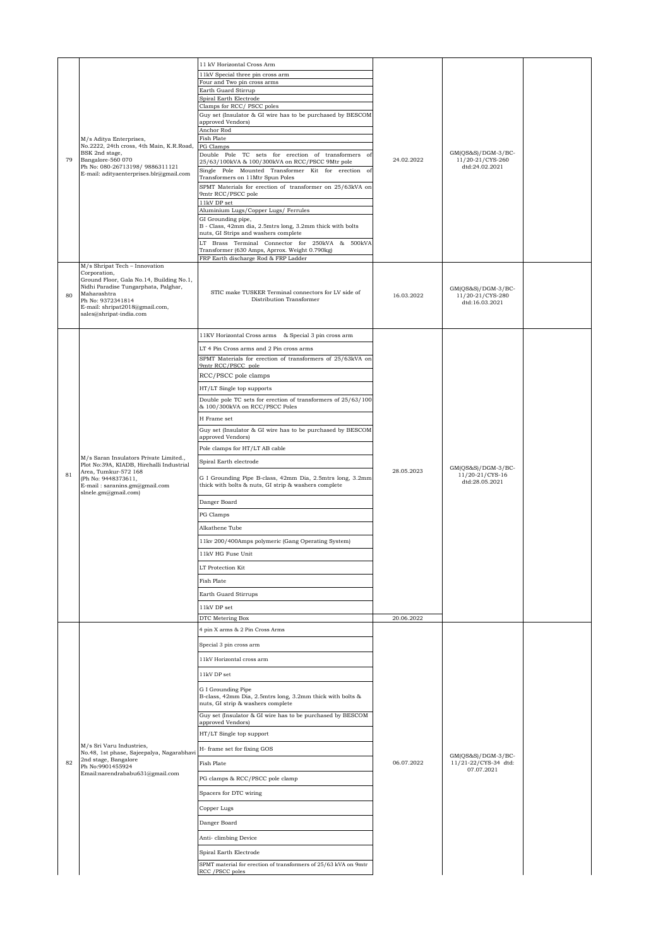|    |                                                                                  | 11 kV Horizontal Cross Arm                                                                                        |            |                                                           |  |
|----|----------------------------------------------------------------------------------|-------------------------------------------------------------------------------------------------------------------|------------|-----------------------------------------------------------|--|
|    |                                                                                  | 11kV Special three pin cross arm                                                                                  |            |                                                           |  |
|    |                                                                                  | Four and Two pin cross arms<br>Earth Guard Stirrup                                                                |            |                                                           |  |
|    |                                                                                  | Spiral Earth Electrode                                                                                            |            |                                                           |  |
|    |                                                                                  | Clamps for RCC/ PSCC poles<br>Guy set (Insulator & GI wire has to be purchased by BESCOM                          |            |                                                           |  |
|    |                                                                                  | approved Vendors)                                                                                                 |            |                                                           |  |
|    | M/s Aditya Enterprises,                                                          | Anchor Rod<br>Fish Plate                                                                                          |            |                                                           |  |
|    | No.2222, 24th cross, 4th Main, K.R.Road,                                         | PG Clamps                                                                                                         |            |                                                           |  |
| 79 | BSK 2nd stage,<br>Bangalore-560 070                                              | Double Pole TC sets for erection of transformers of<br>25/63/100kVA & 100/300kVA on RCC/PSCC 9Mtr pole            | 24.02.2022 | $GM(QS&S)/DGM-3/BC-$<br>11/20-21/CYS-260                  |  |
|    | Ph No: 080-26713198/ 9886311121<br>E-mail: adityaenterprises.blr@gmail.com       | Single Pole Mounted Transformer Kit for erection of                                                               |            | dtd:24.02.2021                                            |  |
|    |                                                                                  | Transformers on 11Mtr Spun Poles<br>SPMT Materials for erection of transformer on 25/63kVA on                     |            |                                                           |  |
|    |                                                                                  | 9mtr RCC/PSCC pole                                                                                                |            |                                                           |  |
|    |                                                                                  | 11kV DP set<br>Aluminium Lugs/Copper Lugs/ Ferrules                                                               |            |                                                           |  |
|    |                                                                                  | GI Grounding pipe,<br>B - Class, 42mm dia, 2.5mtrs long, 3.2mm thick with bolts                                   |            |                                                           |  |
|    |                                                                                  | nuts, GI Strips and washers complete                                                                              |            |                                                           |  |
|    |                                                                                  | LT Brass Terminal Connector for 250kVA & 500kVA<br>Transformer (630 Amps, Aprrox. Weight 0.790kg)                 |            |                                                           |  |
|    |                                                                                  | FRP Earth discharge Rod & FRP Ladder                                                                              |            |                                                           |  |
|    | M/s Shripat Tech - Innovation<br>Corporation,                                    |                                                                                                                   |            |                                                           |  |
|    | Ground Floor, Gala No.14, Building No.1,<br>Nidhi Paradise Tungarphata, Palghar, |                                                                                                                   |            | GM(QS&S)/DGM-3/BC-                                        |  |
| 80 | Maharashtra<br>Ph No: 9372341814                                                 | STIC make TUSKER Terminal connectors for LV side of<br>Distribution Transformer                                   | 16.03.2022 | 11/20-21/CYS-280                                          |  |
|    | E-mail: shripat2018@gmail.com,                                                   |                                                                                                                   |            | dtd:16.03.2021                                            |  |
|    | sales@shripat-india.com                                                          |                                                                                                                   |            |                                                           |  |
|    |                                                                                  | 11KV Horizontal Cross arms & Special 3 pin cross arm                                                              |            |                                                           |  |
|    |                                                                                  | LT 4 Pin Cross arms and 2 Pin cross arms                                                                          |            |                                                           |  |
|    |                                                                                  | SPMT Materials for erection of transformers of 25/63kVA on                                                        |            |                                                           |  |
|    |                                                                                  | 9mtr RCC/PSCC pole<br>RCC/PSCC pole clamps                                                                        |            |                                                           |  |
|    |                                                                                  |                                                                                                                   |            |                                                           |  |
|    |                                                                                  | HT/LT Single top supports<br>Double pole TC sets for erection of transformers of 25/63/100                        |            |                                                           |  |
|    |                                                                                  | & 100/300kVA on RCC/PSCC Poles                                                                                    |            |                                                           |  |
|    |                                                                                  | H Frame set                                                                                                       |            |                                                           |  |
|    |                                                                                  | Guy set (Insulator & GI wire has to be purchased by BESCOM<br>approved Vendors)                                   |            | $GM(QS&S)/DGM-3/BC-$<br>11/20-21/CYS-16<br>dtd:28.05.2021 |  |
|    | M/s Saran Insulators Private Limited.,                                           | Pole clamps for HT/LT AB cable                                                                                    |            |                                                           |  |
|    |                                                                                  | Spiral Earth electrode                                                                                            |            |                                                           |  |
| 81 | Plot No:39A, KIADB, Hirehalli Industrial<br>Area, Tumkur-572 168                 |                                                                                                                   | 28.05.2023 |                                                           |  |
|    | (Ph No: 9448373611,<br>E-mail: saranins.gm@gmail.com                             | G I Grounding Pipe B-class, 42mm Dia, 2.5mtrs long, 3.2mm<br>thick with bolts & nuts, GI strip & washers complete |            |                                                           |  |
|    | slnele.gm@gmail.com)                                                             |                                                                                                                   |            |                                                           |  |
|    |                                                                                  | Danger Board                                                                                                      |            |                                                           |  |
|    |                                                                                  | PG Clamps                                                                                                         |            |                                                           |  |
|    |                                                                                  | Alkathene Tube                                                                                                    |            |                                                           |  |
|    |                                                                                  | 11kv 200/400Amps polymeric (Gang Operating System)                                                                |            |                                                           |  |
|    |                                                                                  | 11kV HG Fuse Unit                                                                                                 |            |                                                           |  |
|    |                                                                                  | LT Protection Kit                                                                                                 |            |                                                           |  |
|    |                                                                                  | Fish Plate                                                                                                        |            |                                                           |  |
|    |                                                                                  | Earth Guard Stirrups                                                                                              |            |                                                           |  |
|    |                                                                                  | 11kV DP set                                                                                                       |            |                                                           |  |
|    |                                                                                  | DTC Metering Box                                                                                                  | 20.06.2022 |                                                           |  |
|    |                                                                                  | 4 pin X arms & 2 Pin Cross Arms                                                                                   |            |                                                           |  |
|    |                                                                                  | Special 3 pin cross arm                                                                                           |            |                                                           |  |
|    |                                                                                  | 11kV Horizontal cross arm                                                                                         |            |                                                           |  |
|    |                                                                                  | 11kV DP set                                                                                                       |            |                                                           |  |
|    |                                                                                  | G I Grounding Pipe                                                                                                |            |                                                           |  |
|    |                                                                                  | B-class, 42mm Dia, 2.5mtrs long, 3.2mm thick with bolts &                                                         |            |                                                           |  |
|    |                                                                                  | nuts, GI strip & washers complete<br>Guy set (Insulator & GI wire has to be purchased by BESCOM                   |            |                                                           |  |
|    |                                                                                  | approved Vendors)                                                                                                 |            |                                                           |  |
|    |                                                                                  | HT/LT Single top support                                                                                          |            |                                                           |  |
|    | M/s Sri Varu Industries,<br>No.48, 1st phase, Sajeepalya, Nagarabhavi            | H- frame set for fixing GOS                                                                                       |            | $GM(QS&S)/DGM-3/BC-$                                      |  |
| 82 | 2nd stage, Bangalore<br>Ph No:9901455924                                         | Fish Plate                                                                                                        | 06.07.2022 | 11/21-22/CYS-34 dtd:<br>07.07.2021                        |  |
|    | Email:narendrababu631@gmail.com                                                  | PG clamps & RCC/PSCC pole clamp                                                                                   |            |                                                           |  |
|    |                                                                                  | Spacers for DTC wiring                                                                                            |            |                                                           |  |
|    |                                                                                  | Copper Lugs                                                                                                       |            |                                                           |  |
|    |                                                                                  |                                                                                                                   |            |                                                           |  |
|    |                                                                                  | Danger Board                                                                                                      |            |                                                           |  |
|    |                                                                                  | Anti-climbing Device                                                                                              |            |                                                           |  |
|    |                                                                                  | Spiral Earth Electrode                                                                                            |            |                                                           |  |
|    |                                                                                  | SPMT material for erection of transformers of 25/63 kVA on 9mtr                                                   |            |                                                           |  |
|    |                                                                                  | RCC / PSCC poles                                                                                                  |            |                                                           |  |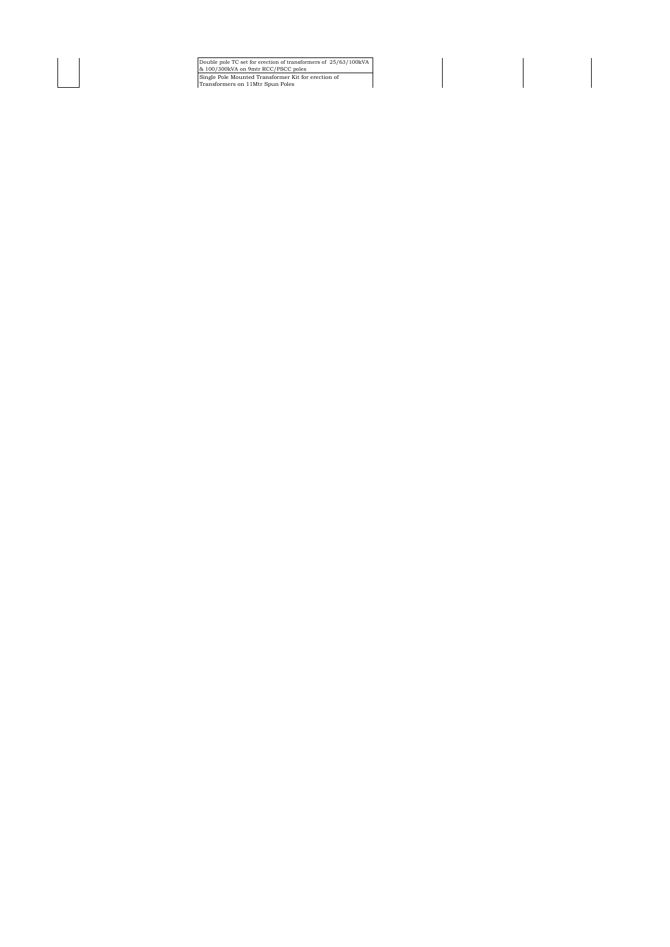Double pole TC set for erection of transformers of 25/63/100kVA & 100/300kVA on 9mtr RCC/PSCC poles Single Pole Mounted Transformer Kit for erection of Transformers on 11Mtr Spun Poles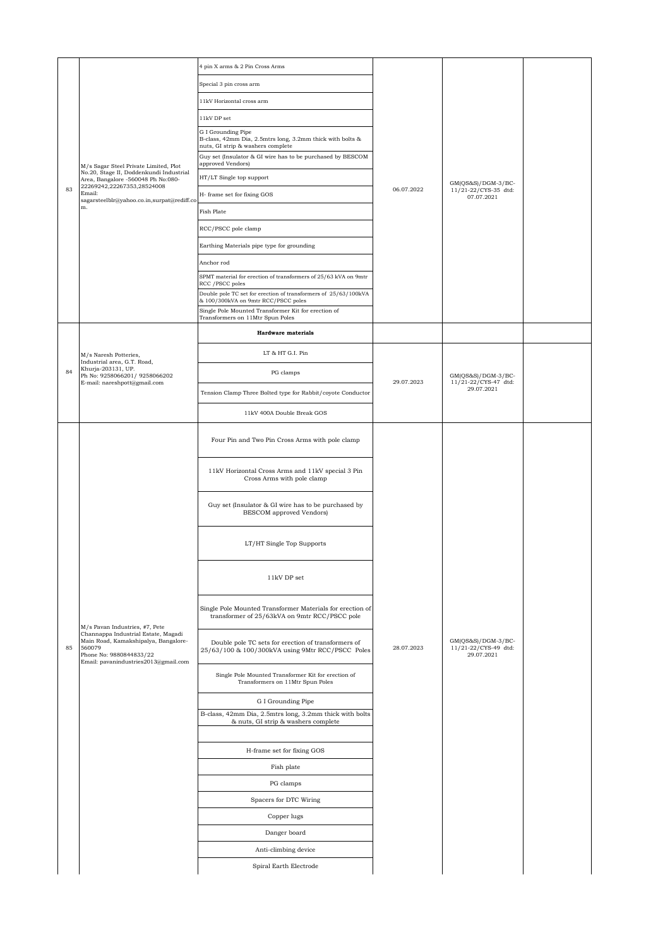|    |                                                                                                                                                          | 4 pin X arms & 2 Pin Cross Arms                                                                                      |            |                                                                                              |  |
|----|----------------------------------------------------------------------------------------------------------------------------------------------------------|----------------------------------------------------------------------------------------------------------------------|------------|----------------------------------------------------------------------------------------------|--|
|    |                                                                                                                                                          | Special 3 pin cross arm                                                                                              |            |                                                                                              |  |
|    |                                                                                                                                                          | 11kV Horizontal cross arm                                                                                            |            |                                                                                              |  |
|    |                                                                                                                                                          | 11kV DP set                                                                                                          |            |                                                                                              |  |
|    |                                                                                                                                                          | G I Grounding Pipe<br>B-class, 42mm Dia, 2.5mtrs long, 3.2mm thick with bolts &<br>nuts, GI strip & washers complete |            |                                                                                              |  |
|    | M/s Sagar Steel Private Limited, Plot                                                                                                                    | Guy set (Insulator & GI wire has to be purchased by BESCOM<br>approved Vendors)                                      |            |                                                                                              |  |
|    | No.20, Stage II, Doddenkundi Industrial<br>Area, Bangalore -560048 Ph No:080-                                                                            | HT/LT Single top support                                                                                             |            |                                                                                              |  |
| 83 | 22269242,22267353,28524008<br>Email:<br>sagarsteelblr@yahoo.co.in,surpat@rediff.co                                                                       | H- frame set for fixing GOS                                                                                          | 06.07.2022 | 11/21-22/CYS-35 dtd:<br>07.07.2021                                                           |  |
|    | m.                                                                                                                                                       | Fish Plate                                                                                                           |            |                                                                                              |  |
|    |                                                                                                                                                          | RCC/PSCC pole clamp                                                                                                  |            |                                                                                              |  |
|    |                                                                                                                                                          | Earthing Materials pipe type for grounding                                                                           |            |                                                                                              |  |
|    |                                                                                                                                                          | Anchor rod                                                                                                           |            |                                                                                              |  |
|    |                                                                                                                                                          | SPMT material for erection of transformers of 25/63 kVA on 9mtr<br>RCC / PSCC poles                                  |            |                                                                                              |  |
|    |                                                                                                                                                          | Double pole TC set for erection of transformers of 25/63/100kVA<br>& 100/300kVA on 9mtr RCC/PSCC poles               |            |                                                                                              |  |
|    |                                                                                                                                                          | Single Pole Mounted Transformer Kit for erection of<br>Transformers on 11Mtr Spun Poles                              |            |                                                                                              |  |
|    |                                                                                                                                                          | <b>Hardware materials</b>                                                                                            |            |                                                                                              |  |
|    |                                                                                                                                                          | LT & HT G.I. Pin                                                                                                     |            |                                                                                              |  |
|    | M/s Naresh Potteries,<br>Industrial area, G.T. Road,<br>Khurja-203131, UP.                                                                               |                                                                                                                      |            |                                                                                              |  |
| 84 | Ph No: 9258066201/ 9258066202<br>E-mail: nareshpott@gmail.com                                                                                            | PG clamps                                                                                                            | 29.07.2023 | GM(QS&S)/DGM-3/BC-<br>11/21-22/CYS-47 dtd:                                                   |  |
|    |                                                                                                                                                          | Tension Clamp Three Bolted type for Rabbit/coyote Conductor                                                          |            |                                                                                              |  |
|    |                                                                                                                                                          | 11kV 400A Double Break GOS                                                                                           |            |                                                                                              |  |
|    |                                                                                                                                                          | Four Pin and Two Pin Cross Arms with pole clamp                                                                      |            |                                                                                              |  |
|    |                                                                                                                                                          | 11kV Horizontal Cross Arms and 11kV special 3 Pin<br>Cross Arms with pole clamp                                      |            |                                                                                              |  |
|    |                                                                                                                                                          | Guy set (Insulator & GI wire has to be purchased by<br>BESCOM approved Vendors)                                      |            |                                                                                              |  |
|    |                                                                                                                                                          | LT/HT Single Top Supports                                                                                            |            |                                                                                              |  |
|    |                                                                                                                                                          | 11kV DP set                                                                                                          |            | GM(QS&S)/DGM-3/BC-<br>29.07.2021<br>GM(QS&S)/DGM-3/BC-<br>11/21-22/CYS-49 dtd:<br>29.07.2021 |  |
|    | M/s Pavan Industries, #7, Pete                                                                                                                           | Single Pole Mounted Transformer Materials for erection of<br>transformer of 25/63kVA on 9mtr RCC/PSCC pole           |            |                                                                                              |  |
| 85 | Channappa Industrial Estate, Magadi<br>Main Road, Kamakshipalya, Bangalore-<br>560079<br>Phone No: 9880844833/22<br>Email: pavanindustries2013@gmail.com | Double pole TC sets for erection of transformers of<br>25/63/100 & 100/300kVA using 9Mtr RCC/PSCC Poles              | 28.07.2023 |                                                                                              |  |
|    |                                                                                                                                                          | Single Pole Mounted Transformer Kit for erection of<br>Transformers on 11Mtr Spun Poles                              |            |                                                                                              |  |
|    |                                                                                                                                                          | G I Grounding Pipe                                                                                                   |            |                                                                                              |  |
|    |                                                                                                                                                          | B-class, 42mm Dia, 2.5mtrs long, 3.2mm thick with bolts<br>& nuts, GI strip & washers complete                       |            |                                                                                              |  |
|    |                                                                                                                                                          | H-frame set for fixing GOS                                                                                           |            |                                                                                              |  |
|    |                                                                                                                                                          | Fish plate                                                                                                           |            |                                                                                              |  |
|    |                                                                                                                                                          | PG clamps                                                                                                            |            |                                                                                              |  |
|    |                                                                                                                                                          | Spacers for DTC Wiring                                                                                               |            |                                                                                              |  |
|    |                                                                                                                                                          | Copper lugs                                                                                                          |            |                                                                                              |  |
|    |                                                                                                                                                          | Danger board                                                                                                         |            |                                                                                              |  |
|    |                                                                                                                                                          | Anti-climbing device                                                                                                 |            |                                                                                              |  |
|    |                                                                                                                                                          | Spiral Earth Electrode                                                                                               |            |                                                                                              |  |
|    |                                                                                                                                                          |                                                                                                                      |            |                                                                                              |  |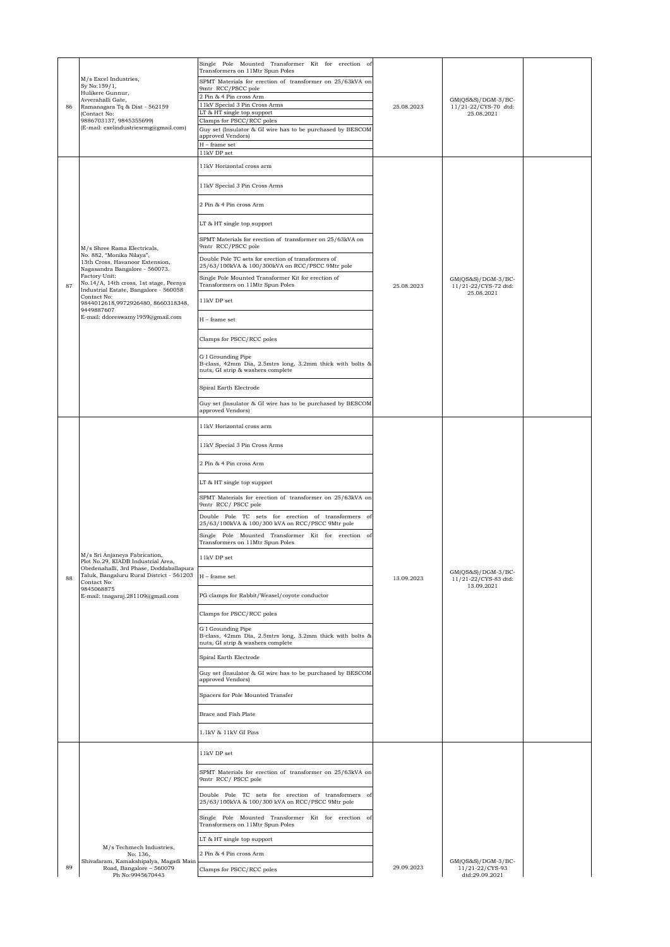| 86 | M/s Excel Industries,<br>Sy No:159/1,<br>Hulikere Gunnur,<br>Avverahalli Gate,<br>Ramanagara Tq & Dist - 562159<br>(Contact No:<br>9886703137, 9845355699)<br>(E-mail: exelindustriesrmg@gmail.com)                                                                                                                                      | Single Pole Mounted Transformer Kit for erection of<br>Transformers on 11Mtr Spun Poles<br>SPMT Materials for erection of transformer on 25/63kVA on<br>9mtr RCC/PSCC pole<br>2 Pin & 4 Pin cross Arm<br>11kV Special 3 Pin Cross Arms<br>LT & HT single top support<br>Clamps for PSCC/RCC poles<br>Guy set (Insulator & GI wire has to be purchased by BESCOM<br>approved Vendors)<br>$\mathcal{H}$ – frame set<br>11kV DP set                                                                                                                                                                                                                                                                                                                                                                                                                                                                                                          | 25.08.2023 | $GM(QS&S)/DGM-3/BC-$<br>11/21-22/CYS-70 dtd:<br>25.08.2021 |  |
|----|------------------------------------------------------------------------------------------------------------------------------------------------------------------------------------------------------------------------------------------------------------------------------------------------------------------------------------------|-------------------------------------------------------------------------------------------------------------------------------------------------------------------------------------------------------------------------------------------------------------------------------------------------------------------------------------------------------------------------------------------------------------------------------------------------------------------------------------------------------------------------------------------------------------------------------------------------------------------------------------------------------------------------------------------------------------------------------------------------------------------------------------------------------------------------------------------------------------------------------------------------------------------------------------------|------------|------------------------------------------------------------|--|
| 87 | M/s Shree Rama Electricals,<br>No. 882, "Monika Nilaya",<br>13th Cross, Havanoor Extension,<br>Nagasandra Bangalore - 560073.<br>Factory Unit:<br>No.14/A, 14th cross, 1st stage, Peenya<br>Industrial Estate, Bangalore - 560058<br>Contact No:<br>9844012618,9972926480, 8660318348,<br>9449887607<br>E-mail: ddoreswamy1959@gmail.com | 11kV Horizontal cross arm<br>11kV Special 3 Pin Cross Arms<br>2 Pin & 4 Pin cross Arm<br>LT & HT single top support<br>SPMT Materials for erection of transformer on 25/63kVA on<br>9mtr RCC/PSCC pole<br>Double Pole TC sets for erection of transformers of<br>25/63/100kVA & 100/300kVA on RCC/PSCC 9Mtr pole<br>Single Pole Mounted Transformer Kit for erection of<br>Transformers on 11Mtr Spun Poles<br>11kV DP set<br>$H$ – frame set<br>Clamps for PSCC/RCC poles<br>G I Grounding Pipe<br>B-class, 42mm Dia, 2.5mtrs long, 3.2mm thick with bolts &<br>nuts, GI strip & washers complete<br>Spiral Earth Electrode                                                                                                                                                                                                                                                                                                              | 25.08.2023 | $GM(QS&S)/DGM-3/BC-$<br>11/21-22/CYS-72 dtd:<br>25.08.2021 |  |
| 88 | M/s Sri Anjaneya Fabrication,<br>Plot No.29, KIADB Industrial Area<br>Obedenahalli, 3rd Phase, Doddaballapura<br>Taluk, Bangaluru Rural District - 561203<br>Contact No:<br>9845068875<br>E-mail: tnagaraj.281109@gmail.com                                                                                                              | Guy set (Insulator & GI wire has to be purchased by BESCOM<br>approved Vendors)<br>11kV Horizontal cross arm<br>11kV Special 3 Pin Cross Arms<br>2 Pin & 4 Pin cross Arm<br>LT & HT single top support<br>SPMT Materials for erection of transformer on 25/63kVA on<br>9mtr RCC/ PSCC pole<br>Double Pole TC sets for erection of transformers of<br>25/63/100kVA & 100/300 kVA on RCC/PSCC 9Mtr pole<br>Single Pole Mounted Transformer Kit for erection of<br>Transformers on 11Mtr Spun Poles<br>11kV DP set<br>$H$ – frame set<br>PG clamps for Rabbit/Weasel/coyote conductor<br>Clamps for PSCC/RCC poles<br>G I Grounding Pipe<br>B-class, 42mm Dia, 2.5mtrs long, 3.2mm thick with bolts &<br>nuts, GI strip & washers complete<br>Spiral Earth Electrode<br>Guy set (Insulator & GI wire has to be purchased by BESCOM<br>approved Vendors)<br>Spacers for Pole Mounted Transfer<br>Brace and Fish Plate<br>1.1kV & 11kV GI Pins | 13.09.2023 | GM(QS&S)/DGM-3/BC-<br>11/21-22/CYS-83 dtd:<br>13.09.2021   |  |
| 89 | M/s Techmech Industries,<br>No: 136,<br>Shivafaram, Kamakshipalya, Magadi Main<br>Road, Bangalore - 560079<br>Ph No:9945670443                                                                                                                                                                                                           | 11kV DP set<br>SPMT Materials for erection of transformer on 25/63kVA on<br>9mtr RCC/ PSCC pole<br>Double Pole TC sets for erection of transformers of<br>25/63/100kVA & 100/300 kVA on RCC/PSCC 9Mtr pole<br>Single Pole Mounted Transformer Kit for erection of<br>Transformers on 11Mtr Spun Poles<br>LT & HT single top support<br>2 Pin & 4 Pin cross Arm<br>Clamps for PSCC/RCC poles                                                                                                                                                                                                                                                                                                                                                                                                                                                                                                                                               | 29.09.2023 | $GM(QS&S)/DGM-3/BC-$<br>11/21-22/CYS-93<br>dtd:29.09.2021  |  |